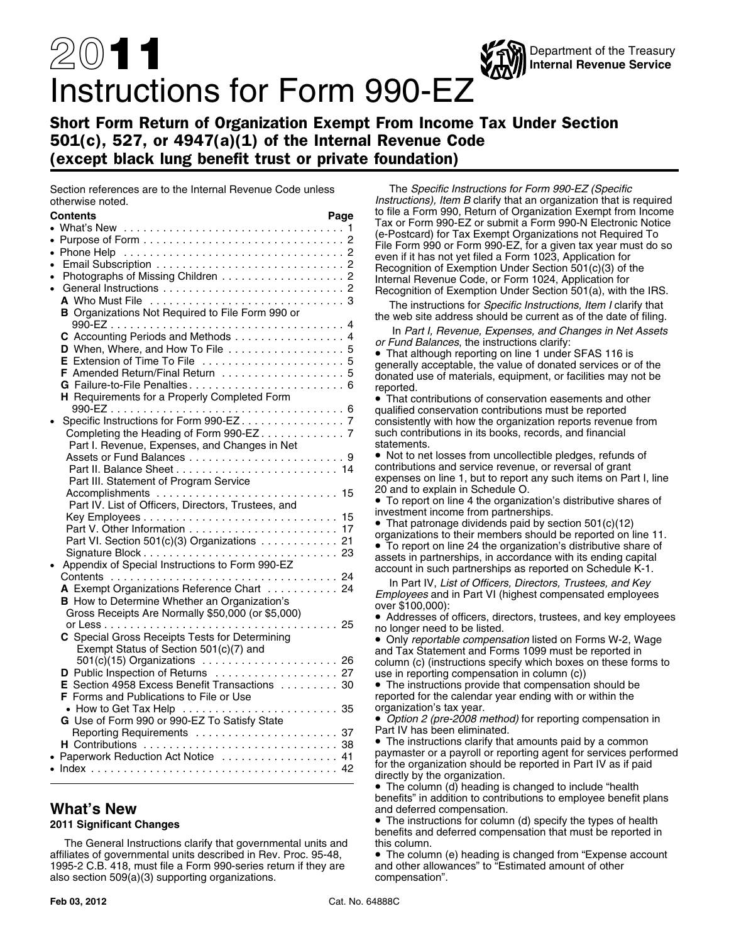# 20**11** Instructions for Form 990-EZ

# Short Form Return of Organization Exempt From Income Tax Under Section 501(c), 527, or 4947(a)(1) of the Internal Revenue Code (except black lung benefit trust or private foundation)

Section references are to the Internal Revenue Code unless The *Specific Instructions for Form 990-EZ (Specific*

| Contents                                                | Page | to file a Form 990, Return of Organization Exempt from Incom                                                     |
|---------------------------------------------------------|------|------------------------------------------------------------------------------------------------------------------|
|                                                         |      | Tax or Form 990-EZ or submit a Form 990-N Electronic Notice                                                      |
|                                                         |      | (e-Postcard) for Tax Exempt Organizations not Required To                                                        |
|                                                         |      | File Form 990 or Form 990-EZ, for a given tax year must do so                                                    |
| $\bullet$                                               |      | even if it has not yet filed a Form 1023, Application for                                                        |
|                                                         |      | Recognition of Exemption Under Section 501(c)(3) of the                                                          |
|                                                         |      | Internal Revenue Code, or Form 1024, Application for                                                             |
|                                                         |      | Recognition of Exemption Under Section 501(a), with the IRS.                                                     |
|                                                         |      | The instructions for Specific Instructions, Item I clarify that                                                  |
| <b>B</b> Organizations Not Required to File Form 990 or |      | the web site address should be current as of the date of filing.                                                 |
|                                                         |      | In Part I, Revenue, Expenses, and Changes in Net Assets                                                          |
| C Accounting Periods and Methods 4                      |      | or Fund Balances, the instructions clarify:                                                                      |
| D When, Where, and How To File 5                        |      | • That although reporting on line 1 under SFAS 116 is                                                            |
|                                                         |      | generally acceptable, the value of donated services or of the                                                    |
| F Amended Return/Final Return  5                        |      | donated use of materials, equipment, or facilities may not be                                                    |
| G Failure-to-File Penalties 6                           |      | reported.                                                                                                        |
| H Requirements for a Properly Completed Form            |      | • That contributions of conservation easements and other                                                         |
|                                                         |      | qualified conservation contributions must be reported                                                            |
| $\bullet$                                               |      | consistently with how the organization reports revenue from                                                      |
|                                                         |      | such contributions in its books, records, and financial                                                          |
| Part I. Revenue, Expenses, and Changes in Net           |      | statements.                                                                                                      |
|                                                         |      | • Not to net losses from uncollectible pledges, refunds of                                                       |
|                                                         |      | contributions and service revenue, or reversal of grant                                                          |
| Part III. Statement of Program Service                  |      | expenses on line 1, but to report any such items on Part I, line                                                 |
|                                                         |      | 20 and to explain in Schedule O.                                                                                 |
| Part IV. List of Officers, Directors, Trustees, and     |      | • To report on line 4 the organization's distributive shares of                                                  |
|                                                         |      | investment income from partnerships.                                                                             |
|                                                         |      | • That patronage dividends paid by section 501(c)(12)                                                            |
| Part VI. Section 501(c)(3) Organizations 21             |      | organizations to their members should be reported on line 11.                                                    |
|                                                         |      | • To report on line 24 the organization's distributive share of                                                  |
| Appendix of Special Instructions to Form 990-EZ         |      | assets in partnerships, in accordance with its ending capital                                                    |
|                                                         |      | account in such partnerships as reported on Schedule K-1.                                                        |
| A Exempt Organizations Reference Chart  24              |      | In Part IV, List of Officers, Directors, Trustees, and Key                                                       |
| <b>B</b> How to Determine Whether an Organization's     |      | <i>Employees</i> and in Part VI (highest compensated employees                                                   |
| Gross Receipts Are Normally \$50,000 (or \$5,000)       |      | over \$100,000):                                                                                                 |
|                                                         |      | • Addresses of officers, directors, trustees, and key employee                                                   |
| C Special Gross Receipts Tests for Determining          |      | no longer need to be listed.                                                                                     |
| Exempt Status of Section 501(c)(7) and                  |      | • Only reportable compensation listed on Forms W-2, Wage<br>and Tax Statement and Forms 1099 must be reported in |
| 501(c)(15) Organizations  26                            |      | column (c) (instructions specify which boxes on these forms to                                                   |
| D Public Inspection of Returns  27                      |      | use in reporting compensation in column (c))                                                                     |
| E Section 4958 Excess Benefit Transactions  30          |      | • The instructions provide that compensation should be                                                           |
| <b>F</b> Forms and Publications to File or Use          |      | reported for the calendar year ending with or within the                                                         |
|                                                         |      | organization's tax year.                                                                                         |
| G Use of Form 990 or 990-EZ To Satisfy State            |      | • Option 2 (pre-2008 method) for reporting compensation in                                                       |
|                                                         |      | Part IV has been eliminated.                                                                                     |
|                                                         |      | • The instructions clarify that amounts paid by a common                                                         |
| • Paperwork Reduction Act Notice  41                    |      | paymaster or a payroll or reporting agent for services perform                                                   |
|                                                         |      | for the organization should be reported in Part IV as if paid                                                    |
|                                                         |      | directly by the organization.                                                                                    |

The General Instructions clarify that governmental units and this column.<br>affiliates of governmental units described in Rev. Proc. 95-48. • The colun 1995-2 C.B. 418, must file a Form 990-series return if they are and other allowances and other allowing organizations. also section  $509(a)(3)$  supporting organizations.

otherwise noted.<br>**Contents Contents Instructions** *Instructions*, *Item B* clarify that an organization that is required<br>**Contents Contents Contents** Tax or Form 990-EZ or submit a Form 990-N Electronic Notice (e-Postcard) for Tax Exempt Organizations not Required To File Form 990 or Form 990-EZ, for a given tax year must do so even if it has not yet filed a Form 1023, Application for Recognition of Exemption Under Section 501(c)(3) of the Internal Revenue Code, or Form 1024, Application for

Department of the Treasury

**Internal Revenue Service**

• The column (d) heading is changed to include "health benefits" in addition to contributions to employee benefit plans **What's New and deferred compensation.** 

• The instructions for column (d) specify the types of health The instructions for column (d) specify the types of health **2011 Significant Changes** benefits and deferred compensation that must be reported in

• The column (e) heading is changed from "Expense account and other allowances" to "Estimated amount of other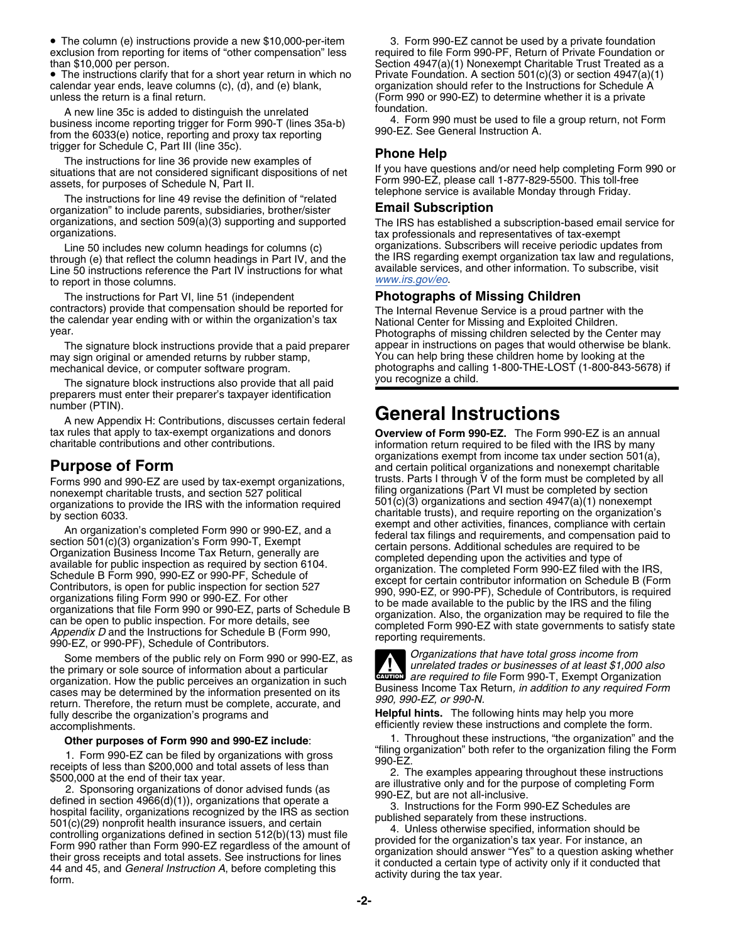• The column (e) instructions provide a new \$10,000-per-item 3. Form 990-EZ cannot be used by a private foundation exclusion from reporting for items of "other compensation" less required to file Form 990-PF, Return of Private Foundation or<br>Section 4947(a)(1) Nonexempt Charitable Trust Treated as a

 $\bullet$  The instructions clarify that for a short year return in which no Private Foundation. A section 501(c)(3) or section 4947(a)(1) calendar year ends, leave columns (c), (d), and (e) blank, organization should refer to the Instructions for Schedule A<br>(Form 990 or 990-EZ) to determine whether it is a private

A new line 35c is added to distinguish the unrelated foundation.<br>siness income reporting trigger for Eorm 990-T (lines 352-b) 4. Form 990 must be used to file a group return, not Form business income reporting trigger for Form 990-T (lines 35a-b)<br>from the 6033(e) notice, reporting and proxy tax reporting 990-EZ. See General Instruction A. from the 6033(e) notice, reporting and proxy tax reporting trigger for Schedule C, Part III (line 35c).

trigger for Schedule C, Part III (line 35c).<br>
The instructions for line 36 provide new examples of<br>
situations that are not considered significant dispositions of net<br>
assets, for purposes of Schedule N, Part II.<br>
The inst

The instructions for line 49 revise the definition of "related<br>organization" to include parents, subsidiaries, brother/sister<br>organizations, and section 509(a)(3) supporting and supported<br>The IRS has established

through (e) that reflect the column headings in Part IV, and the The IRS regarding exempt organization tax law and regulation<br>Line 50 instructions reference the Part IV instructions for what The varilable services, and oth Line 50 instructions reference the Part IV instructions for what available service<br>to report in those columns to report in those columns.

The instructions for Part VI, line 51 (independent **Photographs of Missing Children**<br>contractors) provide that compensation should be reported for The Internal Revenue Service is a proud par contractors) provide that compensation should be reported for<br>the calendar year ending with or within the organization's tax<br>year.<br>Photographs of missing children selected by the Center n

may sign original or amended returns by rubber stamp, You can help bring these children home by looking at the

The signature block instructions also provide that all paid preparers must enter their preparer's taxpayer identification number (PTIN).

tax rules that apply to tax-exempt organizations and donors **Overview of Form 990-EZ.** The Form 990-EZ is an annual

Forms 990 and 990-EZ are used by tax-exempt organizations, nonexempt charitable trusts, and section 527 political organizations to provide the IRS with the information required

An organization's completed Form 990 or 990-EZ, and a<br>section 501(c)(3) organization's Form 990-T, Exempt the effectial tax filings and requirements, and compensation paid to<br>Organization Business Income Tax Return, genera

the primary or sole source of information about a particular organization. How the public perceives an organization in such cases may be determined by the information presented on its Business Income Tax Return*, in addition to any required Form* return. Therefore, the return must be complete, accurate, and fully describe the organization's programs and **Helpful hints.** The following hints may help you more

1. Form 990-EZ can be filed by organizations with gross<br>
receipts of less than \$200,000 and total assets of less than<br>
\$500,000 and total assets of less than<br>
\$500,000 and total assets of less than<br>
\$500,000 and total asse

Section 4947(a)(1) Nonexempt Charitable Trust Treated as a  $(Form 990$  or 990-EZ) to determine whether it is a private

organizations, and section 509(a)(3) supporting and supported The IRS has established a subscription-based email service for tax professionals and representatives of tax-exempt Line 50 includes new column headings for columns (c) organizations. Subscribers will receive periodic updates from<br>ough (e) that reflect the column headings in Part IV and the the IRS regarding exempt organization tax law

<sup>ar.</sup><br>The signature block instructions provide that a paid preparer appear in instructions on pages that would otherwise be blar appear in instructions on pages that would otherwise be blank. mechanical device, or computer software program.<br>you recognize a child.<br>The signature block instructions also provide that all paid you recognize a child.

# A new Appendix H: Contributions, discusses certain federal **General Instructions**

information return required to be filed with the IRS by many organizations exempt from income tax under section 501(a), **Purpose of Form**<br>Forms 990 and 990-FZ are used by tax-exempt organizations trusts. Parts I through V of the form must be completed by all filing organizations (Part VI must be completed by section  $501(c)(3)$  organizations and section 4947(a)(1) nonexempt by section 6033.<br>charitable trusts), and require reporting on the organization's<br>exempt and other activities, finances, compliance with certain



Some members of the public rely on Form 990 or 990-EZ, as *Organizations that have total gross income from*<br>In imary or sole source of information about a particular **CAUTION**<br> **CAUTION** are required to file Form 990-T, Exempt Organization

accomplishments.<br> **accomplishments.** efficiently review these instructions and complete the form.<br>
Other nurnoses of Form 990 and 990-F7 include:<br>
1. Throughout these instructions, "the organization" and the

**Other purposes of Form 990 and 990-EZ include**: 1. Inroughout these instructions, "the organization" and the<br>H. Form 000 EZ can be filed by erganizations with grees **1.** "Hiling organization" both refer to the organizatio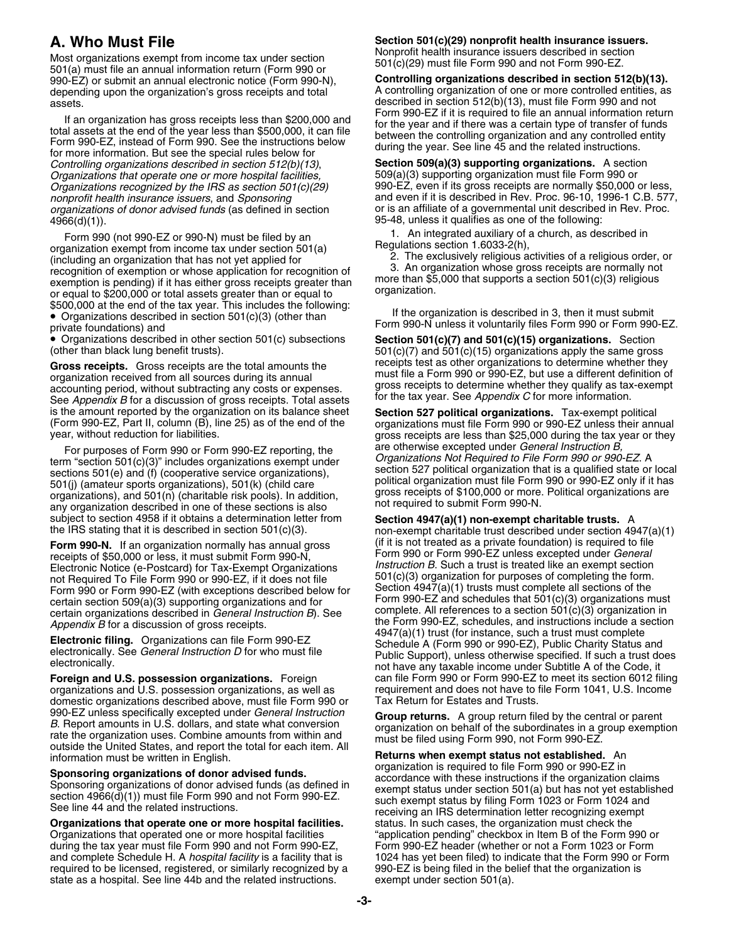Most organizations exempt from income tax under section Mortelling insurance issuers described in section 501(c)(29) must file Form 990 and not Form 990-EZ.<br>501(c)(29) must file Form 990 and not Form 990-EZ.<br>501(c)(29) mus depending upon the organization's gross receipts and total assets. described in section 512(b)(13), must file Form 990 and not

If an organization has gross receipts less than \$200,000 and<br>total assets at the end of the year less than \$500,000, it can file<br>Form 990-EZ if it is required to file an annual information return<br>for the year and if there *Controlling organizations described in section 512(b)(13)*, **Section 509(a)(3) supporting organizations.** A section *Organizations that operate one or more hospital facilities,* 509(a)(3) supporting organization must file Form 990 or *Organizations recognized by the IRS as section 501(c)(29) organizations of donor advised funds* (as defined in section 4966(d)(1)). 95-48, unless it qualifies as one of the following:

Form 990 (not 990-EZ or 990-N) must be filed by an<br>
organization exempt from income tax under section 501(a)<br>
(including an organization that has not yet applied for<br>
exclusively religious activities of a religious order, or equal to \$200,000 or total assets greater than or equal to<br>
\$500,000 at the end of the tax year. This includes the following:<br>
■ Organization is described in 3, then it must submit<br>
■ Organization is described in 3, th Organizations described in section 501(c)(3) (other than Form 990-N unless it voluntarily files Form 990 or Form 990-EZ. private foundations) and

• Organizations described in other section 501(c) subsections Organizations described in other section 501(c) subsections **Section 501(c)(7) and 501(c)(15) organizations.** Section

organization received from all sources during its annual<br>accounting period, without subtracting any costs or expenses.<br>See *Appendix B* for a discussion of gross receipts. Total assets<br>is the amount reported by the organiz is the amount reported by the organization on its balance sheet **Section 527 political organizations.** Tax-exempt political

For purposes of Form 990 or Form 990-EZ reporting, the term "section 501(c)(3)" includes organizations exempt under<br>sections 501(e) and (f) (cooperative service organizations),<br>501(j) (amateur sports organizations), 501(k) subject to section 4958 if it obtains a determination letter from **Section 4947(a)(1) non-exempt charitable trusts.** A the IRS stating that it is described in section 501(c)(3). The non-exempt charitable trust described un

**Form 990-N.** If an organization normally has annual gross (If It is not treated as a private foundation) is required to file<br>receipts of \$50,000 or less, it must submit Form 990-N, Form 990 or Form 990-EZ unless excepted Electronic Notice (e-Postcard) for Tax-Exempt Organizations 501(c)(3) organization for purposes of completing the form.<br>
Form 990 or Form 990-EZ (with exceptions described below for Section 4947(a)(1) trusts must complete all sections of the Form 990 or Form 990-EZ (with exceptions described below for Section 4947(a)(1) trusts must complete all sections of the<br>Certain section 509(a)(3) supporting organizations and for Form 990-EZ and schedules that 501(c)(3) o certain section 509(a)(3) supporting organizations and for<br>certain organizations described in *General Instruction B*). See complete. All references to a section 501(c)(3) organization in<br>Appendix B for a discussion of gro

organizations and U.S. possession organizations, as well as requirement and does not have to domestic organizations described above, must file Form 990 or Tax Return for Estates and Trusts. domestic organizations described above, must file Form 990 or 990-EZ unless specifically excepted under General Instruction B. Report amounts in U.S. dollars, and state what conversion<br>
B. Report amounts in U.S. dollars, and state what conversion<br>
order the organization on behalf of the subordinates in a group exemption<br>
outside the United Stat

**Organizations that operate one or more hospital facilities.** status. In such cases, the organization must check the Organizations that operated one or more hospital facilities "application pending" checkbox in Item B of the Form 990 or<br>during the tax year must file Form 990 and not Form 990-EZ, Form 990-EZ header (whether or not a Form during the tax year must file Form 990 and not Form 990-EZ, and complete Schedule H. A *hospital facility* is a facility that is 1024 has yet been filed) to indicate that the Form 990 or Form required to be licensed, registered, or similarly recognized by a 990-EZ is being filed in required to be licensed, registered, or similarly recognized by a 990-EZ is being filed in the belief that the organization is state as a hospital. See line 44b and the related instructions. exempt under section 501(a). state as a hospital. See line 44b and the related instructions.

**A. Who Must File Section 501(c)(29) nonprofit health insurance issuers.**

990-EZ) or submit an annual electronic notice (Form 990-N), **Controlling organizations described in section 512(b)(13).**

*nonprofit health insurance issuers*, and *Sponsoring*<br>*organizations of donor advised funds* (as defined in section or is an affiliate of a governmental unit described in Rev. Proc.

 $501(c)(7)$  and  $501(c)(15)$  organizations apply the same gross Gross receipts. Gross receipts are the total amounts the receipts test as other organizations to determine whether they<br>Croanization received from all sources during its annual must file a Form 990 or 990-EZ, but use a dif

(Form 990-EZ, Part II, column (B), line 25) as of the end of the organizations must file Form 990 or 990-EZ unless their annual<br>year, without reduction for liabilities.<br>For purposes of Form 990 or Form 990-EZ reporting the

non-exempt charitable trust described under section 4947(a)(1). (if it is not treated as a private foundation) is required to file Appendix B for a discussion of gross receipts.<br> **Electronic filing.** Organizations can file Form 990-EZ<br> **Electronic filing.** Organizations can file Form 990-EZ<br>
electronically. See *General Instruction D* for who must fil **Foreign and U.S. possession organizations.** Foreign exametail Form 990 or Form 990-EZ to meet its section 6012 filing reads or prequirement and does not have to file Form 1041, U.S. Income

**Returns when exempt status not established.** An organization is required to file Form 990 or 990-EZ in **Sponsoring organizations of donor advised funds.**<br>
Sponsoring organizations of donor advised funds accordance with these instructions if the organization claims<br>
section 4966(d)(1)) must file Form 990 and not Form 990-EZ.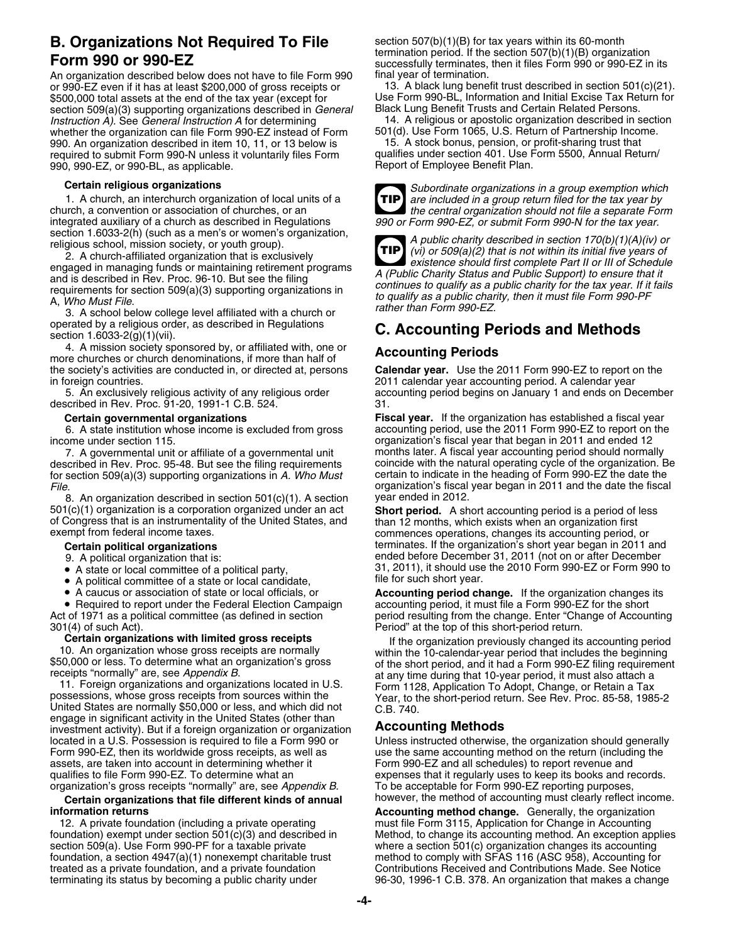# **B. Organizations Not Required To File** section 507(b)(1)(B) for tax years within its 60-month<br> **Fermination** period. If the section 507(b)(1)(B) organization

An organization described below does not have to file Form 990 final year of termination.<br>
or 990-EZ even if it has at least \$200,000 of gross receipts or [13. A black lung benefit trust described in section 501(c)(21). or 990-EZ even if it has at least \$200,000 of gross receipts or 13. A black lung benefit trust described in section 501(c)(21). \$500,000 total assets at the end of the tax year (except for Use Form 990-BL, Information and Initial Excise Tax Return section 509(a)(3) supporting organizations described in General Black Lung Benefit Trusts and Certain section 509(a)(3) supporting organizations described in *General Instruction A).* See *General Instruction A* for determining 14. A religious or apostolic organization described in section whether the organization can file Form 990-EZ instead of Form 501(d). Use Form 1065, U.S. Return of Partnership Incor<br>990. An organization described in item 10, 11, or 13 below is 15. A stock bonus, pension, or profit-shar 990. An organization described in item 10, 11, or 13 below is 15. A stock bonus, pension, or profit-sharing trust that<br>15. A stock bonus, pension, or profit-sharing trust individuals required to subming required to submit required to submit Form 990-N unless it voluntarily files Form qualifies under section 401. Use F<br>1990, Annual Report of Employee Benefit Plan. 990, 990-EZ, or 990-BL, as applicable.

1. A church, an interchurch organization of local units of a *are included in a group return filed for the tax year by* church, a convention or association of churches, or an *the central organization should not file a separate Form*<br>integrated auxiliary of a church as described in Regulations 990 or Form 990-EZ, or submit Form 990-N for th integrated auxiliary of a church as described in Regulations *990 or Form 990-EZ*, or submit Form 990-N for the tax year.<br>section 1.6033-2(h) (such as a men's or women's organization, **1.1.1.1.1.1.1.1.1.1.1.1.1.1.1.1.1.1.1** 

Engaged in managing iteration of maintaining retirement programs<br>and is described in Rev. Proc. 96-10. But see the filing<br>requirements for section 509(a)(3) supporting organizations in<br>A, Who Must File.<br>3. A school below

operated by a religious order, as described in Regulations **C. Accounting Periods and Methods** section 1.6033-2(g)(1)(vii).

4. A mission society sponsored by, or affiliated with, one or **Accounting Periods** more churches or church denominations, if more than half of the society's activities are conducted in, or directed at, persons **Calendar year.** Use the 2011 Form 990-EZ to report on the

described in Rev. Proc. 91-20, 1991-1 C.B. 524. 31.

6. A state institution whose income is excluded from gross

7. A governmental unit or affiliate of a governmental unit for section 509(a)(3) supporting organizations in *A. Who Must* File.

8. An organization described in section 501(c)(1). A section 501(c)(1) organization is a corporation organized under an act 501(c)(1) organization is a corporation organized under an act<br>of Congress that is an instrumentality of the United States, and<br>exempt from federal income taxes.<br>exempt from federal income taxes.<br>or the United States, and<br>

- 
- A state or local committee of a political party,
- $\bullet$  A political committee of a state or local candidate,  $\qquad \qquad$  file for such short year.
- A caucus or association of state or local officials, or

• Required to report under the Federal Election Campaign accounting period, it must file a Form 990-EZ for the short

engage in significant activity in the United States (other than investment activity). But if a foreign organization or organization **Accounting Methods** located in a U.S. Possession is required to file a Form 990 or Unless instructed otherwise, the organization should generally Form 990-EZ, then its worldwide gross receipts, as well as use the same accounting method on the return (including the assets, are taken into account in determining whether it Form 990-EZ and all schedules) to report reven qualifies to file Form 990-EZ. To determine what an expenses that it regularly uses to keep its books and records.

foundation, a section 4947(a)(1) nonexempt charitable trust method to comply with SFAS 116 (ASC 958), Accounting for<br>treated as a private foundation, and a private foundation Contributions Received and Contributions Made. terminating its status by becoming a public charity under 96-30, 1996-1 C.B. 378. An organization that makes a change

termination period. If the section 507(b)(1)(B) organization **Form 990 or 990-EZ** successfully terminates, then it files Form 990 or 990-EZ in its



**Certain religious organizations**<br>1. A church, an interchurch organization of local units of a<br>**TIP** are included in a group return filed for the tax year by

**TIP**

religious school, mission society, or youth group).<br>
2. A church-affiliated organization that is exclusively<br>
engaged in managing funds or maintaining retirement programs<br>  $\begin{array}{c} \begin{array}{c} \begin{array}{c} A \text{ public charity described in section 170(b)(1)(A)(iv) or \\ \hline \$ 

in foreign countries.<br>5. An exclusively religious activity of any religious order exercounting period begins on January 1 and ends on De accounting period begins on January 1 and ends on December

**Certain governmental organizations**<br>**Fiscal year.** If the organization has established a fiscal year<br>**6.** A state institution whose income is excluded from gross accounting period, use the 2011 Form 990-EZ to report on th income under section 115.<br>7. A governmental unit or affiliate of a governmental unit months later. A fiscal year accounting period should normally described in Rev. Proc. 95-48. But see the filing requirements coincide with the natural operating cycle of the organization. Be<br>for section 509(a)(3) supporting organizations in A. Who Must certain to indicate in the head *File*. organization's fiscal year began in 2011 and the date the fiscal

**Certain political organizations** terminates. If the organization's short year began in 2011 and 9. A political organization that is: ended before December 31, 2011 (not on or after December 31, 2011), it should use the 2010 Form 990-EZ or Form 990 to file for such short year.

Accounting period change. If the organization changes its Act of 1971 as a political committee (as defined in section period resulting from the change. Enter "Change of Accounting 301(4) of such Act).<br>Period" at the top of this short-period return. Period" at the top of this short-period return.

**Certain organizations with limited gross receipts**<br>
10. An organization whose gross receipts are normally<br>
\$50,000 or less. To determine what an organization's gross<br>
receipts "normally" are, see *Appendix B*.<br>
11. Foreig

Form 990-EZ and all schedules) to report revenue and organization's gross receipts "normally" are, see *Appendix B*. To be acceptable for Form 990-EZ reporting purposes, **Certain organizations that file different kinds of annual** however, the method of accounting must clearly reflect income. **information returns**<br>**Accounting method change.** Generally, the organization<br>**12.** A private foundation (including a private operating must file Form 3115, Application for Change in Accounting must file Form 3115, Application for Change in Accounting foundation) exempt under section 501(c)(3) and described in Method, to change its accounting method. An exception applies section 501(c) or Method. An exception applies section 501(c) or section 501(c) or section 501(c) or where a section 501(c) organization changes its accounting

Contributions Received and Contributions Made. See Notice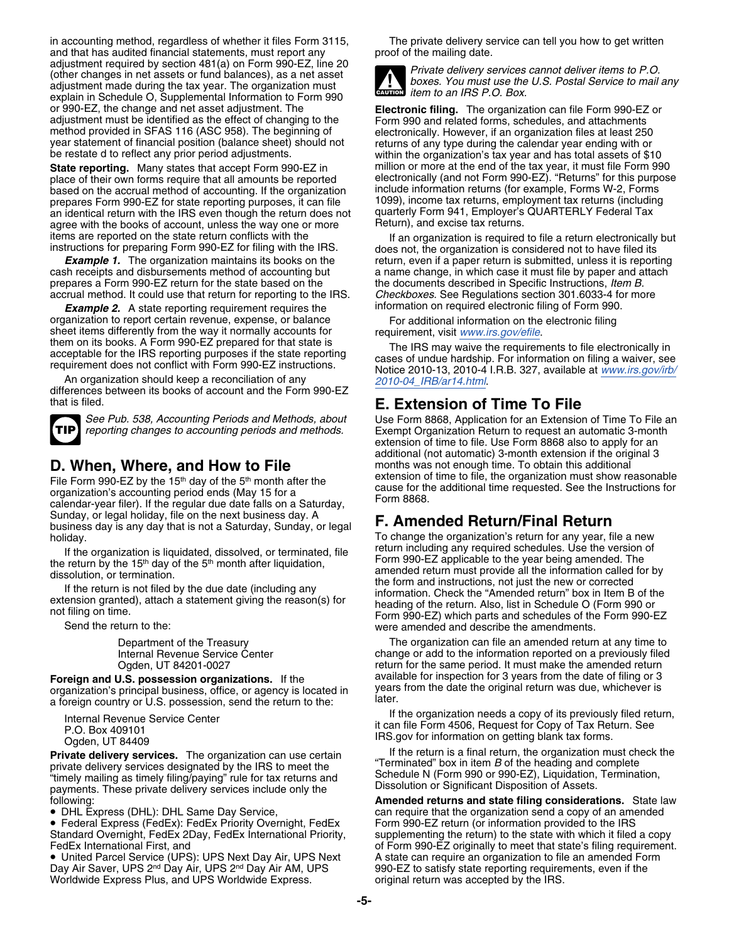in accounting method, regardless of whether it files Form 3115, The private delivery service can tell you how to get written and that has audited financial statements, must report any proof of the mailing date.<br>adjustment required by section 481(a) on Form 990-EZ, line 20 digital required by section For(a) on Form 350 EE, the Economic Private delivery services cannot deliver items to P.O.<br>adjustment made during the tax year. The organization must<br>digital term to an IDC B O. Boy. explain in Schedule O, Supplemental Information to Form 990 or 990-EZ, the change and net asset adjustment. The **Electronic filing.** The organization can file Form 990-EZ or adjustment must be identified as the effect of changing to the Form 990 and related forms, schedules, and attachments<br>Form 990 and related forms, schedules, and attachments method provided in SFAS 116 (ASC 958). The beginn method provided in SFAS 116 (ASC 958). The beginning of electronically. However, if an organization files at least 250<br>year statement of financial position (balance sheet) should not returns of any type during the calendar year statement of financial position (balance sheet) should not returns of any type during the calendar year ending with or<br>be restate d to reflect any prior period adjustments.<br>within the organization's tax year and has t

**State reporting.** Many states that accept Form 990-EZ in million or more at the end of the tax year, it must file Form 990 based on the accrual method of accounting. If the organization include information returns (for example, Forms W-2, Forms<br>prepares Form 990-EZ for state reporting purposes, it can file 1099), income tax returns, employment prepares Form 990-EZ for state reporting purposes, it can file 1099), income tax returns, employment tax returns (includin<br>an identical return with the IRS even though the return does not quarterly Form 941, Employer's QUA an identical return with the IRS even though the return does not quarterly Form 941, Employer's agree with the books of account, unless the way one or more Return, and excise tax returns. agree with the books of account, unless the way one or more items are reported on the state return conflicts with the

prepares a Form 990-EZ return for the state based on the the documents described in Specific Instructions, *Item B.*<br>accrual method. It could use that return for reporting to the IRS. Checkboxes. See Regulations section 30

**Example 2.** A state reporting requirement requires the organization to report certain revenue, expense, or balance organization to report certain revenue, expense, or balance<br>
sheet items differently from the way it normally accounts for<br>
them on its books. A Form 990-EZ prepared for that state is<br>
acceptable for the IRS reporting purp

differences between its books of account and the Form 990-EZ that is filed. **E. Extension of Time To File**



File Form 990-EZ by the 15<sup>th</sup> day of the 5<sup>th</sup> month after the<br>organization's accounting period ends (May 15 for a<br>cause for the additional time requested. See the Instructions for<br>calendar-year filer). If the regular du Sunday, or legal holiday, file on the next business day. A business day is any day that is not a Saturday, Sunday, or legal **F. Amended Return/Final Return**<br>holiday. To change the organization's return for any year, fi

organization's principal business, office, or agency is located in years original return to the date the date the original return was due to due the original return was due to due the original return was due to due to due a foreign country or U.S. possession, send the return to the:

**Private delivery services.** The organization can use certain<br>private delivery services designated by the IRS to meet the "Terminated" box in item B of the heading and complete<br>"timely mailing as timely filing/paying" rule

• DHL Express (DHL): DHL Same Day Service,

 $\bullet$  Federal Express (FedEx): FedEx Priority Overnight, FedEx  $\qquad \qquad$  Form 990-EZ return (or information provided to the IRS

• United Parcel Service (UPS): UPS Next Day Air, UPS Next A state can require an organization to file an amended Form Day Air Saver, UPS 2<sup>nd</sup> Day Air, UPS 2<sup>nd</sup> Day Air AM, UPS 990-EZ to satisfy state reporting requirements, even if the Worldwide Express.<br>Worldwide Express Plus, and UPS Worldwide Express. The original return was accepted Worldwide Express Plus, and UPS Worldwide Express.



*item to an IRS P.O. Box.*

within the organization's tax year and has total assets of \$10 place of their own forms require that all amounts be reported electronically (and not Form 990-EZ). "Returns" for this purpose based on the accrual method of accounting. If the organization include information returns (for

items are reported on the state return conflicts with the instructions is required to file a return electronically but<br>instructions for preparing Form 990-EZ for filing with the IRS.<br>**Example 1.** The organization maintains **Example 1.** The organization maintains its books on the return, even if a paper return is submitted, unless it is reporting cash receipts and disbursements method of accounting but a name change, in which case it must fil a name change, in which case it must file by paper and attach accrual method. It could use that return for reporting to the IRS. *Checkboxes*. See Regulations section 301.6033-4 for more proting requirement requires the **Example 2.** A state reporting requirement requires the **Example** 

*See Pub. 538, Accounting Periods and Methods, about* Use Form 8868, Application for an Extension of Time To File an **Exempt Organization Return to request an automatic 3-month** extension of time to file. Use Form 8868 also to apply for an additional (not automatic) 3-month extension if the original 3 **D. When, Where, and How to File** months was not enough time. To obtain this additional<br>File Ferm 990 EZ by the 15th day of the 5th month after the sextension of time to file, the organization must show reasonable

To change the organization's return for any year, file a new return including any required schedules. Use the version of If the organization is liquidated, dissolved, or terminated, file<br>the return including any required schedules. Use the version of<br>the return by the 15<sup>th</sup> day of the 5<sup>th</sup> month after liquidation,<br>dissolution, or terminati

Department of the Treasury The organization can file an amended return at any time to<br>Internal Revenue Service Center **The Contenting to the internation** reported on a previously filed change or add to the information reported on a previously filed Ogden, UT 84201-0027 return for the same period. It must make the amended return<br> **J.S. possession organizations**. If the **return is available for inspection for 3 years from** the date of filing or 3 **Foreign and U.S. possession organizations.** If the available for inspection for 3 years from the date of filing or 3 years from the date of tiling or 3 years from the date of tiling or 3 years from the date the original r

Internal Revenue Service Center<br>
P.O. Box 409101<br>
Ogden, UT 84409<br>
Vate delivery services The organization can use certain life the return is a final return, the organization must check the<br>
Vate delivery services The orga

following: **Amended returns and state filing considerations.** State law can require that the organization send a copy of an amended Standard Overnight, FedEx 2Day, FedEx International Priority, supplementing the return) to the state with which it filed a copy of Form 990-EZ originally to meet that state's filing requirement.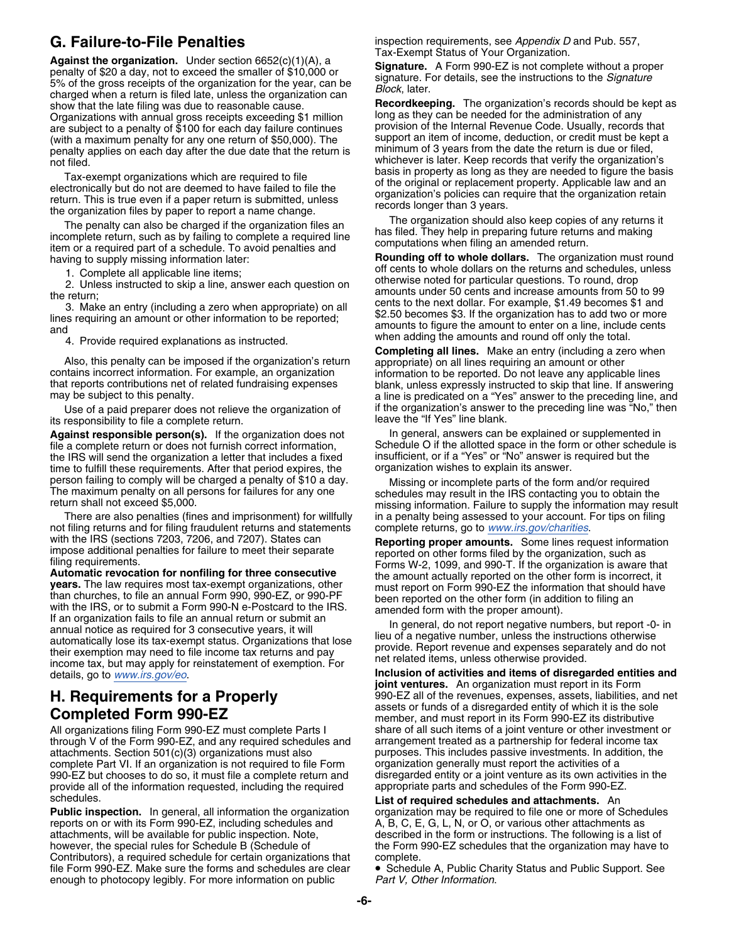**Against the organization.** Under section  $6652(c)(1)(A)$ , a<br>penalty of \$20 a day, not to exceed the smaller of \$10,000 or<br>5% of the gross receipts of the organization for the year, can be<br>charged when a return is filed late show that the late filing was due to reasonable cause.<br> **Recordkeeping.** The organization's records should be kept as<br>
Organizations with annual gross receipts exceeding \$1 million long as they can be needed for the admini Organizations with annual gross receipts exceeding \$1 million long as they can be needed for the administration of any<br>are subject to a penalty of \$100 for each day failure continues provision of the Internal Revenue Code. are subject to a penalty of \$100 for each day failure continues provision of the Internal Revenue Code. Usually, records that<br>(with a maximum penalty for any one return of \$50,000). The support an item of income, deduction (with a maximum penalty for any one return of \$50,000). The support an item of income, deduction, or credit must be kept and the return is due or filed,  $\frac{1}{100}$  penalty applies on each day after the due date that the r penalty applies on each day after the due date that the return is not filed.

Tax-exempt organizations which are required to file<br>electronically but do not are deemed to have failed to file<br>electronically but do not are deemed to have failed to file the<br>return. This is true even if a paper return is

Also, this penalty can be imposed if the organization's return appropriate) on all lines requiring an amount or other contains incorrect information. For example, an organization information to be reported. Do not leave an contains incorrect information. For example, an organization information to be reported. Do not leave any applicable lines<br>that reports contributions net of related fundraising expenses blank, unless expressly instructed t that reports contributions net of related fundraising expenses blank, unless expressly instructed to skip that line. If answering<br>a line is predicated on a "Yes" answer to the preceding line. and<br>a line is predicated on a

its responsibility to file a complete return.

file a complete return or does not furnish correct information, Schedule O if the allotted space in the form or other sched<br>the IRS will send the organization a letter that includes a fixed insufficient, or if a "Yes" or " the IRS will send the organization a letter that includes a fixed insufficient, or if a "Yes" or "No" answer is<br>time to fulfill these requirements. After that period expires, the organization wishes to explain its answer. time to fulfill these requirements. After that period expires, the

not filing returns and for filing fraudulent returns and statements

**years.** The law requires most tax-exempt organizations, other<br>than churches, to file an annual Form 990, 990-EZ, or 990-PF<br>with the IRS, or to submit a Form 990-N e-Postcard to the IRS.<br>If an organization fails to file an details, go to *[www.irs.gov/eo](http://www.irs.gov/eo)*. **Inclusion of activities and items of disregarded entities and**

through V of the Form 990-EZ, and any required schedules and attachments. Section  $501(c)(3)$  organizations must also complete Part VI. If an organization is not required to file Form 990-EZ but chooses to do so, it must file a complete return and disregarded entity or a joint venture as its own activities in the provide all of the information requested, including the required appropriate parts and sche provide all of the information requested, including the required

**Public inspection.** In general, all information the organization reports on or with its Form 990-EZ, including schedules and attachments, will be available for public inspection. Note, described in the form or instructions. The following is a list of however, the special rules for Schedule B (Schedule of the Form 990-EZ schedules that the organi Contributors), a required schedule for certain organizations that complete. file Form 990-EZ. Make sure the forms and schedules are clear • Schedule A, Public Charity Status and Public Support. See<br>enough to photocopy legibly. For more information on public *Part V, Other Information*. enough to photocopy legibly. For more information on public

**G. Failure-to-File Penalties** inspection requirements, see *Appendix D* and Pub. 557,<br>Tax-Exempt Status of Your Organization.

whichever is later. Keep records that verify the organization's

item or a required part of a schedule. To avoid penalties and<br>having to supply missing information later:<br>**Rounding off to whole dollars.** The organization must round<br>off cents to whole dollars on the returns and schedules 1. Complete all applicable line items;<br>
2. Unless instructed to skip a line, answer each question on<br>
the return;<br>
3. Make an entry (including a zero when appropriate) on all<br>
lines requiring an amount or other information

a line is predicated on a "Yes" answer to the preceding line, and Use of a paid preparer does not relieve the organization of if the organization's answer to the preceding line was "No," then<br>responsibility to file a complete return.

**Against responsible person(s).** If the organization does not In general, answers can be explained or supplemented in file a complete return or does not furnish correct information, Schedule O if the allotted space in the

person failing to comply will be charged a penalty of \$10 a day.<br>The maximum penalty on all persons for failures for any one<br>return shall not exceed \$5,000.<br>There are also penalties (fines and imprisonment) for willfully i in a penalty being assessed to your account. For tips on filing complete returns, go to *www.irs.gov/charities*.

with the IRS (sections 7203, 7206, and 7207). States can<br>impose additional penalties for failure to meet their separate<br>filing requirements.<br>In the organization, such as<br>**Automatic revocation for nonfiling for three consec** 

**joint ventures.** An organization must report in its Form **H. Requirements for a Properly** 990-EZ all of the revenues, expenses, assets, liabilities, and net **assets or funds of the revenues, expenses, assets, liabilities, and assets or funds of a disregarded entity of which it is the sole member, and must report in its Form 990-EZ its distributive All organizations filing Form** share of all such items of a joint venture or other investment or arrangement treated as a partnership for federal income tax purposes. This includes passive investments. In addition, the organization generally must report the activities of a

schedules.<br>**Public inspection.** In general, all information the organization organization may be required to file one or more of Schedules A, B, C, E, G, L, N, or O, or various other attachments as the Form 990-EZ schedules that the organization may have to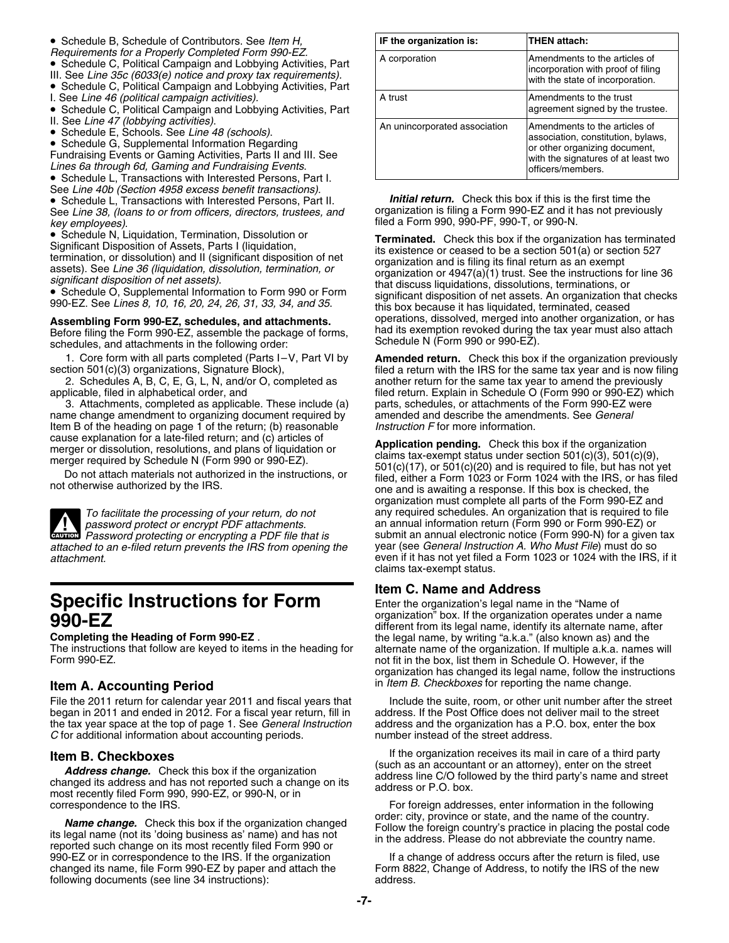- Schedule B, Schedule of Contributors. See *Item H,* **IF the organization is: THEN attach:** *Requirements for a Properly Completed Form 990-EZ.*<br>• Schedule C, Political Campaign and Lobbying Activities, Part
- 
- III. See Line 35c (6033(e) notice and proxy tax requirements).
- **Schedule C, Political Campaign and Lobbying Activities, Part** I. See Line 46 (political campaign activities).
- Schedule C, Political Campaign and Lobbying Activities, Part and the metal agreement signed by the trustee.
- 
- Schedule E, Schools. See Line 48 (schools).<br>**•** Schedule G, Supplemental Information Regarding

• Schedule L, Transactions with Interested Persons, Part I.

See *Line 40b (Section 4958 excess benefit transactions)*.

• Schedule L, Transactions with Interested Persons, Part II. See *Line 38, (loans to or from officers, directors, trustees, and key employees)* filed a Form 990, 990-PF, 990-T, or 990-N. .

• Schedule N, Liquidation, Termination, Dissolution or

Before filing the Form 990-EZ, assemble the package of forms, had its exemption revoked during the tax schedules and attachments in the following order:<br>Schedules and attachments in the following order:<br>Schedule N (Form 99 schedules, and attachments in the following order:

3. Attachments, completed as applicable. These include (a) parts, schedules, or attachments of the Form 990-EZ were<br>ne change amendment to organizing document required by amended and describe the amendments. See *General* name change amendment to organizing document required by Item B of the heading on page 1 of the return; (b) reasonable *Instruction F* for more information.<br>
cause explanation for a late-filed return; and (c) articles of



**CAUTION** *attached to an e-filed return prevents the IRS from opening the* 

# **Specific Instructions for Form**<br> **Specific Instructions for Form** Enter the organization's legal name in the "Name of **a** name

The instructions that follow are keyed to items in the heading for alternate name of the organization. If multiple a.k.a. names will<br>Form 990-EZ.<br>The box, list them in Schedule O. However, if the

File the 2011 return for calendar year 2011 and fiscal years that Include the suite, room, or other unit number after the street began in 2011 and ended in 2012. For a fiscal year return, fill in address. If the Post Office does not deliver mail to the street the tax year space at the top of page 1. See *General Instruction* address and the organization has a P.O. box, enter the box *C* for additional information about accounting periods. number instead of the street address.

**Item B. Checkboxes**<br> **Example.** Check this box if the organization<br>
changed its address and has not reported such a change on its<br>
most recently filed Form 990, 990-EZ, or 990-N, or in<br>
correspondence to the IRS.<br>
For for

**Name change.** Check this box if the organization changed<br>its legal name (not its 'doing business as' name) and has not<br>reported such change on its most recently filed Form 990 or<br>in the address. Please do not abbreviate t 990-EZ or in correspondence to the IRS. If the organization If a change of address occurs after the return is filed, use changed its name, file Form 990-EZ by paper and attach the Form 8822, Change of Address, to notify the IRS of the new<br>following documents (see line 34 instructions): entitled address. following documents (see line 34 instructions):

| • Schedule B, Schedule of Contributors. See Item H,<br>Requirements for a Properly Completed Form 990-EZ.<br>• Schedule C, Political Campaign and Lobbying Activities, Part<br>III. See Line 35c (6033(e) notice and proxy tax requirements).<br>• Schedule C, Political Campaign and Lobbying Activities, Part<br>l. See Line 46 (political campaign activities).<br>• Schedule C, Political Campaign and Lobbying Activities, Part<br>II. See Line 47 (lobbying activities).<br>• Schedule E, Schools. See Line 48 (schools).<br>• Schedule G, Supplemental Information Regarding<br>Fundraising Events or Gaming Activities, Parts II and III. See<br>Lines 6a through 6d, Gaming and Fundraising Events.<br>e, Oskaslula II. Tuomaastisma uutta listousetaal Doussina, Dout I. | IF the organization is:       | <b>THEN attach:</b>                                                                                                                                              |
|------------------------------------------------------------------------------------------------------------------------------------------------------------------------------------------------------------------------------------------------------------------------------------------------------------------------------------------------------------------------------------------------------------------------------------------------------------------------------------------------------------------------------------------------------------------------------------------------------------------------------------------------------------------------------------------------------------------------------------------------------------------------------------|-------------------------------|------------------------------------------------------------------------------------------------------------------------------------------------------------------|
|                                                                                                                                                                                                                                                                                                                                                                                                                                                                                                                                                                                                                                                                                                                                                                                    | A corporation                 | Amendments to the articles of<br>incorporation with proof of filing<br>with the state of incorporation.                                                          |
|                                                                                                                                                                                                                                                                                                                                                                                                                                                                                                                                                                                                                                                                                                                                                                                    | A trust                       | Amendments to the trust<br>agreement signed by the trustee.                                                                                                      |
|                                                                                                                                                                                                                                                                                                                                                                                                                                                                                                                                                                                                                                                                                                                                                                                    | An unincorporated association | Amendments to the articles of<br>association, constitution, bylaws,<br>or other organizing document,<br>with the signatures of at least two<br>officers/members. |

**Initial return.** Check this box if this is the first time the organization is filing a Form 990-EZ and it has not previously

<ul>\n<li> Schedule N, Liquidation, Termination, Dissolution or Signification and U (significant Disposition) and U (significant discussion) and U (significant discussion). See Line 36 (Jquidation, 36 (Jquidation, 37 (Jquidation, 38 (Jquidation, 38 (Jquidation, 38 (Jquidation, 38 (Jquidation, 38 (Jquidation, 38 (Jquidation, 38 (Jquidation, 38 (Jquidation, 38 (Jquidation, 38 (Jquidation, 38 (Jquidation, 38 (Jquidation, 38 (Jquidation, 38 (Jquidation, 38 (Jquidations, 38 (Jquidations, 38 (Jquidations significant disposition of the assets).<br>• Schedule O, Supplemental Information to Form 990 or Form significant disposition of net assets. An organization that checks<br>1990-EZ. See Lines 8, 10, 16, 20, 24, 26, 31, 33, 34, an **Assembling Form 990-EZ, schedules, and attachments.** operations, dissolved, merged into another organization, or has attach<br>Refore filing the Form 990-EZ, assemble the package of forms had its exemption revoked during the

1. Core form with all parts completed (Parts I–V, Part VI by **Amended return.** Check this box if the organization previously section 501(c)(3) organizations, Signature Block), filed a return with the IRS for the same tax year and is now filing<br>2. Schedules A, B, C, E, G, L, N, and/or O, completed as another return for the same tax year to amend another return for the same tax year to amend the previously applicable, filed in alphabetical order, and filed return. Explain in Schedule O (Form 990 or 990-EZ) which

cause explanation for a late-filed return; and (c) articles of<br>merger or dissolution, resolutions, and plans of liquidation or<br>merger required by Schedule N (Form 990 or 990-EZ).<br>Do not attach materials not authorized in organization must complete all parts of the Form 990-EZ and *To facilitate the processing of your return, do not* any required schedules. An organization that is required to file *password protect or encrypt PDF attachments.* an annual information return (Form 990 or Form 990-EZ) or *Paragering a Paragering a PDF is submit an annual electronic notice (Form 990-N) for a given tax year (see General Instruction A. Who Must File) must do so attachment.* even if it has not yet filed a Form 1023 or 1024 with the IRS, if it claims tax-exempt status.

### **Item C. Name and Address**

organization " box. If the organization operates under a name<br>different from its legal name, identify its alternate name, after<br>Completing the Heading of Form 990-EZ .<br>the legal name, by writing "a.k.a." (also known as) an **Completing the Heading of Form 990-EZ** . the legal name, by writing "a.k.a." (also known as) and the The instructions that follow are keyed to items in the heading for alternate name of the organization. If multiple a.k.a not fit in the box, list them in Schedule O. However, if the organization has changed its legal name, follow the instructions in *Item B. Checkboxes* for reporting the name change. **Item A. Accounting Period**

For foreign addresses, enter information in the following order: city, province or state, and the name of the country.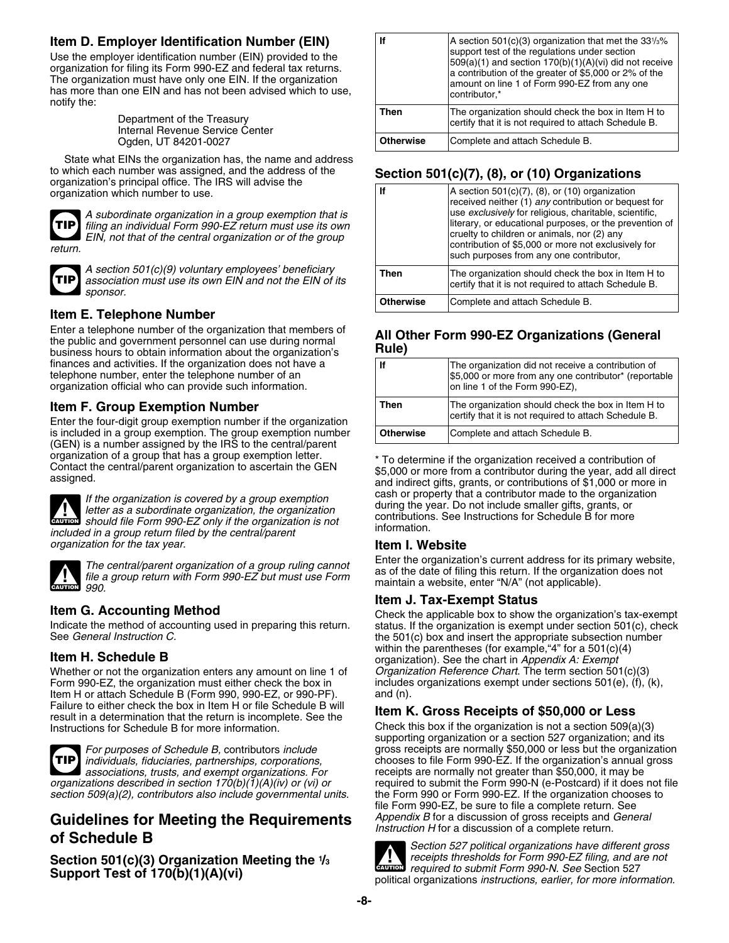### **Item D. Employer Identification Number (EIN)**

State what EINs the organization has, the name and address to which each number was assigned, and the address of the **Section 501(c)(7), (8), or (10) Organizations** organization's principal office. The IRS will advise the organization which number to use.





### **Item E. Telephone Number**

Enter a telephone number of the organization that members of<br>the public and government personnel can use during normal<br>business hours to obtain information about the organization's Rule) finances and activities. If the organization does not have a telephone number, enter the telephone number of an organization official who can provide such information.

**Them The Group Exemption Number<br>Forganization Exemption Number if the organization Enter the four-digit group exemption B. Enter the four-digi** is included in a group exemption. The group exemption number (GEN) is a number assigned by the IRS to the central/parent



*should file Form 990-EZ only if the organization is not* information. *included in a group return filed by the central/parent organization for the tax year.* **Item I. Website**



Whether or not the organization enters any amount on line 1 of *Organization Reference Chart*. The term section 501(c)(3)<br>Form 990-EZ, the organization must either check the box in includes organizations exempt under secti Form 990-EZ, the organization must either check the box in includes includes organization must either check the box in includes in the metal unit. The metal unit. The metal organization organization 5010 (m), and (n), (m), Item H or attach Schedule B (Form 990, 990-EZ, or 990-PF). Failure to either check the box in Item H or file Schedule B will<br>result in a determination that the return is incomplete. See the **Item K. Gross Receipts of \$50,000 or Less**<br>Instructions for Schedule B for more informati

**TIP** *section 509(a)(2), contributors also include governmental units.* 

# **Guidelines for Meeting the Requirements of Schedule B** *Section 527 political organizations have different gross*

| Item D. Employer Identification Number (EIN)<br>Use the employer identification number (EIN) provided to the<br>organization for filing its Form 990-EZ and federal tax returns.<br>The organization must have only one EIN. If the organization<br>has more than one EIN and has not been advised which to use,<br>notify the: | lf               | A section $501(c)(3)$ organization that met the $33\frac{1}{3}\%$<br>support test of the regulations under section<br>$509(a)(1)$ and section $170(b)(1)(A)(vi)$ did not receive<br>a contribution of the greater of \$5,000 or 2% of the<br>amount on line 1 of Form 990-EZ from any one<br>contributor.* |
|---------------------------------------------------------------------------------------------------------------------------------------------------------------------------------------------------------------------------------------------------------------------------------------------------------------------------------|------------------|------------------------------------------------------------------------------------------------------------------------------------------------------------------------------------------------------------------------------------------------------------------------------------------------------------|
| Department of the Treasury<br>Internal Revenue Service Center                                                                                                                                                                                                                                                                   | Then             | The organization should check the box in Item H to<br>certify that it is not required to attach Schedule B.                                                                                                                                                                                                |
| Ogden, UT 84201-0027                                                                                                                                                                                                                                                                                                            | <b>Otherwise</b> | Complete and attach Schedule B.                                                                                                                                                                                                                                                                            |

| organization´s principal office. The IRS will advise the                                                                                                                                                                              |                  |                                                                                                                                                                                                                                                                                                                                                                                 |
|---------------------------------------------------------------------------------------------------------------------------------------------------------------------------------------------------------------------------------------|------------------|---------------------------------------------------------------------------------------------------------------------------------------------------------------------------------------------------------------------------------------------------------------------------------------------------------------------------------------------------------------------------------|
| organization which number to use.<br>A subordinate organization in a group exemption that is<br>TIP] filing an individual Form 990-EZ return must use its own<br>EIN, not that of the central organization or of the group<br>return. |                  | A section $501(c)(7)$ , (8), or (10) organization<br>received neither (1) any contribution or bequest for<br>use exclusively for religious, charitable, scientific,<br>literary, or educational purposes, or the prevention of<br>cruelty to children or animals, nor (2) any<br>contribution of \$5,000 or more not exclusively for<br>such purposes from any one contributor, |
| A section $501(c)(9)$ voluntary employees' beneficiary<br><b>TIP</b> association must use its own EIN and not the EIN of its<br>sponsor.                                                                                              | Then             | The organization should check the box in Item H to<br>certify that it is not required to attach Schedule B.                                                                                                                                                                                                                                                                     |
|                                                                                                                                                                                                                                       | <b>Otherwise</b> | Complete and attach Schedule B.                                                                                                                                                                                                                                                                                                                                                 |

| lf               | The organization did not receive a contribution of<br>\$5,000 or more from any one contributor* (reportable<br>on line 1 of the Form 990-EZ), |
|------------------|-----------------------------------------------------------------------------------------------------------------------------------------------|
| Then             | The organization should check the box in Item H to<br>certify that it is not required to attach Schedule B.                                   |
| <b>Otherwise</b> | Complete and attach Schedule B.                                                                                                               |

organization of a group that has a group exemption letter. \* To determine if the organization received a contribution of Contact the central/parent organization to ascertain the GEN \$5,000 or more from a contributor during the year, add all direct assigned. and indirect gifts, grants, or contributions of \$1,000 or more in If the organization is covered by a group exemption<br>letter as a subordinate organization, the organization<br>contributions. See Instructions for Schedule B for more

The central/parent organization of a group ruling cannot<br>file a group return with Form 990-EZ but must use Form<br>naintain a website, enter "N/A" (not applicable).

**Item J. Tax-Exempt Status**<br>Indicate the organization's tax-exempt<br>Indicate the method of accounting used in preparing this return. status. If the organization is exempt under section 501(c), check Indicate the method of accounting used in preparing this return. status. If the organization is exempt under section 501(c), check<br>See General Instruction C. the 501(c) box and insert the appropriate subsection number within the parentheses (for example, "4" for a 501(c)(4) **Item H. Schedule B** organization). See the chart in *Appendix A: Exempt* 

supporting organization or a section 527 organization; and its *For purposes of Schedule B,* contributors *include* gross receipts are normally \$50,000 or less but the organization *individuals, fiduciaries, partnerships, corporations,* chooses to file Form 990-EZ. If the organization's annual gross *associations, trusts, and exempt organizations. For* receipts are normally not greater than \$50,000, it may be<br>vations described in section 170(b)(1)(A)(iv) or (vi) or required to submit the Form 990-N (e-Postcard) if it *organizations described in section 170(b)(1)(A)(iv) or (vi) or* required to submit the Form 990-N (e-Postcard) if it does not to section 509(a)(2), contributors also include governmental units. the Form 990 or Form 990-EZ file Form 990-EZ, be sure to file a complete return. See<br>Appendix B for a discussion of gross receipts and General *Instruction H* for a discussion of a complete return.

**Section 501(c)(3) Organization Meeting the 1/3**<br>**Support Test of 170(b)(1)(A)(vi)**<br>**Support Test of 170(b)(1)(A)(vi) CAUTION** *required to submit Form 990-N. See* Section 527 **!** political organizations *instructions*, earlier, for more information.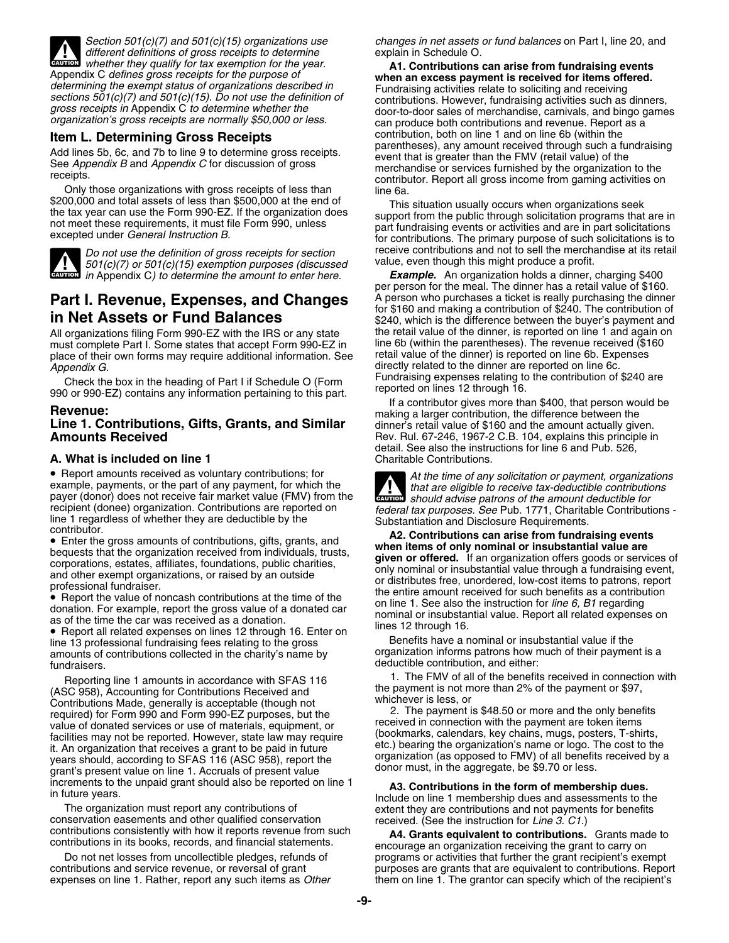

*different definitions of gross receipts to determine* explain in Schedule O. **CAUTION** *whether they qualify for tax exemption for the year.* **!**

Only those organizations with gross receipts of less than line 6a.<br>\$200,000 and total assets of less than \$500,000 at the end of



*501(c)(7) or 501(c)(15) exemption purposes (discussed* value, even though this might produce a profit. **in 1999** *in 2016 C*)(7) or 501(c)(15) exemption purposes (discussed value, even though this might produce a profit.<br> **Example.** An organization holds a dinner, charging \$400 **Example.** An organization holds a dinner, c

All organizations filing Form 990-EZ with the IRS or any state the retail value of the dinner, is reported on line 1 and again on<br>must complete Part I. Some states that accept Form 990-EZ in line 6b (within the parentheses must complete Part I. Some states that accept Form 990-EZ in line 6b (within the parentheses). The revenue received (\$1<br>place of their own forms may require additional information. See retail value of the dinner) is report place of their own forms may require additional information. See retail value of the dinner) is reported on line 6b. Exp<br>Appendix G.

# **Amounts Received Rev. Rul. 67-246, 1967-2 C.B. 104, explains this principle in**

### **A. What is included on line 1** Charitable Contributions.

• Report amounts received as voluntary contributions; for • Heport amounts received as voluntary contributions; for<br>example, payments, or the part of any payment, for which the<br>payer (donor) does not receive fair market value (FMV) from the<br>gay should advise patrons of the amount recipient (donee) organization. Contributions are reported on<br>
line 1 regardless of whether they are deductible by the<br>
contributions Substantiation and Disclosure Requirements.<br>
■ Enter the gross amounts of contributions

• Report all related expenses on lines 12 through 16. Enter on line 13 professional fundraising fees relating to the gross Benefits have a nominal or insubstantial value if the<br>amounts of contributions collected in the charity's name by organization informs patrons how much of their p amounts of contributions collected in the charity's name by deductible contribution, and either: fundraisers.

(ASC 958), Accounting for Contributions Received and the payment is not more than 2001)<br>Contributions Made, generally is acceptable (though not whichever is less, or Contributions Made, generally is acceptable (though not whichever is less, or<br>required) for Form 990 and Form 990-EZ purposes, but the 2. The payment is \$48.50 or more and the only benefits required) for Form 990 and Form 990-EZ purposes, but the<br>value of donated services or use of materials, equipment, or<br>facilities may not be reported. However, state law may require<br>it. An organization that receives a grant

conservation easements and other qualified conservation contributions consistently with how it reports revenue from such<br>contributions in its books, records, and financial statements.<br>encourage an organization receiving the grant to carry on

*Section 501(c)(7) and 501(c)(15) organizations use changes in net assets or fund balances* on Part I, line 20, and

A **1. Contributions can arise from fundraising events**<br>Appendix C defines gross receipts for the purpose of<br>determining the exempt status of organizations described in<br>sections 501(c)(7) and 501(c)(15). Do not use the defi **Item L. Determining Gross Receipts**<br>Add lines 5b, 6c, and 7b to line 9 to determine gross receipts.<br>See *Appendix B* and *Appendix C* for discussion of gross<br>receipts.<br>receipts.<br>receipts.<br>and *Appendix C* for discussion o

\$200,000 and total assets of less than \$500,000 at the end of<br>the tax year can use the Form 990-EZ. If the organization does<br>not meet these requirements, it must file Form 990, unless<br>excepted under *General Instruction B Do not use the definition of gross receipts for section* receive contributions and not to sell the merchandise at its retail *501(c)(7) or 501(c)(15) exemption purposes (discussed* value, even though this might produce a

per person for the meal. The dinner has a retail value of \$160. **Part I. Revenue, Expenses, and Changes** A person who purchases a ticket is really purchasing the dinner<br> **Part I. A. The contribution of**<br> **Part I. A. The contribution of in Net Assets or Fund Balances**  $$240$ , which is the difference between the buyer's payment and

Appendix G.<br>
Check the box in the heading of Part I if Schedule O (Form<br>
990 or 990-EZ) contains any information pertaining to this part.<br> **Revenue:**<br> **Revenue:**<br> **Revenue:**<br> **Revenue:**<br> **Revenue:**<br> **Revenue:**<br> **Revenue:**<br> detail. See also the instructions for line 6 and Pub. 526,



**CAUTION**<br> **CAUTION**<br> **Should advise patrons of the amount deductible for** 

• Enter the gross amounts of contributions, gifts, grants, and<br>bequests that the organization received from individuals, trusts,<br>corporations, estates, affiliates, foundations, public charities,<br>and other exempt organizati • Report the value of noncash contributions at the time of the entire amount received for such benefits as a contribution<br>
• Report the value of noncash contributions at the time of the<br>
donation. For example, report the g

Reporting line 1 amounts in accordance with SFAS 116 1. The FMV of all of the benefits received in connection with<br>SC 958), Accounting for Contributions Beceived and<br>SC 958), Accounting for Contributions Beceived and

increments to the unpaid grant should also be reported on line 1 **A3. Contributions in the form of membership dues.**<br>Include on line 1 membership dues and assessments to the<br>The organization must report any contributions o extent they are contributions and not payments for benefits received. (See the instruction for *Line 3. C1*.)

Do not net losses from uncollectible pledges, refunds of programs or activities that further the grant recipient's exempt contributions and service revenue, or reversal of grant purposes are grants that are equivalent to contributions. Report expenses on line 1. Rather, report any such items as *Other* them on line 1. The grantor can specify them on line 1. The grantor can specify which of the recipient's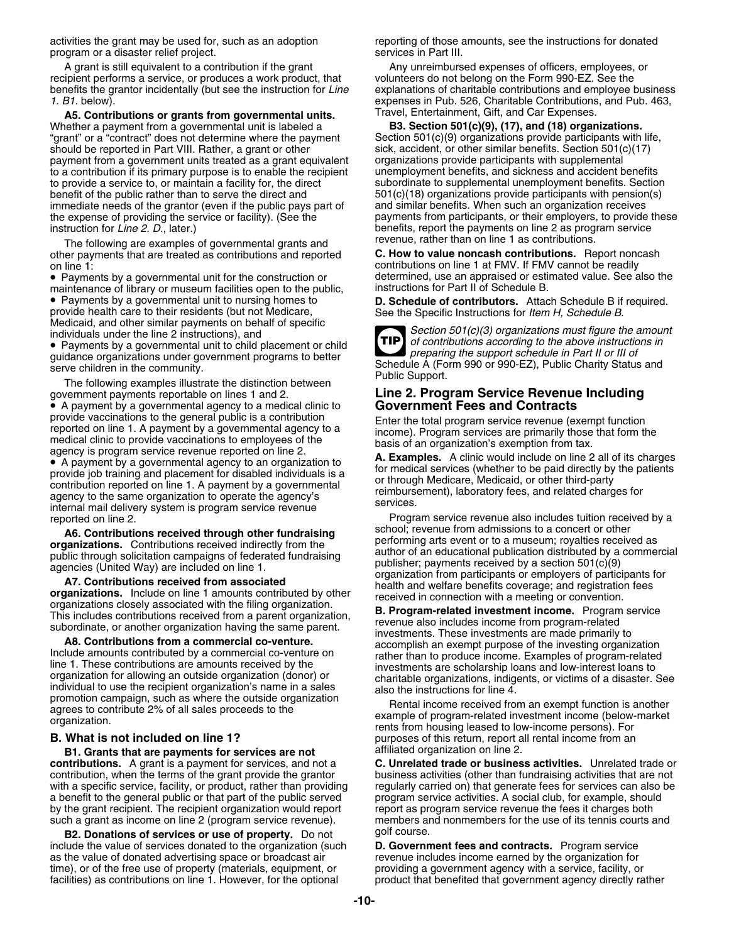program or a disaster relief project. Services in Part III.

benefits the grantor incidentally (but see the instruction for *Line 1. B1.* below).

A5. Contributions or grants from governmental units. Travel, Entertainment, Gift, and Car Expenses.<br>hether a payment from a governmental unit is labeled a **B3. Section 501(c)(9), (17), and (18) organizations.** Whether a payment from a governmental unit is labeled a **B3. Section 501(c)(9), (17), and (18) organizations.**<br>"grant" or a "contract" does not determine where the payment Section 501(c)(9) organizations provide participan "grant" or a "contract" does not determine where the payment Section 501(c)(9) organizations provide participants with life,<br>should be reported in Part VIII. Rather, a grant or other sick, accident, or other similar benefi should be reported in Part VIII. Rather, a grant or other sick, accident, or other similar benefits. Section 501(c)<br>payment from a government units treated as a grant equivalent organizations provide participants with supp payment from a government units treated as a grant equivalent organizations provide participants with supplemental<br>to a contribution if its primary purpose is to enable the recipient unemployment benefits, and sickness and to a contribution if its primary purpose is to enable the recipient unemployment benefits, and sickness and accident benefits<br>to provide a service to, or maintain a facility for, the direct subordinate to supplemental unem to provide a service to, or maintain a facility for, the direct benefit of the public rather than to serve the direct and immediate needs of the grantor (even if the public pays part of and similar benefits. When such an organization receives

The following are examples of governmental grants and strather than on line 1 as contributions.<br>En payments that are treated as contributions and reported **C. How to value noncash contributions.** Report noncash other payments that are treated as contributions and reported on line 1: contributions on line 1 at FMV. If FMV cannot be readily

• Payments by a governmental unit for the construction or maintenance of library or museum facilities open to the public,

• Payments by a governmental unit to nursing homes to • Payments by a governmental unit to nursing homes to<br>provide health care to their residents (but not Medicare,<br>Medicaid, and other similar payments on behalf of specific<br>individuals under the line 2 instructions), and<br>• P

provide vaccinations to the general public is a contribution<br>
reported on line 1. A payment by a governmental agency to a<br>
medical clinic to provide vaccinations to employees of the<br>
agency is program service revenue repor

• A payment by a governmental agency to an organization to<br>provide job training and placement for disabled individuals is a<br>contribution reported on line 1. A payment by a governmental<br>agency to the same organization to op

**B1. Grants that are payments for services are not** affiliated organization on line 2. contribution, when the terms of the grant provide the grantor business activities (other than fundraising activities that are not with a specific service, facility, or product, rather than providing regularly carried on) t a benefit to the general public or that part of the public served by the grant recipient. The recipient organization would report report as program service revenue the fees it charges both such a grant as income on line 2 (program service revenue). The members and nonmembers for the use

**B2. Donations of services or use of property.** Do not golf course.<br>lude the value of services donated to the organization (such **D. Government fees and contracts.** Program service include the value of services donated to the organization (such as the value of donated advertising space or broadcast air revenue includes income earned by the organization for time), or of the free use of property (materials, equipment, or expresiving a government agency with a service, facility, or facility, or  $\frac{1}{2}$  providing a government agency with a service, facility, or facilities) as

activities the grant may be used for, such as an adoption reporting of those amounts, see the instructions for donated

A grant is still equivalent to a contribution if the grant **Any unreimbursed expenses of officers**, employees, or<br>
Any unreimbursed expenses of officers, employees, or produces a work product, that volunteers do not belong recipient performs a service, or produces a work product, that volunteers do not belong on the Form 990-EZ. See the<br>benefits the grantor incidentally (but see the instruction for *Line* explanations of charitable contribut expenses in Pub. 526, Charitable Contributions, and Pub. 463,

 $501(c)(18)$  organizations provide participants with pension(s) the expense of providing the service or facility). (See the payments from participants, or their employers, to provide these instruction for Line 2. D., later.) benefits, report the payments on line 2 as program service

determined, use an appraised or estimated value. See also the instructions for Part II of Schedule B.

**Payments by a governmental unit to child placement or child preparing the support schedule in Part II or III of** guidance organizations under government programs to better **properior** *preparing the support schedule in* **TIP** guidance organizations under government programs to better Schedule A (Form 990 or 990-EZ), Public Charity Status and serve children in the community.<br>The following examples illustrate the distinction between Public Suppor

### government payments reportable on lines 1 and 2. **Line 2. Program Service Revenue Including**<br>• A payment by a governmental agency to a medical clinic to **Government Fees and Contracts** • A payment by a governmental agency to a medical clinic to **Government Fees and Contracts**

reported on line 2.<br>A Contributions received through other fundraising school; revenue from admissions to a concert or other

A6. Contributions received through other fundraising<br>
public through schools revenue from admissions to a concert or other<br>
public through solicitation carpaigns of federated fundraising<br>
public through solicitation carpai

marriaght of use the recipient organization shall in a sales<br>
promotion campaign, such as where the outside organization<br>
agrees to contribute 2% of all sales proceeds to the<br>
organization.<br> **B. What is not included on lin** purposes of this return, report all rental income from an

**contributions.** A grant is a payment for services, and not a **C. Unrelated trade or business activities.** Unrelated trade or regularly carried on) that generate fees for services can also be program service activities. A social club, for example, should members and nonmembers for the use of its tennis courts and

product that benefited that government agency directly rather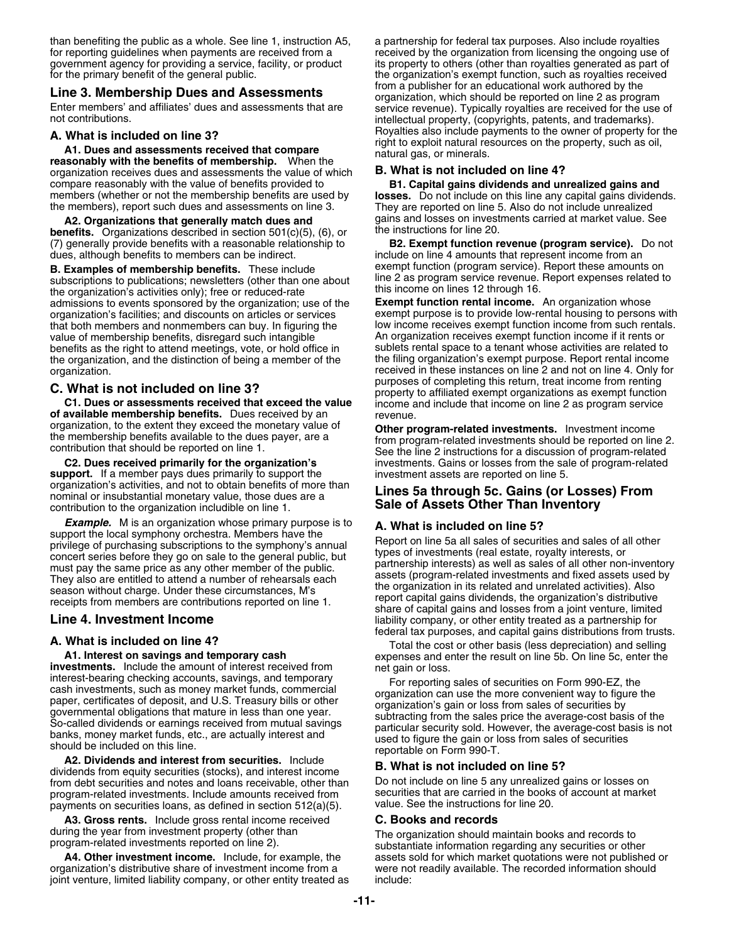than benefiting the public as a whole. See line 1, instruction A5, a partnership for federal tax purposes. Also include royalties for reporting guidelines when payments are received from a received by the organization from licensing the ongoing use of government agency for providing a service, facility, or product its property to others (other than r for the primary benefit of the general public. the organization's exempt function, such as royalties received

**A.** What is included on line 3?<br> **A1.** Dues and assessments received that compare<br>
right to exploit natural resources on the property, such as oil,<br>
reasonably with the benefits of membership. When the<br>
organization recei organization receives dues and assessments the value of which compare reasonably with the value of benefits provided to **B1. Capital gains dividends and unrealized gains and** the members), report such dues and assessments on line 3.

**benefits.** Organizations described in section 501(c)(5), (6), or

**B. Examples of membership benefits.** These include exempt function (program service). Report these amounts on<br>subscriptions to publications: newsletters (other than one about line 2 as program service revenue. Report expe subscriptions to publications; newsletters (other than one about the 2 as program service revenue. Report expenses relate<br>the organization's activities only); free or reduced-rate this income on lines 12 through 16.<br>admiss organization's facilities; and discounts on articles or services exempt purpose is to provide low-rental housing to persons with that both members and nonmembers can buy. In figuring the low income receives exempt function income from such rental<br>value of membership benefits, disregard such intangible An organization receives exempt function income value of membership benefits, disregard such intangible An organization receives exempt function income if it rents or<br>benefits as the right to attend meetings, vote, or hold office in sublets rental space to a tenant whos benefits as the right to attend meetings, vote, or hold office in sublets rental space to a tenant whose activities are related to the organization, and the distinction of being a member of the tiling organization's exempt the organization, and the distinction of being a member of the

**support.** If a member pays dues primarily to support the organization's activities, and not to obtain benefits of more than nominal or insubstantial monetary value, those dues are a **Lines 5a through 5c. Gains (or Losses) From** contribution to the organization includible on line 1.

**Example.** M is an organization whose primary purpose is to<br>support the local symphony orchestra. Members have the<br>privilege of purchasing subscriptions to the symphony's annual<br>concert series before they go on sale to the must pay the same price as any other member of the public. partnership interests) as well as sales of all other non-inventory<br>They also are entitled to attend a number of repearsels each assets (program-related investments

**A. What is included on line 4?**<br> **A. What is included on line 4?**<br> **A1. Interest on savings and temporary cash**<br> **investments.** Include the amount of interest received from<br> **investments** and emporary cash<br>
investments, s

**A2. Dividends and interest from securities.** Include<br>dividends from equity securities (stocks), and interest income<br>from debt securities and notes and loans receivable, other than Do not include on line 5 any unrealized g from debt securities and notes and loans receivable, other than Do not include on line 5 any unrealized gains or losses on<br>program-related investments, Include amounts received from securities that are carried in the books program-related investments. Include amounts received from securities that are carried in the books payments on securities loans as defined in section 512(a)(5) value. See the instructions for line 20. payments on securities loans, as defined in section 512(a)(5).

**A3. Gross rents.** Include gross rental income received **C. Books and records** during the year from investment property (other than The organization should m

organization's distributive share of investment income from a were not readily available. The recorded information should joint venture, limited liability company, or other entity treated as include:

its property to others (other than royalties generated as part of **Line 3. Membership Dues and Assessments**<br>
Enter members' and affiliates' dues and assessments that are<br>
not contributions.<br>
A What is included on line 32<br>
A What is included on line 32<br>
A What is included on line 32<br>
a wh

losses. Do not include on this line any capital gains dividends.<br>They are reported on line 5. Also do not include unrealized **A2. Organizations that generally match dues and** gains and losses on investments carried at market value. See<br>nefits Craanizations described in section 501(c)(5) (6) or the instructions for line 20.

(7) generally provide benefits with a reasonable relationship to **B2. Exempt function revenue (program service).** Do not dues, although benefits to members can be indirect.<br> **B. Examples of membership benefits.** These include exempt function (program service). Report these amounts on

admissions to events sponsored by the organization; use of the **Exempt function rental income.** An organization whose organization.<br>
received in these instances on line 2 and not on line 4. Only for<br>
purposes of completing this return, treat income from renting **C. What is not included on line 3?**<br>C1. Dues or assessments received that exceed the value<br>of available membership benefits. Dues received by an<br>revenue.

organization, to the extent they exceed the monetary value of<br>the **net program-related investments.** Investment income<br>tremembership benefits available to the dues payer, are a<br>contribution that should be reported on line investments. Gains or losses from the sale of program-related investment assets are reported on line 5.

They also are entitled to attend a number of rehearsals each<br>season without charge. Under these circumstances, M's<br>receipts from members are contributions reported on line 1.<br>Line 4. Investment Income<br>liability company, or liability company, or other entity treated as a partnership for federal tax purposes, and capital gains distributions from trusts.

during the year from investment property (other than The organization should maintain books and records to program-related investments reported on line 2). Substantiate information regarding any securities or other **A4. Other investment income.** Include, for example, the assets sold for which market quotations were not published or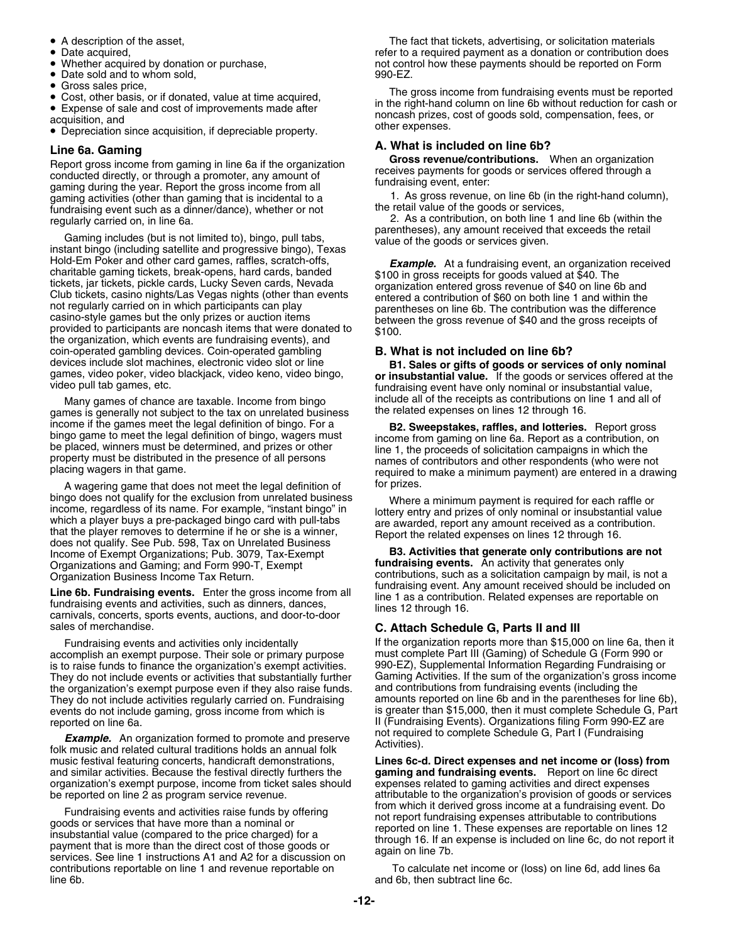- A description of the asset,
- Date acquired,
- •
- Date sold and to whom sold, 990-EZ.
- Gross sales price,
- 
- 
- 
- Depreciation since acquisition, if depreciable property.

**Example 68.** Carrying the sample of the sample of the organization<br>
Report gross income from gaming in line 6a if the organization<br>
conducted directly, or through a promoter, any amount of<br>
gaming during the year. Report gaming activities (other than gaming that is incidental to a 1. As gross revenue, on line 6b (in the right-hand column),  $\frac{1}{2}$  and  $\frac{1}{2}$  and  $\frac{1}{2}$  and  $\frac{1}{2}$  and  $\frac{1}{2}$  and  $\frac{1}{2}$  and  $\frac{1}{2}$  and  $\frac$ fundraising event such as a dinner/dance), whether or not

Gaming includes (but is not limited to), bingo, pull tabs, value of the goods or services given.<br>
instant bingo (including satellite and progressive bingo), Texas<br>
Hold-Em Poker and other card games, raffles, scratch-offs, Hold-Em Poker and other card games, raffles, scratch-offs,<br>charitable gaming tickets, break-opens, hard cards, banded<br>tickets, jar tickets, pickle cards, Lucky Seven cards, Nevada<br>Club tickets, casino nights/Las Vegas nigh coin-operated gambling devices. Coin-operated gambling **B. What is not included on line 6b?**

Many games of chance are taxable. Income from bingo include all of the receipts as contributions on line 12 through 16.<br>The related expenses on lines 12 through 16. games is generally not subject to the tax on unrelated business income if the games meet the legal definition of bingo. For a

A wagering game that does not meet the legal definition of for prizes.<br>bingo does not qualify for the exclusion from unrelated business Where bingo does not qualify for the exclusion from unrelated business<br>income, regardless of its name. For example, "instant bingo" in<br>which a player buys a pre-packaged bingo card with pull-tabs<br>that the player removes to deter Income of Exempt Organizations; Pub. 3079, Tax-Exempt **Fundraising events.** An activity that generates only contributions<br>Organizations and Gaming; and Form 990-T, Exempt **fundraising events.** An activity that generates on

Line 6b. Fundraising events. Enter the gross income from all<br>fundraising events and activities, such as dinners, dances,<br>carnivals, concerts, sports events, auctions, and door-to-door<br>carnivals, concerts, sports events, au sales of merchandise. **C. Attach Schedule G, Parts II and III**

accomplish an exempt purpose. Their sole or primary purpose must complete Part III (Gaming) of Schedule G (Form 990 or is to raise funds to finance the organization's exempt activities. 990-EZ), Supplemental Information Regarding Fundraising or<br>They do not include events or activities that substantially further Gaming Activities. If the su They do not include events or activities that substantially further Gaming Activities. It the sum of the organization's gross including the<br>the organization's exempt purpose even if they also raise funds. and contributions the organization's exempt purpose even if they also raise funds. and contributions from fundraising events (including the<br>They do not include activities regularly carried on. Fundraising amounts reported on line 6b and in They do not include activities regularly carried on. Fundraising

**Example.** An organization formed to promote and preserve folk music and related cultural traditions holds an annual folk **Activities**). music festival featuring concerts, handicraft demonstrations, **Lines 6c-d. Direct expenses and net income or (loss) from** and similar activities. Because the festival directly furthers the **gaming and fundraising events.** Report on line 6c direct expenses organization's exempt purpose, income from ticket sales should expenses related to gamin organization's exempt purpose, income from ticket sales should be reported on line 2 as program service revenue. attributable to the organization's provision of goods or services

contributions reportable on line 1 and revenue reportable on To calculate net income or (loss) on line 6d, add lines 6a

The fact that tickets, advertising, or solicitation materials Date acquired,<br>Whether acquired by donation or purchase,<br>Mhether acquired by donation or purchase,<br>Download the refer to a required payments should be reported on Form not control how these payments should be reported on Form

Gross sales price,<br>Cost, other basis, or if donated, value at time acquired, The gross income from fundraising events must be reported • Cost, other basis, or if donated, value at time acquired, in the right-hand column on line 6b without reduction for cash or •Expense of sale and cost of improvements made after noncash prizes, cost of goods sold, compensation, fees, or acquisition, and  $\frac{1}{2}$  and  $\frac{1}{2}$  other expenses.

regularly carried on, in line 6a.<br>
2. As a contribution, on both line 1 and line 6b (within the<br>
parentheses), any amount received that exceeds the retail

devices include slot machines, electronic video slot or line **B1. Sales or gifts of goods or services of only nominal**<br>games, video poker, video blackjack, video keno, video bingo,<br>video pull tab games, etc.<br>Many games of

income if the games meet the legal definition of bingo. For a<br>bingo game to meet the legal definition of bingo, wagers must<br>be placed, winners must be determined, and prizes or other<br>property must be distributed in the pre

Organization Business Income Tax Return. Contributions, such as a solicitation campaign by mail, is not a<br>Line Ch. Eventations, such as a solicitation campaign by mail, is not a<br>Line Ch. Eventations such a solicitation cam

Fundraising events and activities only incidentally **If the organization reports more than \$15,000** on line 6a, then it<br>complish an exempt purpose. Their sole or primary purpose must complete Part III (Gaming) of Schedule events do not include gaming, gross income from which is is greater than \$15,000, then it must complete Schedule G, Part<br>Il (Fundraising Events). Organizations filing Form 990-EZ are II (Fundraising Events). Organizations filing Form 990-EZ are<br>not required to complete Schedule G, Part I (Fundraising

Fundraising events and activities raise funds by offering<br>goods or services that have more than a nominal or<br>insubstantial value (compared to the price charged) for a<br>payment that is more than the direct cost of those good

and 6b, then subtract line 6c.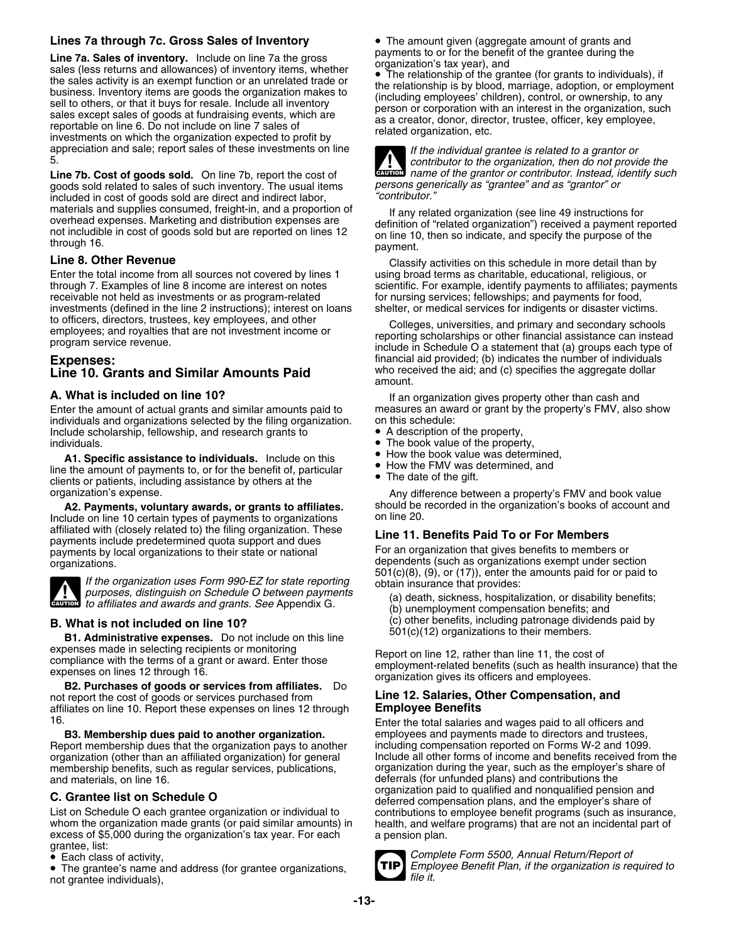**Line 7a. Sales of inventory.** Include on line 7a the gross sales (less returns and allowances) of inventory items, whether the sales activity is an exempt function or an unrelated trade or • • The relationship of the gran She is an above the subsettions and above the subsettions and above the subsettivity is an exempt function or an unrelated trade or<br>business. Inventory items are goods the organization makes to<br>sell to others, or that it b appreciation and sale; report sales of these investments on line *If the individual grantee is related to a grantor or* 5.

**Line 7b. Cost of goods sold.** On line 7b, report the cost of goods sold related to sales of such inventory. The usual items *persons generically as "grantee" and as "grantor" or* included in cost of goods sold are direct and indirect labor, *materials and supplies consumed, freight-in, and a proportion of* 

Enter the total income from all sources not covered by lines 1 through 7. Examples of line 8 income are interest on notes receivable not held as investments or as program-related for nursing services; fellowships; and payments for food,<br>investments (defined in the line 2 instructions); interest on loans shelter, or medical services for indige investments (defined in the line 2 instructions); interest on loans to officers, directors, trustees, key employees, and other

### **Line 10. Grants and Similar Amounts Paid**

Enter the amount of actual grants and similar amounts paid to measures an award or grant by the property's FMV, also show<br>individuals and organizations selected by the filing organization. on this schedule: individuals and organizations selected by the filing organization. on this schedule:<br>Include scholarship, fellowship, and research grants to **A** description of the property Include scholarship, fellowship, and research grants to **•**  $\bullet$  **•** individuals.

A1. Specific assistance to individuals. Include on this <sup>•</sup> How the book value was determined<br>• the amount of payments to or for the benefit of particular • How the FMV was determined, and line the amount of payments to, or for the benefit of, particular  $\bullet$  How the FMV was determined and line of the pift. clients or patients, including assistance by others at the organization's expense. Any difference between a property's FMV and book value

Include on line 10 certain types of payments to organizations affiliated with (closely related to) the filing organization. These affiliated with (closely related to) the filling organization. These **Line 11. Benefits Paid To or For Members**<br>
payments include predetermined quota support and dues<br>
For an organization that gives benefits to members or payments by local organizations to their state or national organizations.



If the organization uses Form 990-EZ for state reporting<br>
If the organization uses Form 990-EZ for state reporting<br>
purposes, distinguish on Schedule O between payments<br>
to affiliates and awards and grants. See Appendix G. **COLOGY** to affiliates and awards and grants. See Appendix G.

# **B. What is not included on line 10?** (c) other benefits, including patronage dividends paid by<br>501(c)(12) organizations to their members.

**B1. Administrative expenses.** Do not include on this line

not report the cost of goods or services purchased from **Line 12. Salaries, C**<br>affiliates on line 10. Report these expenses on lines 12 through **Employee Benefits** affiliates on line 10. Report these expenses on lines 12 through 16. Enter the total salaries and wages paid to all officers and

**B3. Membership dues paid to another organization.** employees and payments made to directors and trustees, port me<br>port membership dues that the organization pays to another including compensation reported on Forms W-2 and organization (other than an affiliated organization) for general membership benefits, such as regular services, publications, organization during the year, such as the employer's share of and materials, on line 16.

List on Schedule O each grantee organization or individual to contributions to employee benefit programs (such as insurance, whom the organization made grants (or paid similar amounts) in health, and welfare programs) that are not an incidental part of excess of \$5,000 during the organization's tax year. For each a pension plan. grantee, list:

• Each class of activity,

• The grantee's name and address (for grantee organizations, *Employee Benefit Plan, if the organization is required to* not grantee individuals), *file it. file it.* 

**Lines 7a through 7c. Gross Sales of Inventory** • The amount given (aggregate amount of grants and payments to or for the benefit of the grantee during the

# **CAUTION**<br> **CAUTION**<br> **CAUTION**<br> **CAUTION**<br> **CAUTION**<br> **CAUTION**<br> **CAUTION**<br> **CAUTION**<br> **CAUTION**<br> **CAUTION**<br> **CAUTION**<br> **CAUTION**<br> **CAUTION**

materials and supplies consumed, reight-in, and a proportion of<br>overhead expenses. Marketing and distribution expenses are<br>not includible in cost of goods sold but are reported on lines 12<br>through 16.<br>through 16.

**Line 8. Other Revenue**<br> **Enter the total income from all sources not covered by lines 1** Using broad terms as charitable, educational, religious, or scientific. For example, identify payments to affiliates; payments for nursing services; fellowships; and payments for food,

to officers, directors, trustees, key employees, and other<br>employees; and royalties that are not investment income or<br>program service revenue.<br>include in Schedule O a statement that (a) groups each type of **Expenses:**<br>**I ine 10 Grants and Similar Amounts Paid** who received the aid; and (c) specifies the aggregate dollar amount.

**A. What is included on line 10?** If an organization gives property other than cash and

- 
- The book value of the property,
- How the book value was determined,
- 
- 

**A2. Payments, voluntary awards, or grants to affiliates.** Should be recorded in the organization's books of account and<br>Jude on line 10 certain types of nayments to organizations on line 20.

dependents (such as organizations exempt under section  $501(c)(8)$ , (9), or (17)), enter the amounts paid for or paid to

- 
- (b) unemployment compensation benefits; and
- 
- 

expenses made in selecting recipients or monitoring<br>
compliance with the terms of a grant or award. Enter those<br>
expenses on lines 12 through 16.<br> **B2. Purchases of goods or services from affiliates.** Do<br>
not report the co

Report membership dues that the organization pays to another including compensation reported on Forms W-2 and 1099.<br>Corganization (other than an affiliated organization) for general linclude all other forms of income and b deferrals (for unfunded plans) and contributions the<br>organization paid to qualified and nonqualified pension and **C. Grantee list on Schedule O**<br>C. Grantee list on Schedule organization or individual to<br>Contributions to employee benefit programs (such as insura



Complete Form 5500, Annual Return/Report of<br>**Employee Benefit Plan, if the organization is required to**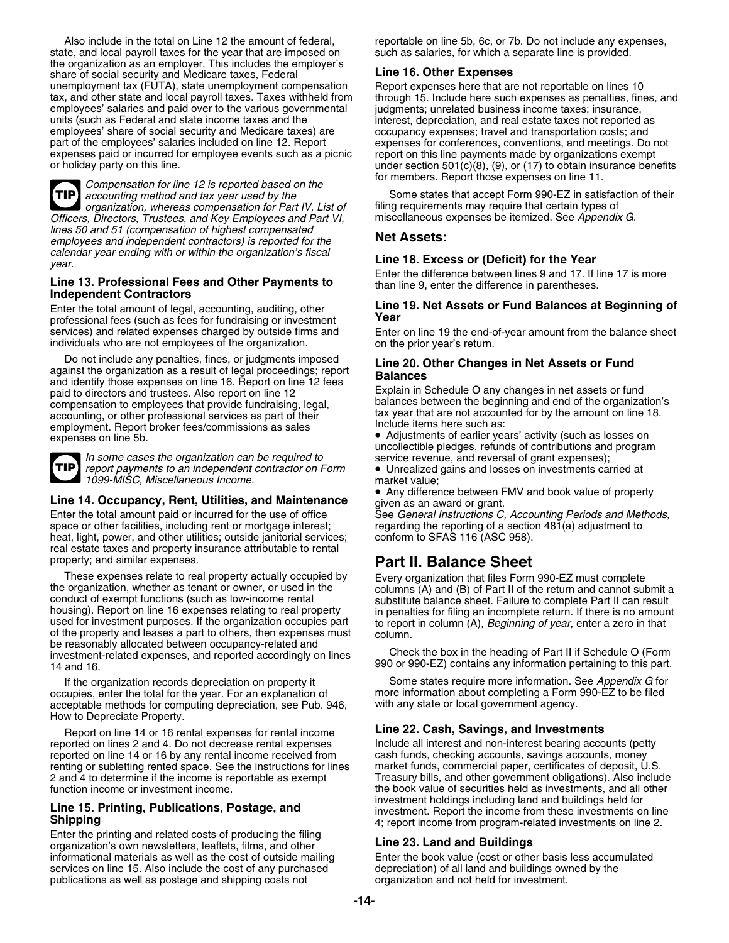state, and local payroll taxes for the year that are imposed on such as salaries, for which a separate line is provided. the organization as an employer. This includes the employer's share of social security and Medicare taxes, Federal **Line 16. Other Expenses** unemployment tax (FUTA), state unemployment compensation Report expenses here that are not reportable on lines 10<br>
tax, and other state and local payroll taxes. Taxes withheld from through 15. Include here such expenses as employees' salaries and paid over to the various governmental units (such as Federal and state income taxes and the employees' share of social security and Medicare taxes) are part of the employees' salaries included on line 12. Report part of the employees' salaries included on line 12. Report expenses for conferences, conventions, and meetings. Do not expenses paid or incurred for employee events such as a picnic report on this line payments made by or expenses paid or incurred for employee events such as a picnic report on this line payments made by organizations exempt<br>under section 501(c)(8), (9), or (17) to obtain insurance bene

**TIP**

Compensation for line 12 is reported based on the accounting method and tax year used by the *Officers, Directors, Trustees, and Key Employees and Part VI, lines 50 and 51 (compensation of highest compensated employees and independent contractors) is reported for the* **Net Assets:** *calendar year ending with or within the organization's fiscal* **Line 18. Excess or (Deficit) for the Year** *year.*

# Enter 13. Professional Fees and Other Payments to<br>
Independent Contractors<br>
Enter the difference in parentheses.<br> **Inter the difference in parentheses.**<br> **Line 19. Net Assets or Fund Balances at Beginning of**

Enter the total amount of legal, accounting, auditing, other **LINE**<br>1981 - Professional fees (such as fees for fundraising or investment professional fees (such as fees for fundraising or investment services) and related expenses charged by outside firms and individuals who are not employees of the organization. The on the prior year's return.

Do not include any penalties, fines, or judgments imposed<br>
against the organization as a result of legal proceedings; report<br>
and identify those expenses on line 16. Report on line 12 fees<br>
paid to directors and trustees. paid to directors and trustees. Also report on line 12 Explain in Schedule O any changes in net assets or fund<br>compensation to employees that provide fundraising Jegal balances between the beginning and end of the organiza compensation to employees that provide fundraising, legal,<br>accounting, or other professional services as part of their tax year that are not accounted for by the amount on line 18. accounting, or other professional services as part of their that are not accounting, or other professional services as part of their  $\frac{1}{\text{rank}}$  and line 18. employment. Report broker fees/commissions as sales expenses on line 5b. • Adjustments of earlier years' activity (such as losses on

**TIP**

*In some cases the organization can be required to* service revenue, and reversal of grant expenses);<br>
report payments to an independent contractor on Form **.** Unrealized gains and losses on investments can **1099-MISC, Miscellaneous Income.** market value;

Enter the total amount paid or incurred for the use of office See *General Instructions C, Accounting Periods and Methods*, space or other facilities, including rent or mortgage interest; regarding the reporting of a section 481(a) adjustment to heat, light, power, and other utilities; outside janitorial services; conform to SFAS 116 (ASC 958). heat, light, power, and other utilities; outside janitorial services; real estate taxes and property insurance attributable to rental property; and similar expenses.

These expenses relate to real property actually occupied by<br>the organization that files Form 990-EZ must complete<br>the organization, whether as tenant or owner, or used in the<br>conduct of exempt functions (such as low-income used for investment purposes. If the organization occupies part to report in column (A), Beginning of year, enter a zero in that of the property and leases a part to others, then expenses must column. be reasonably allocated between occupancy-related and investment-related expenses, and reported accordingly on lines Check the box in the heading of Part II if Schedule O (Form 990 or 990-EZ) contains any information pertaining to this part. 14 and 16.

occupies, enter the total for the year. For an explanation of more information about completing a Form acceptable methods for computing depreciation, see Pub. 946. With any state or local government agency. acceptable methods for computing depreciation, see Pub. 946, How to Depreciate Property.

Report on line 14 or 16 rental expenses for rental income **Line 22. Cash, Savings, and Investments** reported on lines 2 and 4. Do not decrease rental expenses linclude all interest and non-interest bearing accounts (petty reported on line 14 or 16 by any rental income received from cash funds, checking accounts, savings reported on line 14 or 16 by any rental income received from renting or subletting rented space. See the instructions for lines renting or subletting rented space. See the instructions for lines market funds, commercial paper, certificates of deposit, U.S.<br>2 and 4 to determine if the income is reportable as exempt Treasury bills, and other governme function income or investment income. The book value of securities held as investments, and all other

Enter the printing and related costs of producing the filing organization's own newsletters, leaflets, films, and other **Line 23. Land and Buildings** informational materials as well as the cost of outside mailing Enter the book value (cost or other basis less accumulated services on line 15. Also include the cost of any purchased depreciation) of all land and buildings owned by the publications as well as postage and shipping costs not organization and not held for investment. publications as well as postage and shipping costs not

Also include in the total on Line 12 the amount of federal, reportable on line 5b, 6c, or 7b. Do not include any expenses,

through 15. Include here such expenses as penalties, fines, and judgments; unrelated business income taxes; insurance, interest, depreciation, and real estate taxes not reported as occupancy expenses; travel and transportation costs; and under section 501(c)(8), (9), or (17) to obtain insurance benefits for members. Report those expenses on line 11.

Some states that accept Form 990-EZ in satisfaction of their *organization, whereas compensation for Part IV, List of* filing requirements may require that certain types of

Enter on line 19 the end-of-year amount from the balance sheet

uncollectible pledges, refunds of contributions and program

• Unrealized gains and losses on investments carried at

• Any difference between FMV and book value of property Any difference between FMV and book value of property **Line 14. Occupancy, Rent, Utilities, and Maintenance** given as an award or grant.

### **Part II. Balance Sheet**

If the organization records depreciation on property it Some states require more information. See *Appendix G* for<br>supies, enter the total for the year. For an explanation of more information about completing a Form 990-EZ

Treasury bills, and other government obligations). Also include investment holdings including land and buildings held for<br> **Shipping**<br>
4; report income from program-related investments on line 2.<br>
4; report income from program-related investments on line 2.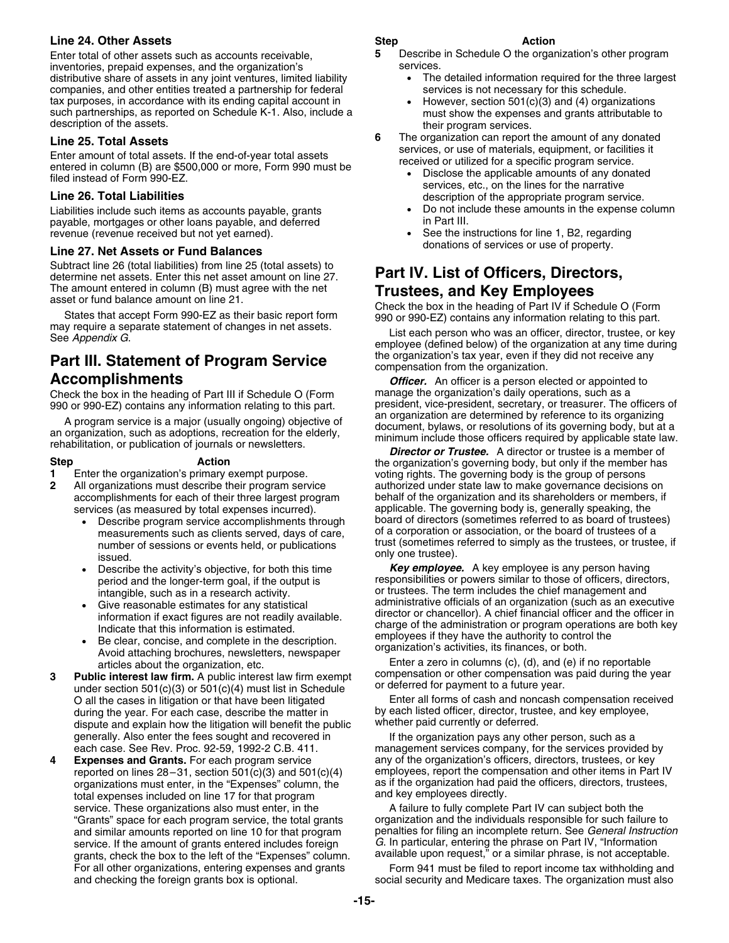### **Line 24. Other Assets Step Step Action**

inventories, prepaid expenses, and the organization's services.<br>
distributive share of assets in any joint ventures, limited liability **and the detailed information required for the three largest** distributive share of assets in any joint ventures, limited liability **•** The detailed information required for the three companies, and other entities treated a partnership for federal services is not necessary for this s companies, and other entities treated a partnership for federal services is not necessary for this schedule.<br>
tax purposes, in accordance with its ending capital account in **a services is not necessary for this schedule** tax purposes, in accordance with its ending capital account in **• However, section 501(c)(3) and (4) organizations**<br>such partnerships, as reported on Schedule K-1. Also, include a **•** must show the expenses and grants attr such partnerships, as reported on Schedule K-1. Also, include a must show the expense<br>description of the assets. their program services.

Liabilities include such items as accounts payable, grants • Do not inc<br>
payable mortgages or other loans payable, and deferred in Part III. payable, mortgages or other loans payable, and deferred in Part III.<br> **ightarrow of Part III.**<br>
• See the instructions for line 1, B2, regarding

### **Line 27. Net Assets or Fund Balances**

Subtract line 26 (total liabilities) from line 25 (total assets) to determine net assets. Enter this net asset amount on line 27.

Trustees, and Key Employees<br>asset or fund balance amount on line 21.<br>States that accept Form 990-EZ as their basic report form<br>may require a separate statement of changes in net assets.<br>See *Appendix G*.<br>See *Appendix G*.<br>

# **Part III. Statement of Program Service** the organization's tax year, even if they did not receive any compensation from the organization.<br>**Accomplishments computed to** *Officer.* An officer is a person elected or appo

A program service is a major (usually ongoing) objective of<br>an organization are determined by referrice to its organization<br>an organization, such as adoptions, recreation for the elderly,<br>rehabilitation, or publication of

- 
- services (as measured by total expenses incurred).
	- •
	-
	-
	- Avoid attaching brochures, newsletters, newspaper
- **3** Public interest law firm. A public interest law firm exempt compensation or other compensation was under section 501(c)(3) or 501(c)(4) must list in Schedule or deferred for payment to a future year.<br>O all the cases in during the year. For each case, describe the matter in by each listed officer, director, trustee, and key employee, dispute and explain how the litigation will benefit the public whether paid currently or deferred. dispute and explain how the litigation will benefit the public generally. Also enter the fees sought and recovered in If the organization pays any other person, such as a<br>each case. See Rev. Proc. 92-59, 1992-2 C.B. 411. The management services company, for the services provident
- **<sup>4</sup> Expenses and Grants.** For each program service any of the organization's officers, directors, trustees, or key organizations must enter, in the "Expenses" column, the as if the organization had paid the organization had paid the organization had paid the organization had paid the organization had paid the organization had paid the total expenses included on line 17 for that program service. These organizations also must enter, in the A failure to fully complete Part IV can subject both the grants, check the box to the left of the "Expenses" column.

- Enter total of other assets such as accounts receivable, **<sup>5</sup>** Describe in Schedule O the organization's other program
	-
	-
- **Line 25. Total Assets**<br> **Enter amount of total assets.** If the end-of-year total assets<br>
entered in column (B) are \$500,000 or more, Form 990 must be<br>
filed instead of Form 990-EZ.<br>
entered in column (B) are \$500,000 or m
	- services, etc., on the lines for the narrative
- **Line 26. Total Liabilities** description of the appropriate program service.
- revenue (revenue received but not yet earned).<br> **•** See the instructions for line 1, B2, regarding the instructions of services or use of property.

# Part IV. List of Officers, Directors,

*Officer.* An officer is a person elected or appointed to manage the organization's daily operations, such as a Check the box in the heading of Part III if Schedule O (Form manage the organization's daily operations, such as a<br>990 or 990-EZ) contains any information relating to this part. President, vice-president, secretary, or tre 990 or 990-EZ) contains any information relating to this part. president, vice-president, secretary, or treasurer. The officers of particle is experimed by reference to its organizing

**Step Action Action**<br>**1** Enter the organization's primary exempt purpose. voting rights. The governing body is the group of persons **1** Enter the organization's primary exempt purpose.<br>**2** All organizations must describe their program service authorized under state law to make governance decisions authorized under state law to make governance decisions on accomplishments for each of their three largest program behalf of the organization and its shareholders or members, if<br>services (as measured by total expenses incurred). applicable. The governing body is, generally speakin Describe program service accomplishments through board of directors (sometimes referred to as board of trustees) measurements such as clients served, days of care, of a corporation or association, or the board of trustees of a number of sessions or events held, or publications trust (sometimes referred to simply as the trustees, or trustee, if<br>only one trustee).

• Describe the activity's objective, for both this time *Key employee.* A key employee is any person having period and the longer-term goal, if the output is responsibilities or powers similar to those of officers, directors, intangible, such as in a research activity. or trustees. The term includes the chief management and intangible, such as in a research activity. • Give reasonable estimates for any statistical administrative officials of an organization (such as an executive information if exect figures are not readily available director or chancellor). A chief financial officer an information if exact figures are not readily available.<br>
Indicate that this information is estimated.<br>
Be clear, concise, and complete in the description.<br>
Avaid attaching broadures powerlytog powerlytog powers if they hav

articles about the organization, etc.<br> **Enter a zero in columns (c), (d), and (e) if no reportable**<br> **Enter a zero in columns (c), (d), and (e) if no reportable**<br> **interest law firm** A public interest law firm exempt compe

Enter all forms of cash and noncash compensation received

each case. See Rev. Proc. 92-59, 1992-2 C.B. 411. management services company, for the services provided by<br> **Expenses and Grants.** For each program service any of the organization's officers, directors, trustees, or key reported on lines  $28-31$ , section  $501\overline{c}$ )(3) and  $501\overline{c}$ )(4) employees, report the compensation and other items in Part IV organizations must enter in the "Expenses" column the as if the organization had paid th

"Grants" space for each program service, the total grants organization and the individuals responsible for such failure to and similar amounts reported on line 10 for that program penalties for filing an incomplete return. See *General Instruction* service. If the amount of grants entered includes foreign *G.* In particular, entering the phrase on Part IV, "Information<br>grants check the box to the left of the "Expenses" column available upon request," or a similar phr

For all other organizations, entering expenses and grants Form 941 must be filed to report income tax withholding and<br>and checking the foreign grants box is optional.<br>social security and Medicare taxes. The organization mu social security and Medicare taxes. The organization must also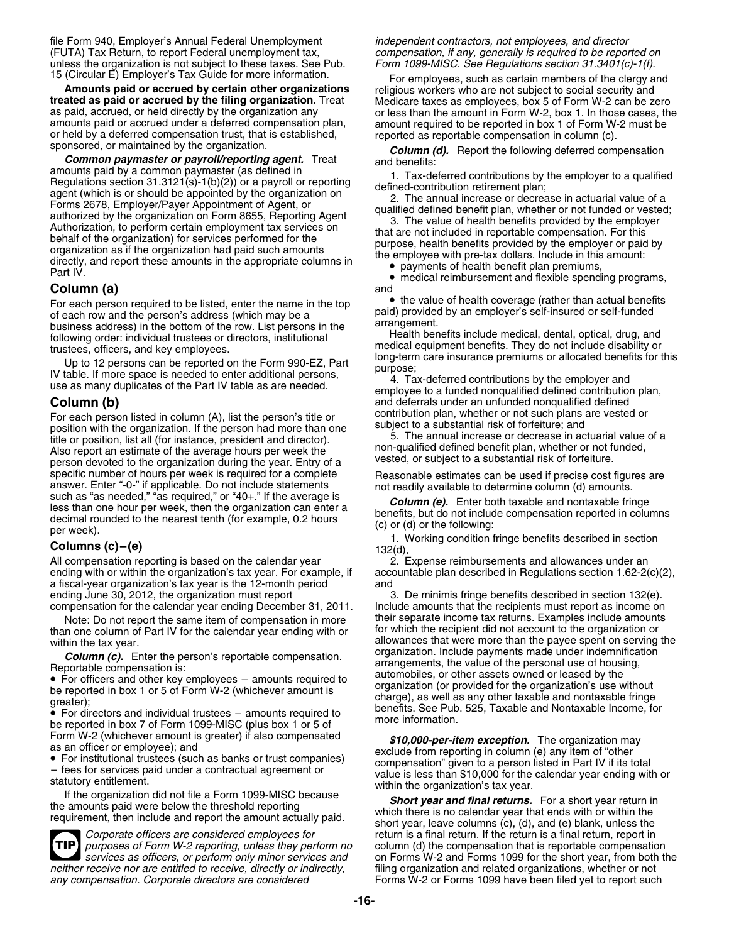file Form 940, Employer's Annual Federal Unemployment *independent contractors, not employees, and director* (FUTA) Tax Return, to report Federal unemployment tax, *compensation, if any, generally is required to be reported on* unless the organization is not subject to these taxes. See Pub.

amounts paid or accrued under a deferred compensation plan,<br>or held by a deferred compensation trust, that is established,<br>sponsored, or maintained by the organization.<br>**Column (d).** Report the following deferred compensat

amounts paid by a common paymaster (as defined in the appoint of Regulations section 31.3121(s)-1(b)(2)) or a payroll or reporting<br>agent (which is or should be appointed by the organization on<br>Forms 2678, Employer/Payer Ap directly, and report these amounts in the appropriate columns in<br>Part IV.<br>Part IV.

### **Column (a)** and

For each person required to be listed, enter the name in the top<br>of each row and the person's address (which may be a<br>business address) in the bottom of the row. List persons in the<br>following order: individual trustees or

For each person listed in column (A), list the person's title or<br>position with the organization. If the person had more than one<br>title or position, list all (for instance, president and director).<br>Also report an estimate o Also report an estimate of the average hours per week the non-qualified defined benefit plan, whether or not funded benefit plan, where the non-qualified defined as upstantial risk of forfeiture. person devoted to the organization during the year. Entry of a specific number of hours per week is required for a complete<br>answer. Enter "-0-" if applicable. Do not include statements<br>such as "as needed," "as required," or "40+." If the average is<br>less than one hour per week, then th

All compensation reporting is based on the calendar year 2. Expense reimbursements and allowances under an ending with or within the organization's tax year. For example, if accountable plan described in Regulations sectio a fiscal-year organization's tax year is the 12-month period and compensation for the calendar year ending December 31, 2011.

than one column of Part IV for the calendar year ending with or

be reported in box 7 of Form 1099-MISC (plus box 1 or 5 of



15 (Circular E) Employer's Tax Guide for more information. For employees, such as certain members of the clergy and<br> **Amounts paid or accrued by the filing organization.** Treat<br>
as paid, accrued, or held directly by the or

medical reimbursement and flexible spending programs,

• the value of health coverage (rather than actual benefits

**Column (b)**<br>For each person listed in column (A) list the person's title or contribution plan, whether or not such plans are vested or

accountable plan described in Regulations section 1.62-2(c)(2),

3. De minimis fringe benefits described in section 132(e).<br>Include amounts that the recipients must report as income on Note: Do not report the same item of compensation in more their separate income tax returns. Examples include amounts<br>In one column of Part IV for the calendar year ending with or for which the recipient did not account to within the tax year.<br>
within the tax year.<br>
Column (c) Enter the payce of servicing the compensation organization. Include payments made under indemnification **Column (c).** Enter the person's reportable compensation.<br>
Reportable compensation is:<br>
The Form M-2 (whichever amounts required to<br>
the reported in box 1 or 5 of Form M-2 (whichever amount is<br>
the reported for the organi be reported in box 1 or 5 of Form W-2 (whichever amount is<br>greater);<br>• For directors and individual trustees – amounts required to<br>herefits. See Pub. 525, Taxable and Nontaxable Income, for<br>herefits with the scheme of the

Form W-2 (whichever amount is greater) if also compensated **\$10,000-per-item exception.** The organization may as an officer or employee); and exclude from reporting in column (e) any item of "other • exclude from reporting • For institutional trustees (such as banks or trust companies)<br>
- fees for services paid under a contractual agreement or<br>
statutory entitlement.<br>
If the organization did not file a Form 1099-MISC because<br>
the amounts pa

*Corporate officers are considered employees for* short year, leave columns (c), (d), and (e) blank, unless the *Corporate officers are considered employees for* return is a final return. If the return is a final return, r *column (d) the compensation that is reportable compensation services as officers, or perform only minor services and* on Forms W-2 and Forms 1099 for the short year, from both the Forms W-2 or Forms 1099 have been filed yet to report such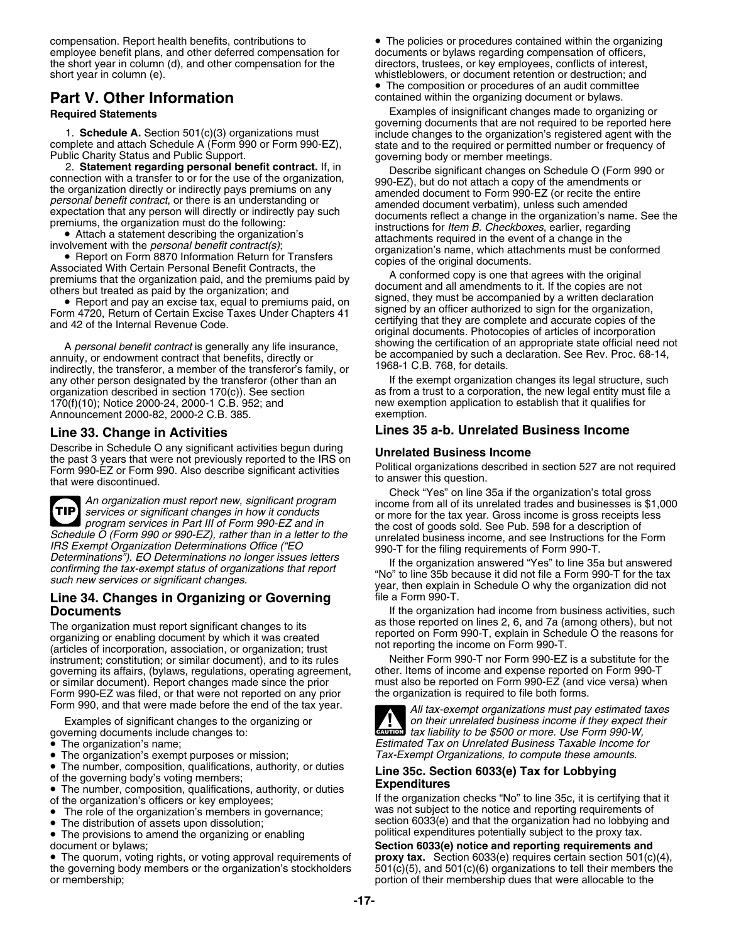compensation. Report health benefits, contributions to • The policies or procedures contained within the organizing employee benefit plans, and other deferred compensation for documents or bylaws regarding compensation of officers,<br>the short year in column (d), and other compensation for the directors, trustees, or key employees, confli the short year in column (d), and other compensation for the short year in column (e). whistleblowers, or document retention or destruction; and

A personal benefit contract is generally any life insurance,<br>annuity, or endowment contract that benefits, directly or<br>indirectly, the transferor, a member of the transferor's family, or<br>any other person designated by the any other person designated by the transferor (other than an organization described in section  $170(c)$ ). See section 170(f)(10); Notice 2000-24, 2000-1 C.B. 952; and Announcement 2000-82, 2000-2 C.B. 385. exemption.

Describe in Schedule O any significant activities begun during<br>the past 3 years that were not previously reported to the IRS on<br>Form 990-EZ or Form 990. Also describe significant activities<br>to answer this question.<br>that we

**TIP** services or significant changes in how it conducts Form 990 or 990-EZ), rather than in a letter to the<br>
IRS Exempt Organization Determinations of the Cost of goods sold. See Pub. 598 for a description of<br>
IRS Exempt Organization Determinations of Organization Sofice ("EO<br>

# **Line 34. Changes in Organizing or Governing** file a Form 990-T.

The organization must report significant changes to its<br>
organizing or enabling document by which it was created<br>
(articles of incorporation, association, or organization; trust<br>
instrument: constitution: or similar docume instrument; constitution; or similar document), and to its rules Neither Form 990-T nor Form 990-EZ is a substitute for the<br>governing its affairs, (bylaws, regulations, operating agreement, dther, Items of income and expen governing its affairs, (bylaws, regulations, operating agreement, other. Items of income and expense reported on Form 990-T<br>or similar document), Report changes made since the prior must also be reported on Form 990-EZ (an or similar document). Report changes made since the prior must also be reported on Form 990-EZ (and v<br>Form 990-EZ was filed, or that were not reported on any prior the organization is required to file both forms. Form 990-EZ was filed, or that were not reported on any prior Form 990, and that were made before the end of the tax year. *All tax-exempt organizations must pay estimated taxes*

governing documents include changes to:

- The organization's name;
- The organization's exempt purposes or mission;

•

The number, composition, qualifications, authority, or duties

•The role of the organization's members in governance;

•

• The provisions to amend the organizing or enabling • The provisions to amend the organizing or enabling political expenditures potentially subject to the proxy tax.<br> **Section 6033(e) notice and reporting requirements are** 

• The quorum, voting rights, or voting approval requirements of **proxy tax.** Section 6033(e) requires certain section 501(c)(4), the governing body members or the organization's stockholders 501(c)(5), and 501(c)(6) organizations to tell their members the<br>portion of their membership dues that were allocable to the

• The composition or procedures of an audit committee **Part V. Other Information** contained within the organizing document or bylaws.

**Required Statements** Examples of insignificant changes made to organizing or governing documents that are not required to be reported here 1. **Schedule A.** Section 501(c)(3) organizations must<br>
complete and attach Schedule A (Form 990 or Form 990-EZ),<br>
Public Charity Status and Public Support.<br>
2. **Statement regarding personal benefit contract**. If, in<br>
2. **S** 

2. **Statement regarding personal benefit contract.** If, in<br>connection with a transfer to or for the use of the organization,<br>the organization directly or indirectly pays premiums on any<br>personal benefit contract, or there Forthurs, the organization must do the following.<br>
■ Attach a statement describing the organization's<br>
attachments required in the event of a change in the<br>
organization's name, which attachments must be conformed<br>
■ orga

Associated With Certain Personal Benefit Contracts, the<br>
premiums that the organization paid, and the premiums paid by<br>
others but treated as paid by the organization; and<br>
• Report and pay an excise tax, equal to premiums Form 4720, Return of Certain Excise Taxes Under Chapters 41<br>and 42 of the Internal Revenue Code.<br>original documents. Photocopies of articles of incorporation<br>original documents. Photocopies of articles of incorporation

as from a trust to a corporation, the new legal entity must file a new exemption application to establish that it qualifies for

### **Line 33. Change in Activities Lines 35 a-b. Unrelated Business Income**

An organization must report new, significant program<br>
Services or significant changes in how it conducts<br>
program services in Part III of Form 990-EZ and in<br>
program services in Part III of Form 990-EZ and in<br>
the cost of

**Documents If the organization had income from business activities, such and income from business activities, such and income from business activities, such and income from business activities, such and income from busin** 



Examples of significant changes to the organizing or *on their unrelated business income if they expect their* **CAUTION** *tax liability to be \$500 or more. Use Form 990-W,* **Estimated Tax on Unrelated Business Taxable Income for** The organization's exempt purposes or mission; *Tax-Exempt Organizations, to compute these amounts.*<br>The number, composition, qualifications, authority, or duties **in a 350 Sontion 6033(o) Tax for Lobbying** 

# • The number, composition, qualifications, authority, or duties **Line 35c. Section 6033(e) Tax for Lobbying**<br>of the governing body's voting members; authority or duties **Expenditures**

of the organization's officers or key employees; If the organization checks "No" to line 35c, it is certifying that it<br>• The role of the organization's members in governance:<br>• The role of the organization's members in gov The distribution of assets upon dissolution; section 6033(e) and that the organization had no lobbying and

Section 6033(e) notice and reporting requirements and portion of their membership dues that were allocable to the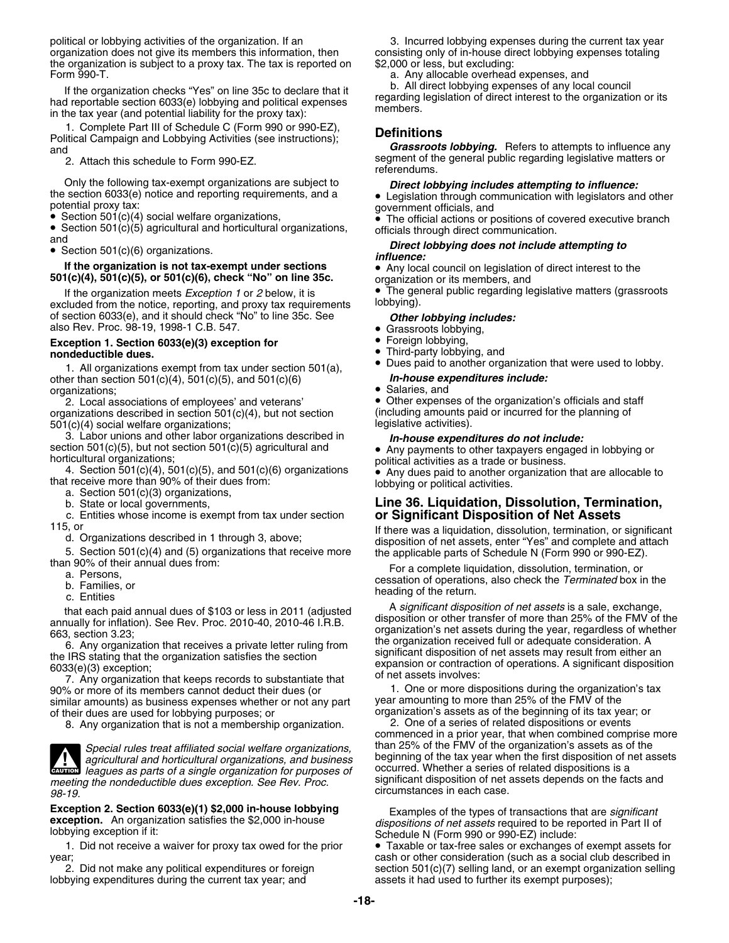political or lobbying activities of the organization. If an 3. Incurred lobbying expenses during the current tax year organization does not give its members this information, then consisting only of in-house direct lobbying expenses totaling<br>the organization is subject to a proxy tax. The tax is reported on \$2,000 or less, but excluding: the organization is subject to a proxy tax. The tax is reported on Form 990-T. a. Any allocable overhead expenses, and

If the organization checks "Yes" on line 35c to declare that it b. All direct lobbying expenses of any local council<br>had reportable section 6033(e) lobbying and political expenses regarding legislation of direct interest t

1. Complete Part III of Schedule C (Form 990 or 990-EZ), **Definitions** Political Campaign and Lobbying Activities (see instructions);

Only the following tax-exempt organizations are subject to **Direct lobbying includes attempting to influence:**<br>the section 6033(e) notice and reporting requirements, and a **•** Legislation through communication with legisla

•Section 501(c)(4) social welfare organizations,

• Section 501(c)(5) agricultural and horticultural organizations, officials through direct communication. and *Direct lobbying does not include attempting to* •

# **If the organization is not tax-exempt under sections** • Any local council on legislation of direct interest to the **501(c)(4), 501(c)(5), or 501(c)(6), check "No" on line 35c.** organization or its members, and

excluded from the notice, reporting, and proxy tax requirements of section 6033(e), and it should check "No" to line 35c. See **Other lobbying includes:**<br>also Rev. Proc. 98-19, 1998-1 C.B. 547. • Grassroots lobbying,<br>**Exception 1. Section 6033(e)(3) exception for** • Foreign lobbying,

### **Exception 1. Section 6033(e)(3) exception for** • Foreign lobbying, **nondeductible dues.** • Third-party lobbying, and

other than section 501(c)(4), 501(c)(5), and 501(c)(6) *In-house expenditures include:* organizations;

organizations described in section 501(c)(4), but not section (including amounts paid or including amounts pai<br>501(c)(4) social welfare organizations:  $501(c)(4)$  social welfare organizations;

3. Labor unions and other labor organizations described in **In-house expenditures do not include:**<br>section 501(c)(5), but not section 501(c)(5) agricultural and • Any payments to other taxpayers engaged in lobbying or<br>poli

horticultural organizations;<br>4. Section 501(c)(4), 501(c)(5), and 501(c)(6) organizations • • Any dues paid to another organization<br>that receive more than 90% of their dues from:<br>lobbying or political activities

a. Section 501(c)(3) organizations,

c. Entities whose income is exempt from tax under section 115, or

5. Section 501(c)(4) and (5) organizations that receive more the applicable parts of Schedule N (Form 990 or 990-EZ).<br>For a complete liquidation dissolution termination or

- 
- 

90% or more of its members cannot deduct their dues (or 1. One or more dispositions during the organization's tax<br>similar amounts) as business expenses whether or not any part year amounting to more than 25% of the FMV of similar amounts) as business expenses whether or not any part of their dues are used for lobbying purposes; or

8. Any organization that is not a membership organization.

beginning of the tax year when the first disposition of net assets *agricultural and horticultural organizations, and business* occurred. Whether a series of related dispositions is a **CAUTION** *leagues as parts of a single organizations, and business*<br>*exanced leagues as parts of a single organization for purposes of meeting the nondeductible dues exception. See Rev. Proc.* significant disposition of net assets depends on the facts and meeting the nondeductible dues exception. See Rev. Proc. circumstances in each case. *98-19.*

lobbying expenditures during the current tax year; and

**Grassroots lobbying.** Refers to attempts to influence any 2. Attach this schedule to Form 990-EZ. segment of the general public regarding legislative matters or referendums.

the section 6033(e) notice and reporting requirements, and a **Communication through communication with legislators and other potential proxy tax:** government officials, and

The official actions or positions of covered executive branch

# and<br>■ Section 501(c)(6) organizations.<br>If the organization is not tax-exempt under sections<br>If the organization is not tax-exempt under sections<br>■ Any local council on legislation of direct interest to t

If the organization meets *Exception 1* or *2* below, it is **•** The general public regarding legislative matters (grassroots **budget**).

- 
- 
- 
- Dues paid to another organization that were used to lobby. 1. All organizations exempt from tax under section 501(a),
	-

2. Local associations of employees' and veterans' • Other expenses of the organization's officials and staff anizations described in section 501(c)(4), but not section  $\frac{1}{2}$  (including amounts paid or incurred for the

• Any dues paid to another organization that are allocable to lobbying or political activities.

# **Line 36. Liquidation, Dissolution, Termination, or Significant Disposition of Net Assets**

1, or<br>115, or If there was a liquidation, dissolution, termination, or significant<br>15. Section 501(c)(4) and (5) organizations that receive more the applicable parts of Schedule N (Form 990 or 990-EZ)

the solution, dissolution, dissolution, termination, or<br>a. Persons, cessation of operations, also check the *Terminated* box in the<br>b. Families, or a. Entities begins of the return.<br>that each paid annual dues of \$103 or le

that each paid annual dues of \$103 or less in 2011 (adjusted<br>
annually for inflation). See Rev. Proc. 2010-40, 2010-46 I.R.B.<br>
663, section 3.23;<br>
6. Any organization that receives a private letter ruling from<br>
the IRS sta

organization's assets as of the beginning of its tax year; or<br>2. One of a series of related dispositions or events commenced in a prior year, that when combined comprise more than 25% of the FMV of the organization's assets as of the *Special rules treat affiliated social welfare organizations,* than 25% of the FMV of the organization's assets as of the

Examples of the types of transactions that are *significant*<br> **exception.** An organization satisfies the \$2,000 in-house<br>
lobbying exception if it:<br>
1. Did not receive a waiver for proxy tax owed for the prior<br>
1. Did not

• Taxable or tax-free sales or exchanges of exempt assets for year;<br>2. Did not make any political expenditures or foreign exaction 501(c)(7) selling land, or an exempt organization selling section 501(c)(7) selling land, or an exempt organization selling assets it had used to further its exempt purposes);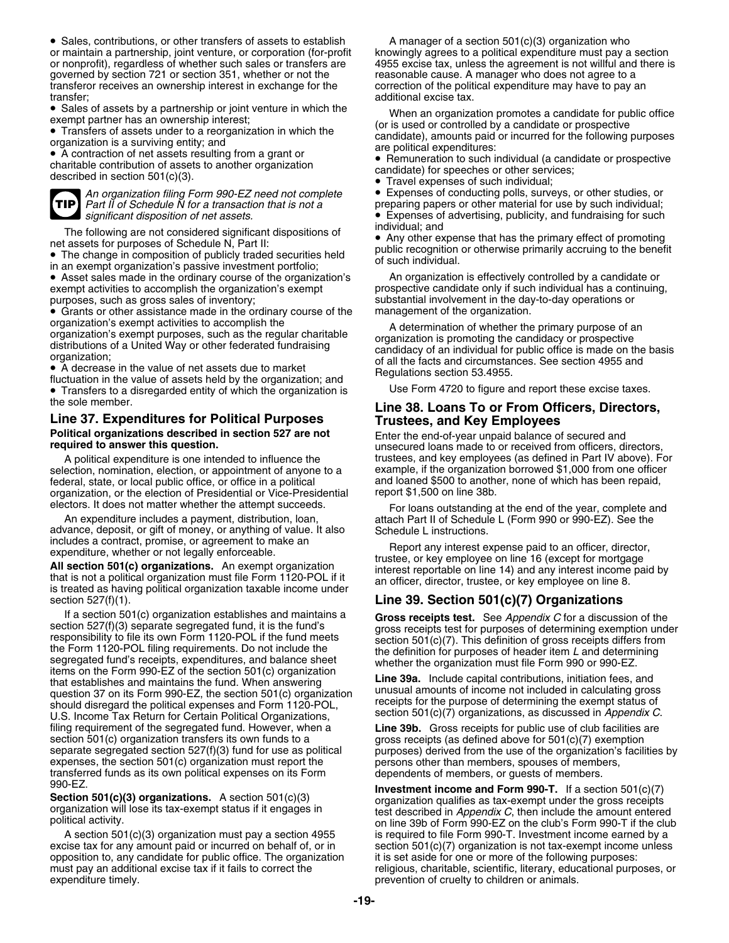• Sales, contributions, or other transfers of assets to establish  $A$  manager of a section 501(c)(3) organization who or maintain a partnership, joint venture, or corporation (for-profit knowingly agrees to a political expenditure must pay a section<br>or nonprofit), regardless of whether such sales or transfers are 4955 excise tax, unless t or nonprofit), regardless of whether such sales or transfers are governed by section 721 or section 351, whether or not the reasonable cause. A manager who does not agree to a transferor receives an ownership interest in exchange for the correction of the political expenditure may have to pay an transfer:

• Sales of assets by a partnership or joint venture in which the

• A contraction of net assets resulting from a grant or charitable contribution of assets to another organization A contribution of het assets resulting from a grant or<br>charitable contribution of assets to another organization<br>described in section 501(c)(3).



The following are not considered significant dispositions of<br>
net assets for purposes of Schedule N, Part II:<br>
Any other expense that has the primary effect of promoting<br>
Any other area if the benefits are therefore remari

• The change in composition of publicly traded securities held<br>in an exempt organization's passive investment portfolio;<br>• Asset sales made in the ordinary course of the organization's An organization is effectively contro • Asset sales made in the ordinary course of the organization's An organization is effectively controlled by a candidate or exempt activities to accomplish the organization's exempt prospective candidate only if such individual has a continuing,

• Grants or other assistance made in the ordinary course of the management of the organization.

• A decrease in the value of net assets due to market

• A decrease in the value of net assets due to market Regulations section 53.4955.<br>
fluctuation in the value of assets held by the organization; and<br>
• Transfers to a disregarded entity of which the organization is Use For • Transfers to a disregarded entity of which the organization is Use Form 4720 to figure and report these excise taxes.

selection, nomination, election, or appointment of anyone to a federal, state, or local public office, or office in a political and loaned \$500 to another, none of which has been repaid, organization, or the election of Presidential or Vice-Presidential report \$1,500 on line 38b. organization, or the election of Presidential or Vice-Presidential

advance, deposit, or gift of money, or anything of value. It also Schedule L instructions.<br>includes a contract, promise, or agreement to make an Benort any interest e

Expenditure, whether or not legally enforceable.<br> **Expenditure, whether or not legally enforceable.**<br> **All section 501(c) organizations.** An exempt organization<br>
that is not a political organization must file Form 1120-POL

If a section 501(c) organization establishes and maintains a **Gross receipts test.** See *Appendix C* for a discussion of the section 527(f)(3) separate segregated fund, it is the fund's<br>
responsibility to file its own Form 1120-POL if the fund meets<br>
the Form 1120-POL filing requirements. Do not include the<br>
segregated fund's receipts, expenditu should disregard the political expenses and Form 1120-POL,<br>U.S. Income Tax Return for Certain Political Organizations, section 501(c)(7) organizations, as discussed in *Appendix C*. filing requirement of the segregated fund. However, when a **Line 39b.** Gross receipts for public use of club facilities are section 501(c) (7) exemption separate segregated section 527(f)(3) fund for use as political purposes) derived from the use of the organization's facilities by<br>expenses, the section 501(c) organization must report the persons other than members, spous expenses, the section 501(c) organization must report the persons other than members, spouses of members.<br>transferred funds as its own political expenses on its Form dependents of members, or guests of members. transferred funds as its own political expenses on its Form<br>990-FZ.

opposition to, any candidate for public office. The organization it is set aside for one or more of the following purposes:

additional excise tax.

Sales of assets by a partnership or joint venture in which the When an organization promotes a candidate for public office exempt partner has an ownership interest;<br>• Transfers of assets under to a reorganization in which • Transfers of assets under to a reorganization in which the candidate), amounts paid or incurred for the following purposes organization is a surviving entity; and are political expenditures:

Travel expenses of such individual;

*An organization filing Form 990-EZ need not complete* • Expenses of conducting polls, surveys, or other studies, or *Preparing papers or other material for use by such individual; significant disposition of net assets.* • Expenses of advertising, publicity, and fundraising for such

public recognition or otherwise primarily accruing to the benefit of such individual.

purposes, such as gross sales of inventory;<br>• Grants or other assistance made in the ordinary course of the management of the organization.

organization's exempt activities to accomplish the<br>organization of whether the primary purpose of an<br>organization's exempt purposes, such as the regular charitable<br>distributions of a United Way or other federated fundraisi

# the sole member.<br> **Line 38. Loans To or From Officers, Directors,**<br> **Line 38. Loans To or From Officers, Directors,**<br> **Political organizations described in section 527 are not**<br> **Enter the end-of-vear unpaid balance of sec**

**Political organizations described in section 527 are not** Enter the end-of-year unpaid balance of secured and **required to answer this question.** Unsection in the secured loans made to or received from officers, directors A political expenditure is one intended to influence the trustees, and key employees (as defined in Part IV above). For<br>ection, nomination, election, or appointment of anyone to a example, if the organization borrowed \$1,0

electors. It does not matter whether the attempt succeeds.<br>An expenditure includes a payment, distribution, Ioan, attach Part II of Schedule L (Form 990 or 990-EZ). See the attach Part II of Schedule L (Form 990 or 990-EZ). See the

### Line 39. Section 501(c)(7) Organizations

gross receipts (as defined above for  $501(c)(7)$  exemption

**SECTION 501(c)(3) organizations.** A section 501(c)(3) **Investment income and Form 990-T.** If a section 501(c)(7) organization **Section 501(c)** organization qualifies as tax-exempt under the gross receipts organization wi A section 501(c)(3) organization must pay a section 4955 is required to file Form 990-T. Investment income earned by a<br>excise tax for any amount paid or incurred on behalf of, or in section 501(c)(7) organization is not ta section  $501(c)(7)$  organization is not tax-exempt income unless must pay an additional excise tax if it fails to correct the religious, charitable, scientific, literary, educational purposes, or<br>expenditure timely. prevention of cruelty to children or animals.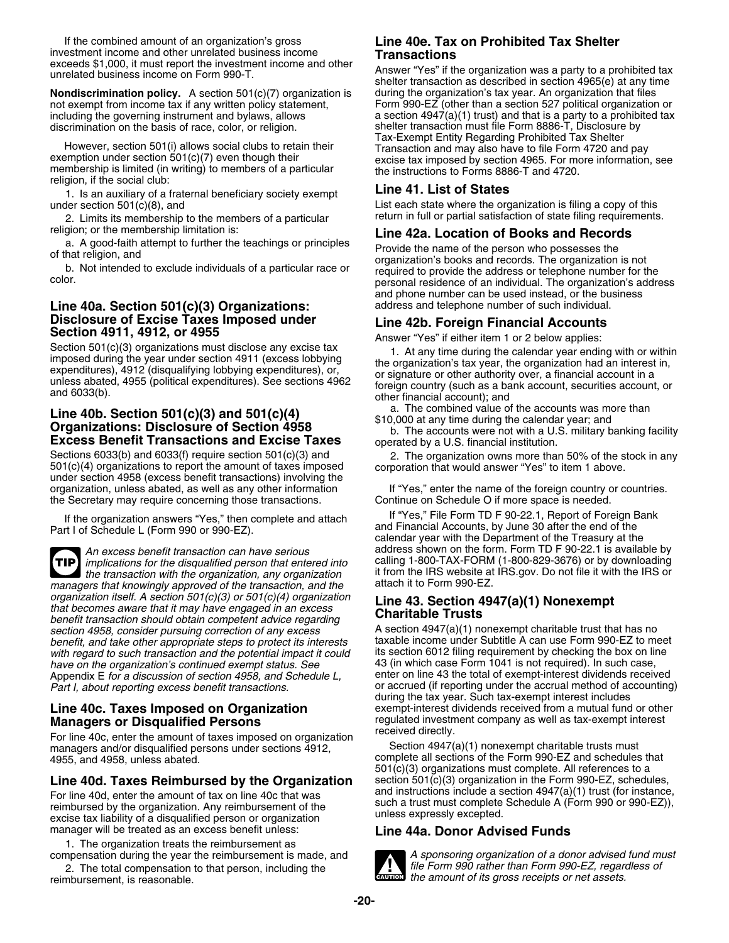If the combined amount of an organization's gross **Line 40e. Tax on Prohibited Tax Shelter** investment income and other unrelated business income<br>exceeds \$1,000, it must report the investment income and other<br>unrelated business income on Form 990-T.<br>shelter transaction as described in section 4965(e) at any time

**Nondiscrimination policy.** A section 501(c)(7) organization is during the organization's tax year. An organization that files not exempt from income tax if any written policy statement, Form 990-EZ (other than a section 5 not exempt from income tax if any written policy statement, including the governing instrument and bylaws, allows

religion, if the social club:<br>**1.** Is an auxiliary of a fraternal beneficiary society exempt<br>List each state where the org<br>List each state where the org

2. Limits its membership to the members of a particular return in full or partial satisfaction of state filing requirements.<br>Line 42a. I ocation of Books and Becords

# **Line 40a. Section 501(c)(3) Organizations:** address and telephone number of such individual.

# Line 40b. Section 501(c)(3) and 501(c)(4)<br>Organizations: Disclosure of Section 4958<br>Excess Benefit Transactions and Excise Taxes<br>Excess Benefit Transactions and Excise Taxes<br>Section 4958<br>operated by a U.S. financial instit

Sections 6033(b) and 6033(f) require section 501(c)(3) and 2. The organization owns more than 50% of the stock in any 501(c)(4) organizations to report the amount of taxes imposed under section 4958 (excess benefit transac organization, unless abated, as well as any other information If "Yes," enter the name of the foreign country c<br>The Secretary may require concerning those transactions. Continue on Schedule O if more space is needed. the Secretary may require concerning those transactions.

the transaction with the organization, any organization the IRS website at the transaction with the organization, any organization with the original version. **TIP** *managers that knowingly approved of the transaction, and the* organization itself. A section 501(c)(3) or 501(c)(4) organization<br>that becomes aware that it may have engaged in an excess<br>benefit transaction should obtain competent advice regarding<br>section 4947(a)(1) nonexempt charita *section 4958, consider pursuing correction of any excess* A section 4947(a)(1) nonexempt charitable trust that has no *benefit, and take other appropriate steps to protect its interests* taxable income under Subtitle A can use Form 990-EZ to meeting<br>with regard to such transaction and the potential impact it could its section 6012 filing *with regard to such transaction and the potential impact it could* its section 6012 filing requirement by checking the box on line host on line host on line host on line host on line host on line host on the organization' have on the organization's continued exempt status. See 43 (in which case Form 1041 is not required). In such case,<br>Appendix E for a discussion of section 4958, and Schedule L. enter on line 43 the total of exempt-interest Appendix E for a discussion of section 4958, and Schedule L, Part I, about reporting excess benefit transactions.

For line 40c, enter the amount of taxes imposed on organization<br>managers and/or disqualified persons under sections 4912.<br>Section 4947(a)(1) nonexempt charitable trusts must managers and/or disqualified persons under sections 4912, 4955, and 4958, unless abated. complete all sections of the Form 990-EZ and schedules that

For line 40d, enter the amount of tax on line 40c that was<br>reimbursed by the organization. Any reimbursement of the<br>excise tax liability of a disqualified person or organization unless expressly excepted. manager will be treated as an excess benefit unless: **Line 44a. Donor Advised Funds**

1. The organization treats the reimbursement as

compensation during the year the reimbursement is made, and **A** sponsoring organization of a donor advised fund must<br>2. The total compensation to that person. including the **A** sponsoring organization of a donor advised fu 2. The total compensation to that person, including the *file Form 990 rather than Form 990-EZ, regardless of* 2. The total compensation to that person, including the<br>reimbursement, is reasonable.<br>**CAUTION** the amount of its gross receipts or net assets.

a section  $4947(a)(1)$  trust) and that is a party to a prohibited tax discrimination on the basis of race, color, or religion. Shelter transaction must file Form 8886-T, Disclosure by<br>Tax-Exempt Entity Regarding Prohibited Tax Shelter However, section 501(i) allows social clubs to retain their<br>exemption under section 501(c)(7) even though their<br>membership is limited (in writing) to members of a particular<br>membership is limited (in writing) to members of

List each state where the organization is filing a copy of this

### **Line 42a. Location of Books and Records**

a. A good-faith attempt to further the teachings or principles<br>of that religion, and<br>b. Not intended to exclude individuals of a particular race or<br>color.<br>color.<br>color. and phone number can be used instead, or the business

Disclosure of Excise Taxes Imposed under<br>
Section 4911, 4912, or 4955<br>
Section 501(c)(3) organizations must disclose any excise tax<br>
imposed during the year under section 4911 (excess lobbying<br>
expenditures), 4912 (disqua

If the organization answers "Yes," then complete and attach<br>Part I of Schedule L (Form 990 or 990-EZ).<br>Calendar year with the Department of the Treasury at the *An excess benefit transaction can have serious* address shown on the form. Form TD F 90-22.1 is available by *implications for the disqualified person that entered into* calling 1-800-TAX-FORM (1-800-829-3676) or by downloading

*Part II, accrued (if reporting under the accrual method of accounting)* during the tax year. Such tax-exempt interest includes **Line 40c. Taxes Imposed on Organization** exempt-interest dividends received from a mutual fund or other **Managers or Disqualified Persons** regulated investment company as well as tax-exempt interest

501(c)(3) organizations must complete. All references to a **Line 40d. Taxes Reimbursed by the Organization** section 501(c)(3) organization in the Form 990-EZ, schedules,<br>Eor line 40d, enter the amount of tax on line 40c that was and instructions include a section 4947(a)(1) trust

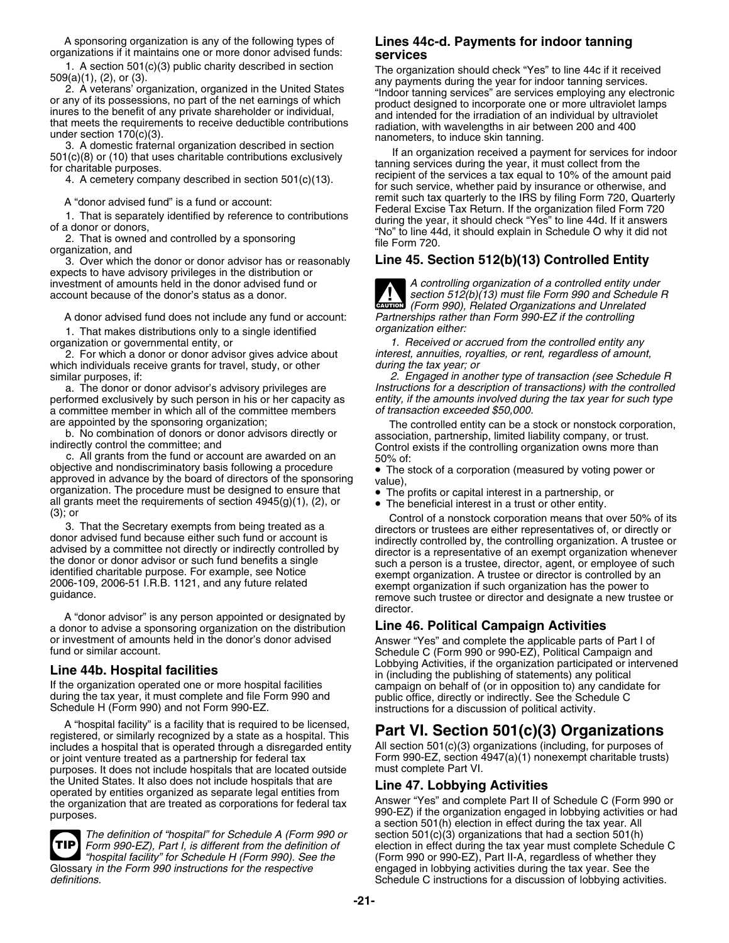3. Over which the donor or donor advisor has or reasonably expects to have advisory privileges in the distribution or investment of amounts held in the donor advised fund or **A CONTIC A** controlling organization of a controlled entity under account because of the donor's status as a donor. *section 512(b)(13) must file Form 990 and Schedule R*

A donor advised fund does not include any fund or account: 1. That makes distributions only to a single identified *organization either:*<br>organization or governmental entity, or **1.** Received or a

2. For which a donor or donor advisor gives advice about *interest, annuities, royalties*, royalties, royalties, royalties, royalties, royalties, royalties, royalties, royalties, royalties, royalties, royalties, royalties, which individuals receive grants for travel, study, or other

a committee member in which all of the committee members are appointed by the sponsoring organization;

c. All grants from the fund or account are awarded on an  $50\%$  of: objective and nondiscriminatory basis following a procedure • The stock of a corporation (measured by voting power or The stock of a corporation (measured by voting power or approved in advance by the board of directors of the sponsoring value),  $\frac{1}{10}$  when  $\frac{1}{10}$ , organization. The procedure must be designed to ensure that  $\bullet$  T The profits or capital interest in a partnership, or all grants meet the requirements of section 4945(g)(1), (2), or •

A "donor advisor" is any person appointed or designated by director.<br>Jonor to advise a sponsoring organization on the distribution **Line 46. Political Campaign Activities** a donor to advise a sponsoring organization on the distribution or investment of amounts held in the donor's donor advised

A "hospital facility" is a facility that is required to be licensed, registered, or similarly recognized by a state as a hospital. This **Part VI. Section 501(c)(3) Organizations** includes a hospital that is operated through a disregarded entity All section 501(c)(3) organizations (including includes a hospital that is operated through a disregarded entity All section 501(c)(3) organizations (including, for purposes of or joint venture treated as a partnership for federal tax Form 990-EZ, section 4<br>
purposes, It does not include hospitals that are located outside must complete Part VI. purposes. It does not include hospitals that are located outside the United States. It also does not include hospitals that are<br>
operated by entities organized as separate legal entities from<br>
the organization that are treated as corporations for federal tax<br>
Answer "Yes" and complete P



# A sponsoring organization is any of the following types of<br>
organizations if it maintains one or more donor advised funds:<br> **Services**<br> **Services**<br> **Constants for indoor tanning**<br> **Services**<br> **Constants for indoor tanning**

1. A section 501(c)(3) public charity described in section<br>
2. A veterans' organization, organized in the United States<br>
2. A veterans' organization, organized in the United States<br>
2. A veterans' organization, organized i

A "donor advised fund" is a fund or account:<br>
1. That is separately identified by reference to contributions<br>
of a donor or donors,<br>
2. That is word and controlled by a sponsoring<br>
organization, and<br>
3. Over which the dono

 $\frac{1}{\text{Cautron}}$ *(Form 990), Related Organizations and Unrelated*

1. Received or accrued from the controlled entity any interest, annuities, royalties, or rent, regardless of amount,

similar purposes, if: *2. Engaged in another type of transaction (see Schedule R* a. The donor or donor advisor's advisory privileges are *Instructions for a description of transactions) with the controlled* entity, if the amounts involved during the tax year for such type of transaction exceeded \$50,000.

are appointed by the sponsoring organization;<br>b. No combination of donors or donor advisors directly or The controlled entity can be a stock or nonstock corporation,<br>indirectly control the committee; and<br>Control exists if

- 
- 

all grants meet the requirements of section 4945(g)(1), (2), or<br>
(3); or<br>
all grants meet the requirements of section 4945(g)(1), (2), or<br>
directors or trustees are either representatives of, or directly or<br>
directors or t

or investment of amounts held in the donor's donor advised<br>
fund or similar account.<br>
Answer "Yes" and complete the applicable parts of Part I of<br>
Lobbying Activities, if the organization participated or intervened<br>
Lobbyi **Lobbying Activities, if the organization participated or intervened**<br>If the organization operated one or more hospital facilities<br>If the organization operated one or more hospital facilities<br>during the tax year, it must c

purposes.<br>
990-EZ) if the organization engaged in lobbying activities or had a section 501(h) election in effect during the tax year. All *The definition of "hospital" for Schedule A (Form 990 or* section 501(c)(3) organizations that had a section 501(h) *Form 990-EZ), Part I, is different from the definition of* election in effect during the tax year must complete Schedule C<br>"hospital facility" for Schedule H (Form 990). See the (Form 990 or 990-EZ), Part II-A, regardless *"hospital facility" for Schedule H (Form 990). See the* (Form 990 or 990-EZ), Part II-A, regardless of whether they Glossary *in the Form 990 instructions for the respective* engaged in lobbying activities during the tax year. See the *definitions.* Schedule C instructions for a discussion of lobbying activities.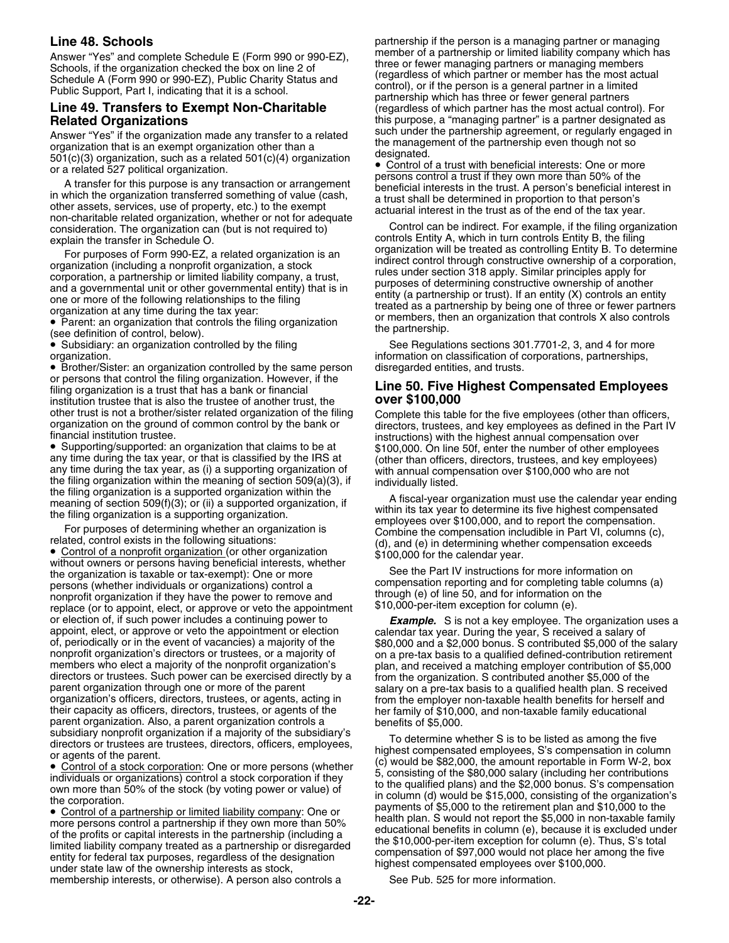Answer "Yes" if the organization made any transfer to a related<br>
organization that is an exempt organization other than a<br>  $501(c)(3)$  organization, such as a related  $501(c)(4)$  organization<br>
or a related 527 political organ

non-charitable related organization, whether or not for adequate<br>consideration. The organization can (but is not required to) Control can be indirect. For example, if the filing organization

or gailization at any time damig the tax year.<br>• Parent: an organization that controls the filing organization or members, then an organization that controls X also controls (see definition of control, below).

• Subsidiary: an organization controlled by the filing

● Brother/Sister: an organization controlled by the same person disregarded entities, and trusts. or persons that control the filing organization. However, if the institution trustee that is also the trustee of another trust, the

• Supporting/supported: an organization that claims to be at • Supporting/supported: an organization that claims to be at  $$100,000$ . On line 50f, enter the number of other employees any time during the tax year, or that is classified by the IRS at (i) a supporting organization of

related, control exists in the following situations:<br>
Control of a nonprofit organization (or other organization  $\frac{100,000}{100,000}$  for the calendar year.<br>
without owners or persons having beneficial interests, whether<br> the organization is taxable or tax-exempt): One or more persons (whether individuals or organizations) control a compensation reporting and for completing table columns (a) control a compensation reporting and for completing table columns (a) nonprofit organization if they have nonprofit organization if they have the power to remove and through (e) of line 50, and for information on replace (or to approve or veto the appointment  $$10,000$ -per-item exception for column (e). replace (or to appoint, elect, or approve or veto the appointment or election of, if such power includes a continuing power to<br>appoint, elect, or appoint or veto the appointment or election<br>of periodically or in the event of vacancies) a majority of the<br>nonprofit organization's directors

• Control of a partnership or limited liability company: One or<br>
more persons control a partnership if they own more than 50%<br>
of the profits or capital interests in the partnership (including a<br>
limited liability company membership interests, or otherwise). A person also controls a See Pub. 525 for more information.

**Line 48. Schools partnership if the person is a managing partner or managing partnership** if the person is a managing partner or managing Answer "Yes" and complete Schedule E (Form 990 or 990-EZ),<br>
Schools, if the organization checked the box on line 2 of<br>
Schedule A (Form 990 or 990-EZ), Public Charity Status and<br>
Public Support, Part I, indicating that it **Line 49. Transfers to Exempt Non-Charitable** (regardless of which partner has the most actual control). For **Related Organizations**<br>Answer "Yes" if the organization made any transfer to a related such under the partnership agreement, or regularly engaged in

or a related 527 political organization.<br>
A transfer for this purpose is any transaction or arrangement<br>
in which the organization transferred something of value (cash,<br>
other assets, services, use of property, etc.) to th

explain the transfer in Schedule O.<br>
For purposes of Form 990-F7, a related organization is an organization will be treated as controlling Entity B. To determine For purposes of Form 990-EZ, a related organization is an organization will be treated as controlling Entity B. To determine<br>
organization (including a nonprofit organization, a stock<br>
corporation, a partnership or limited

See Regulations sections 301.7701-2, 3, and 4 for more organization. information on classification of corporations, partnerships,

# filing organization is a trust that has a bank or financial **Line 50. Five Highest Compensated Employees**

other trust is not a brother/sister related organization of the filing Complete this table for the five employees (other than officers, organization on the ground of common control by the bank or directors, trustees, and k

subsidiary nonprofit organization if a majority of the subsidiary's<br>directors or trustees are trustees, directors, officers, employees,<br>or agents of the parent.<br>• Control of a stock corporation: One or more persons (whethe individuals or organizations) control a stock corporation if they<br>own more than 50% of the stock (by voting power or value) of<br>the corporation.<br><br>Control of a partnership or limited liability company: One or<br> $\frac{1}{2}$  more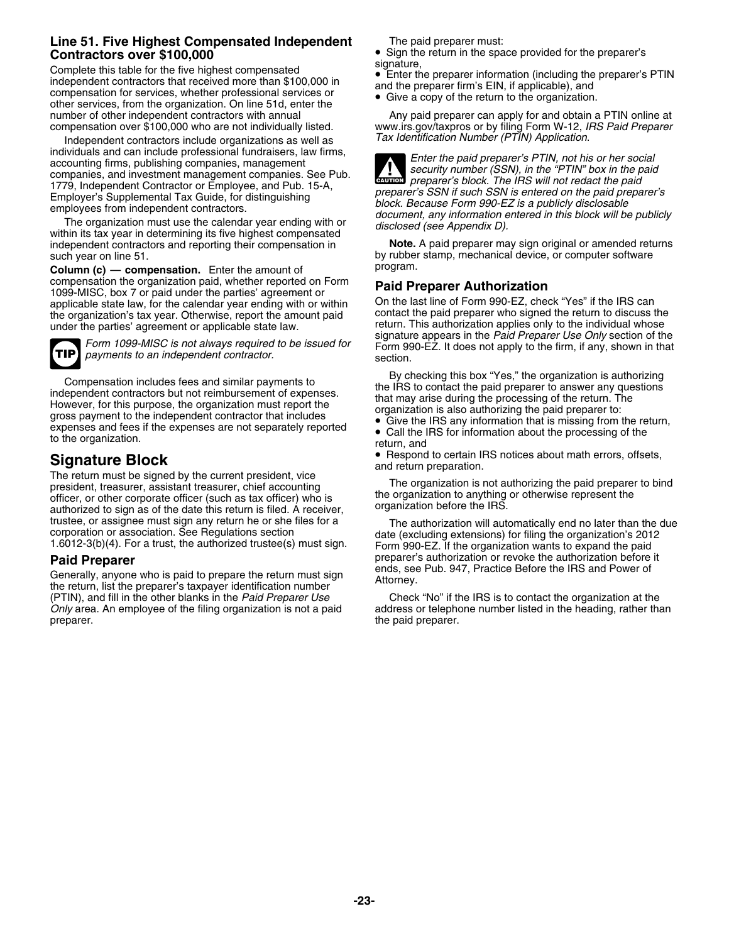# **Line 51. Five Highest Compensated Independent** The paid preparer must:

Complete this table for the five highest compensated<br>independent contractors that received more than \$100,000 in entity and the preparer firm's EIN if conligable) and the struck of the struck of the struck of the struck of difference in contractors that received more than \$100,000 in and the preparer firm's EIN, if applicable), and<br>compensation for services, whether professional services or  $\bullet$  Give a copy of the return to the organization. other services, from the organization. On line 51d, enter the number of other independent contractors with annual

*Independent contractors include organizations as well as individuals and can include professional fundraisers, law firms,* accounting firms, publishing companies, management<br>companies, and investment management companies. See Pub.<br>1779, Independent Contractor or Employee, and Pub. 15-A,

**Column (c) — compensation.** Enter the amount of compensation the organization paid, whether reported on Form **Paid Preparer Authorization** 1099-MISC, box 7 or paid under the parties' agreement or applicable state law, for the calendar year ending with or within On the last line of Form 990-EZ, check "Yes" if the IRS can<br>the organization's tax year. Otherwise, report the amount paid contact the paid preparer who sig the organization's tax year. Otherwise, report the amount paid contact the paid preparer who signed the return to discuss the<br>under the parties' agreement or applicable state law eturn. This authorization applies only to t under the parties' agreement or applicable state law.



Compensation includes fees and similar payments to<br>
independent contractors but not reimbursement of expenses.<br>
However, for this purpose, the organization must report the<br>
gross payment to the independent contractor that expenses and fees if the expenses are not separately reported to the organization.

**Signature Block**<br>
The return must be signed by the current president, vice<br>
president, treasurer, assistant treasurer, chief accounting<br>
officer, or other corporate officer (such as tax officer) who is<br>
authorized to sign

Generally, anyone who is paid to prepare the return must sign<br>the return, list the preparer's taxpayer identification number<br>(PTIN), and fill in the other blanks in the *Paid Preparer Use* Check (PTIN), and fill in the other blanks in the *Paid Preparer Use* Check "No" if the IRS is to contact the organization at the

**Contractors over \$100,000** • Sign the return in the space provided for the preparer's

Any paid preparer can apply for and obtain a PTIN online at compensation over \$100,000 who are not individually listed. www.irs.gov/taxpros or by filing Form W-12, *IRS Paid Preparer*

**CAUTION** *preparer's block. The IRS will not redact the paid preparer's SSN if such SSN is entered on the paid preparer's* **!** 1779, Independent Contractor or Employee, and Pub. 15-A,<br>
Employer's Supplemental Tax Guide, for distinguishing<br>
employees from independent contractors.<br>
The organization must use the calendar year ending with or<br>
within i

independent contractors and reporting their compensation in **Note.** A paid preparer may sign original or amended returns such year on line 51.<br> **Column (c)** compensation Enter the amount of program.<br>
program.

signature appears in the *Paid Preparer Use Only* section of the *Form 1099-MISC is not always required to be issued for*<br> **Form 990-EZ.** It does not apply to the firm, if any, shown in that<br> **payments to an independent contractor.**<br> **Section** section.

• Call the IRS for information about the processing of the return, and

• Respond to certain IRS notices about math errors, offsets,

trustee, or assignee must sign any return he or she files for a<br>corporation or association. See Regulations section<br>1.6012-3(b)(4). For a trust, the authorized trustee(s) must sign.<br>1.6012-3(b)(4). For a trust, the authori **Paid Preparer**<br>Constally environment of the representing must experience and set of the preparer's authorization or revoke the authorization before it

*Only* area. An employee of the filing organization is not a paid address or telephone number listed in the heading, rather than preparer. the paid preparer.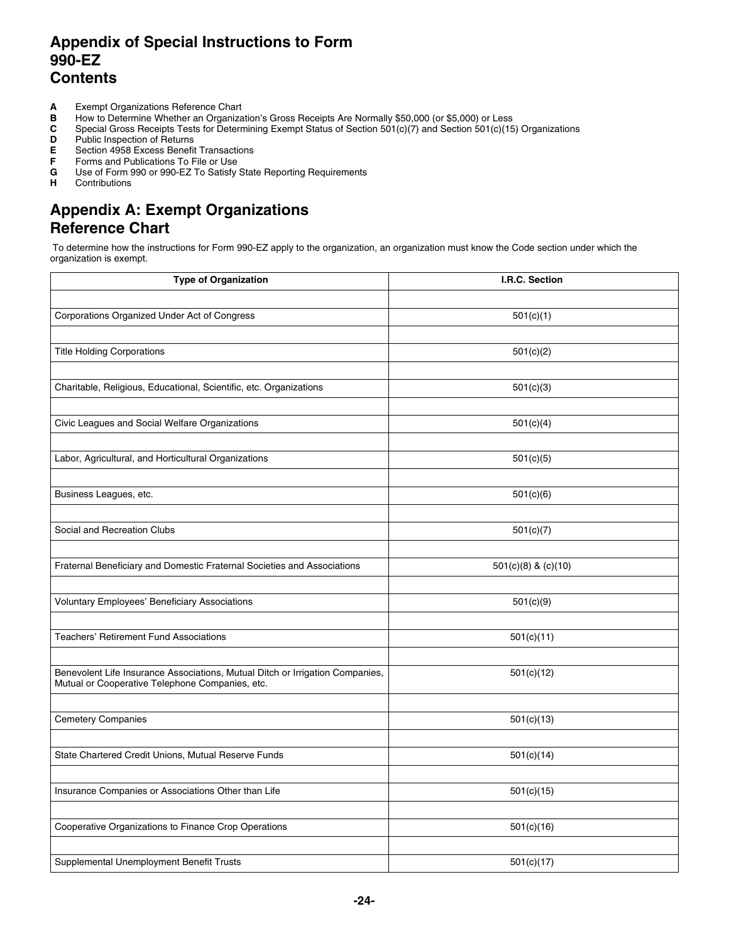### **Appendix of Special Instructions to Form 990-EZ Contents**

- **A** Exempt Organizations Reference Chart<br>**B** How to Determine Whether an Organiza
- **B** How to Determine Whether an Organization's Gross Receipts Are Normally \$50,000 (or \$5,000) or Less **C** Special Gross Receipts Tests for Determining Exempt Status of Section 501(c)(7) and Section 501(c)(15
- **C** Special Gross Receipts Tests for Determining Exempt Status of Section 501(c)(7) and Section 501(c)(15) Organizations
- 
- **D** Public Inspection of Returns<br>**E** Section 4958 Excess Benefit **E** Section 4958 Excess Benefit Transactions
- **F** Forms and Publications To File or Use
- **G** Use of Form 990 or 990-EZ To Satisfy State Reporting Requirements
- **Contributions**

## **Appendix A: Exempt Organizations Reference Chart**

 To determine how the instructions for Form 990-EZ apply to the organization, an organization must know the Code section under which the organization is exempt.

| <b>Type of Organization</b>                                                                                                      | I.R.C. Section      |
|----------------------------------------------------------------------------------------------------------------------------------|---------------------|
|                                                                                                                                  |                     |
| Corporations Organized Under Act of Congress                                                                                     | 501(c)(1)           |
|                                                                                                                                  |                     |
| <b>Title Holding Corporations</b>                                                                                                | 501(c)(2)           |
|                                                                                                                                  |                     |
| Charitable, Religious, Educational, Scientific, etc. Organizations                                                               | 501(c)(3)           |
|                                                                                                                                  |                     |
| Civic Leagues and Social Welfare Organizations                                                                                   | 501(c)(4)           |
|                                                                                                                                  |                     |
| Labor, Agricultural, and Horticultural Organizations                                                                             | 501(c)(5)           |
|                                                                                                                                  |                     |
| Business Leagues, etc.                                                                                                           | 501(c)(6)           |
|                                                                                                                                  |                     |
| Social and Recreation Clubs                                                                                                      | 501(c)(7)           |
|                                                                                                                                  |                     |
| Fraternal Beneficiary and Domestic Fraternal Societies and Associations                                                          | 501(c)(8) & (c)(10) |
|                                                                                                                                  |                     |
| <b>Voluntary Employees' Beneficiary Associations</b>                                                                             | 501(c)(9)           |
|                                                                                                                                  |                     |
| <b>Teachers' Retirement Fund Associations</b>                                                                                    | 501(c)(11)          |
|                                                                                                                                  |                     |
| Benevolent Life Insurance Associations, Mutual Ditch or Irrigation Companies,<br>Mutual or Cooperative Telephone Companies, etc. | 501(c)(12)          |
|                                                                                                                                  |                     |
| <b>Cemetery Companies</b>                                                                                                        | 501(c)(13)          |
|                                                                                                                                  |                     |
| State Chartered Credit Unions, Mutual Reserve Funds                                                                              | 501(c)(14)          |
|                                                                                                                                  |                     |
| Insurance Companies or Associations Other than Life                                                                              | 501(c)(15)          |
|                                                                                                                                  |                     |
| Cooperative Organizations to Finance Crop Operations                                                                             | 501(c)(16)          |
|                                                                                                                                  |                     |
| Supplemental Unemployment Benefit Trusts                                                                                         | 501(c)(17)          |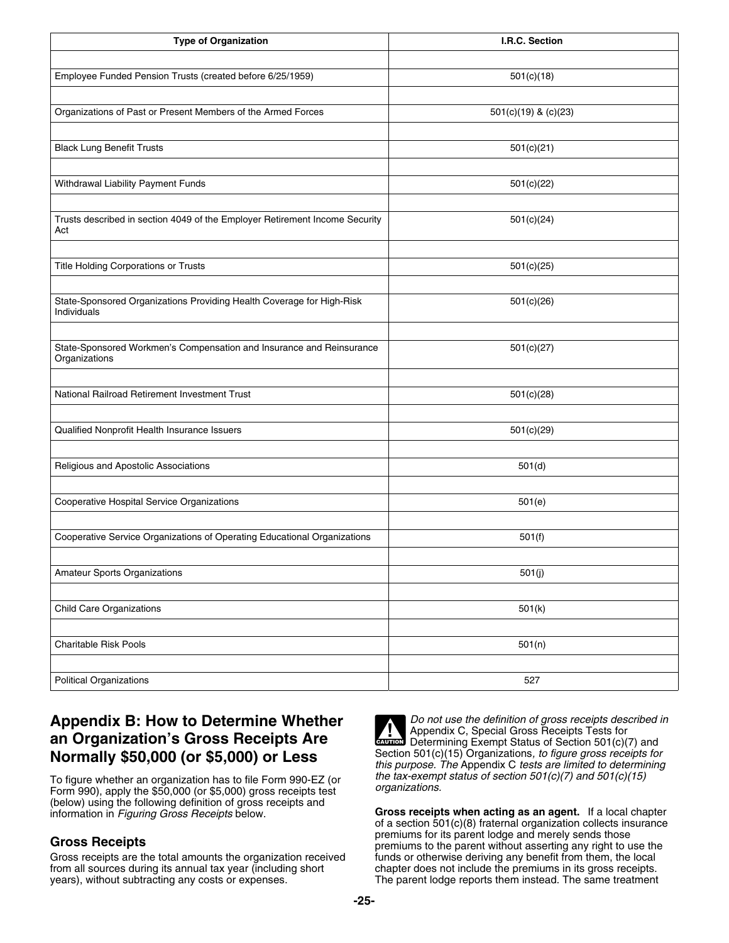| <b>Type of Organization</b>                                                           | I.R.C. Section       |
|---------------------------------------------------------------------------------------|----------------------|
|                                                                                       |                      |
| Employee Funded Pension Trusts (created before 6/25/1959)                             | 501(c)(18)           |
|                                                                                       |                      |
| Organizations of Past or Present Members of the Armed Forces                          | 501(c)(19) & (c)(23) |
|                                                                                       |                      |
| <b>Black Lung Benefit Trusts</b>                                                      | 501(c)(21)           |
|                                                                                       |                      |
| Withdrawal Liability Payment Funds                                                    | 501(c)(22)           |
|                                                                                       |                      |
| Trusts described in section 4049 of the Employer Retirement Income Security<br>Act    | 501(c)(24)           |
|                                                                                       |                      |
| Title Holding Corporations or Trusts                                                  | 501(c)(25)           |
|                                                                                       |                      |
| State-Sponsored Organizations Providing Health Coverage for High-Risk<br>Individuals  | 501(c)(26)           |
|                                                                                       |                      |
| State-Sponsored Workmen's Compensation and Insurance and Reinsurance<br>Organizations | 501(c)(27)           |
|                                                                                       |                      |
| National Railroad Retirement Investment Trust                                         | 501(c)(28)           |
|                                                                                       |                      |
| Qualified Nonprofit Health Insurance Issuers                                          | 501(c)(29)           |
|                                                                                       |                      |
| Religious and Apostolic Associations                                                  | 501(d)               |
|                                                                                       |                      |
| Cooperative Hospital Service Organizations                                            | 501(e)               |
|                                                                                       |                      |
| Cooperative Service Organizations of Operating Educational Organizations              | 501(f)               |
|                                                                                       |                      |
| <b>Amateur Sports Organizations</b>                                                   | 501(j)               |
|                                                                                       |                      |
| <b>Child Care Organizations</b>                                                       | 501(k)               |
|                                                                                       |                      |
| <b>Charitable Risk Pools</b>                                                          | 501(n)               |
|                                                                                       |                      |
| <b>Political Organizations</b>                                                        | 527                  |

## **Appendix B: How to Determine Whether** *Do not use the definition of gross receipts described in*<br> **Appendix C, Special Gross Receipts Tests for**<br> **Appendix C, Special Gross Receipts Tests for** an Organization's Gross Receipts Are<br>
Normally \$50 **000 (or \$5 000)** or Less Section 501(c)(15) Organizations, to figure gross receipts for **Normally \$50,000 (or \$5,000) or Less**

To figure whether an organization has to file Form 990-EZ (or *the tax-exemp*<br>Form 990), apply the \$50,000 (or \$5,000) gross receipts test *organizations.*<br>(below) using the following definition of gross receipts and (below) using the following definition of gross receipts and **Gross receipts when acting as an agent.** If a local chapter information in *Figuring Gross Receipts* below.

Gross receipts are the total amounts the organization received funds or otherwise deriving any benefit from them, the local from all sources during its annual tax year (including short chapter does not include the premiums from all sources during its annual tax year (including short chapter does not include the premiums in its gross receipts.<br>
years), without subtracting any costs or expenses. The parent lodge reports them instead. The same

**CAUTION** Determining Exempt Status of Section 501(c)(7) and **!** *this purpose. The* Appendix C *tests are limited to determining*

of a section 501(c)(8) fraternal organization collects insurance premiums for its parent lodge and merely sends those **Gross Receipts** premiums to the parent without asserting any right to use the The parent lodge reports them instead. The same treatment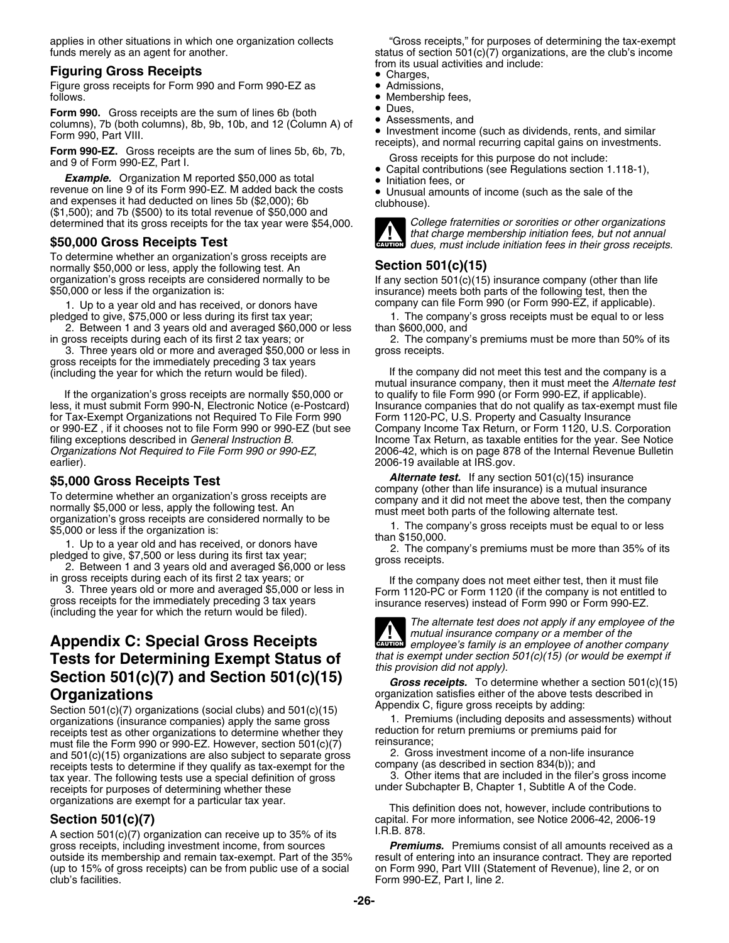### **Figuring Gross Receipts**

Figure gross receipts for Form 990 and Form 990-EZ as • Admissions,<br>follows. • Membership follows. •

**Form 990.** Gross receipts are the sum of lines 6b (both **•** Dues,<br>columne) 7b (both columns) 8b 9b 10b and 12 (Column A) of • Assessments, and columns), 7b (both columns), 8b, 9b, 10b, and 12 (Column A) of Columns and Columns, and similar Form 990, Part VIII.

Form 990-EZ. Gross receipts are the sum of lines 5b, 6b, 7b,<br>and 9 of Form 990-EZ. Gross receipts are the sum of lines 5b, 6b, 7b,<br>and 9 of Form 990-EZ, Part I.

 Capital contributions (see Regulations section 1.118-1), *Example.* Organization M reported \$50,000 as total •revenue on line 9 of its Form 990-EZ. M added back the costs revenue on line 9 of its Form 990-EZ. M added back the costs<br>and expenses it had deducted on lines 5b (\$2,000); 6b clubhouse).<br>(\$1,500); and 7b (\$500) to its total revenue of \$50,000 and<br>determined that its gross receipts

To determine whether an organization's gross receipts are normally \$50,000 or less, apply the following test. An **Section 501(c)(15)**<br>organization's gross receipts are considered normally to be lf any section 501(c)(15)

1. Up to a year old and has received, or donors have pledged to give, \$75,000 or less during its first tax year; 1. The company's gross receipts must be equal to or less

2. Between 1 and 3 years old and averaged \$60,000 or less than \$600,000, and in gross receipts during each of its first 2 tax years; or 2. The company

3. Three years old or more and averaged \$50,000 or less in gross receipts. gross receipts for the immediately preceding 3 tax years (including the year for which the return would be filed). If the company did not meet this test and the company is a

If the organization's gross receipts are normally \$50,000 or to qualify to file Form 990 (or Form 990-EZ, if applicable).<br>Insurance companies that do not qualify as tax-exempt m for Tax-Exempt Organizations not Required To File Form 990 or 990-EZ , if it chooses not to file Form 990 or 990-EZ (but see Company Income Tax Return, or Form 1120, U.S. Corporation filing exceptions described in *General Instruction B.* Income Tax Return, as taxable entities for the year. See Notice *Organizations Not Required to File Form 990 or 990-EZ*, 2006-42, which is on page 878 of the Internal Revenue Bulletin earlier).

in gross receipts during each of its first 2 tax years; or<br>3. Three years old or more and averaged \$5,000 or less in<br>gross receipts for the immediately preceding 3 tax years<br>(including the year for which the return would b

# *mutual insurance company or a member of the* **Appendix C: Special Gross Receipts Tests for Determining Exempt Status of** that is exempt under section 501(c)(15) (or would be exempt if this provision did not apply).<br>**Section 501(c)(7) and Section 501(c)(15)** Gross receipts. To determine whether a sect

Section 501(c)(7) organizations (social clubs) and 501(c)(15)<br>
organizations (insurance companies) annly the same gross and all Premiums (including deposits and assessments) without organizations (insurance companies) apply the same gross 1. Premiums (including deposits and assessment receipts test as other organizations to determine whether they deduction for return premiums or premiums paid for receipts test as other organizations to determine whether they reduction for<br>must file the Form 990 or 990-F7 However section 501(c)(7) reinsurance; must file the Form 990 or 990-EZ. However, section  $501(c)(7)$  reinsurance;<br>and  $501(c)(15)$  organizations are also subject to separate gross 2. Gross investment income of a non-life insurance and 501(c)(15) organizations are also subject to separate gross 2. Gross investment income of a non-life insection 834(b)); and<br>receipts tests to determine if they qualify as tax-exempt for the company (as described in sec receipts tests to determine if they qualify as tax-exempt for the company (as described in section 834(b)); and<br>tax year. The following tests use a special definition of gross (3. Other items that are included in the filer tax year. The following tests use a special definition of gross 3. Other items that are included in the filer's gross in<br>sceipts for purposes of determining whether these summer Subchapter B, Chapter 1, Subtitle A of the C receipts for purposes of determining whether these

A section 501(c)(7) organization can receive up to 35% of its gross receipts, including investment income, from sources outside its membership and remain tax-exempt. Part of the 35% result of entering into an insurance contract. They are reported (up to 15% of gross receipts) can be from public use of a social on Form 990, Part VIII (Statement of Revenue), line 2, or on

applies in other situations in which one organization collects "Gross receipts," for purposes of determining the tax-exempt funds merely as an agent for another.<br> $\blacksquare$  status of section 501(c)(7) organizations, are the club's income from its usual activities and include:

• Charges,

- 
- Membership fees,
- Dues,
- 

- 
- 
- 



determined that its gross receipts for the tax year were \$54,000. *College fraternities or sororities or other organizations*<br>that charge membership initiation fees, but not annual **EXECUTE 1999 MARGE 1999 MARGE 1999 MARGE 1999 MARGE 1999 MARGE 1999 MARGE 1999 MARGE 1999 MARGE 1999 MARGE 1999 MARGE 1999 MARGE 1999 MARGE 1999 MARGE 1999 MARGE 1999 MARGE 1999 MARGE 1999 MARGE 1999 MARGE 1999 MARGE 1999** 

If any section  $501(c)(15)$  insurance company (other than life \$50,000 or less if the organization is: insurance) meets both parts of the following test, then the<br>.1. Up to a year old and has received, or donors have company can file Form 990 (or Form 990-EZ, if applicable).

2. The company's premiums must be more than 50% of its

mutual insurance company, then it must meet the *Alternate test* Insurance companies that do not qualify as tax-exempt must file<br>Form 1120-PC, U.S. Property and Casualty Insurance 2006-19 available at IRS.gov.

**\$5,000 Gross Receipts Test**<br>
To determine whether an organization's gross receipts are<br>
normally \$5,000 or less, apply the following test. An<br>
organization's gross receipts are<br>
norganization's gross receipts are consider



**CAUTION** *employee's family is an employee of another company*

**Organizations** organization satisfies either of the above tests described in<br>Section 501(c)<sup>(7)</sup> organizations (social clubs) and 501(c)(15) Appendix C, figure gross receipts by adding:

organizations are exempt for a particular tax year. This definition does not, however, include contributions to **Section 501(c)(7)**<br>A section 501(c)(7) craanization can receive up to 35% of its [I.R.B. 878.<br>A section 501(c)(7) craanization can receive up to 35% of its [I.R.B. 878.

> **Premiums.** Premiums consist of all amounts received as a Form 990-EZ, Part I, line 2.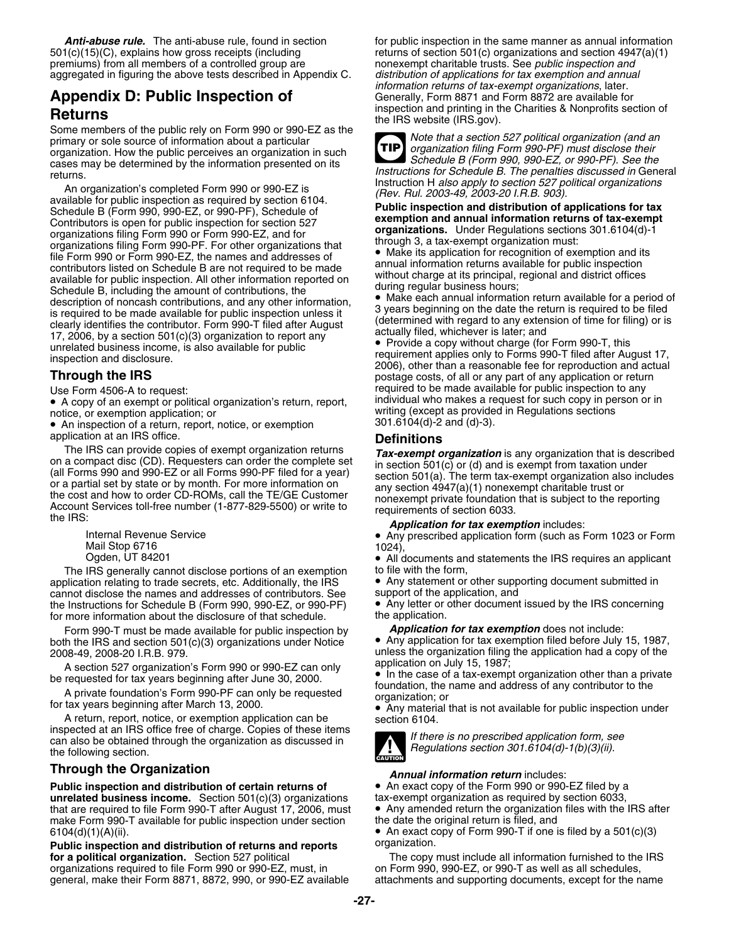501(c)(15)(C), explains how gross receipts (including returns of section 501(c) organizations and section 4947(a)(1) premiums) from all members of a controlled group are returns of section 501(c) organizations and premiums aggregated in figuring the above tests described in Appendix C. *distribution of applications for tax exemption and annual*

**Returns**<br>Some members of the public rely on Form 990 or 990-EZ as the<br>primary or sole source of information about a particular<br>organization filing Form 990-PF) must disclose their<br>cases may be determined by the informatio

cases may be determined by the information presented on its<br>returns.<br>An organization's completed Form 990 or 990-EZ is<br>available for public inspection as required by section 6104.<br>Schedule B (Form 990, 990-EZ, or 990-PF), organizations filing Form 990-PF. For other organizations that<br>file Form 990 or Form 990-PF. For other organizations that<br>file Form 990 or Form 990-EZ, the names and addresses of<br>contributors listed on Schedule B are not r Exampled to be made available for public inspection unless it<br>clearly identifies the contributor. Form 990-T filed after August<br>17, 2006, by a section 501(c)(3) organization to report any<br>unrelated business income, is also

• A copy of an exempt or political organization's return, report,

• An inspection of a return, report, notice, or exemption 301.6104(d)-2 and (d)-3). application at an IRS office. **Definitions**

Tax-exempt organization is any organization that is described<br>on a compact disc (CD). Requesters can order the complete set<br>(all Forms 990 and 990-EZ or all Forms 990-PF filed for a year)<br>or a partial set by state or by mo

Internal Revenue Service •Mail Stop 6716 1024),

The IRS generally cannot disclose portions of an exemption to file with the form,<br>plication relating to trade secrets, etc. Additionally, the IRS **Community on the supporting document** submitted in application relating to trade secrets, etc. Additionally, the IRS • Any statement or other support of the application, and contributions. See support of the application, and cannot disclose the names and addresses of contributors. See the Instructions for Schedule B (Form 990, 990-EZ, or 990-PF) • Any letter or other document issued by the IRS concerning<br>for more information about the disclosure of that schedule. the application. for more information about the disclosure of that schedule.

Form 990-T must be made available for public inspection by **Application for tax exemption** does not include:<br>h the IRS and section 501(c)(3) organizations under Notice **Commences Commentary of the Angle of the Any applicat** both the IRS and section  $501(c)(3)$  organizations under Notice

A section 527 organization's Form 990 or 990-EZ can only application on July 15, 1987;<br>be requested for tax years beginning after June 30, 2000.

be requested for tax years beginning after June 30, 2000.<br>A private foundation's Form 990-PF can only be requested<br>for tax years beginning after March 13, 2000.

A return, report, notice, or exemption application can be section 6104. inspected at an IRS office free of charge. Copies of these items<br>can also be obtained through the organization as discussed in the following section.<br>the following section.

**Public inspection and distribution of certain returns of** • An exact copy of the Form 990 or 990-EZ filed by a **unrelated business income.** Section 501(c)(3) organizations tax-exempt organization as required by section 60 **unrelated business income.** Section 501(c)(3) organizations that are required to file Form 990-T after August 17, 2006, must  $\bullet$  Any amended return the organization files with the IRS after make Form 990-T available for public inspection under section the date the original return make Form 990-T available for public inspection under section

**Public inspection and distribution of returns and reports for a political organization.** Section 527 political The copy must include all information furnished to the IRS organizations required to file Form 990 or 990-EZ, must, in The copy must include all information furnished t organizations required to file Form 990 or 990-EZ, must, in on Form 990, 990-EZ, or 990-T as well as all schedules,<br>general, make their Form 8871, 8872, 990, or 990-EZ available attachments and supporting documents, except general, make their Form 8871, 8872, 990, or 990-EZ available

**Anti-abuse rule.** The anti-abuse rule, found in section for public inspection in the same manner as annual information nonexempt charitable trusts. See *public inspection and information returns of tax-exempt organizations*, later. **Appendix D: Public Inspection of** Generally, Form 8871 and Form 8872 are available for **Denotic Inspection of** inspection and printing in the Charities & Nonprofits section of



requirement applies only to Forms 990-T filed after August 17,<br>inspection and disclosure.<br>**Through the IRS** 2006), other than a reasonable fee for reproduction and actual<br>postage costs, of all or any part of any applicatio postage costs, of all or any part of any application or return Use Form 4506-A to request:  $r = 0$  required to be made available for public inspection to any individual who makes a request for such copy in person or in notice, or exemption application; or writing (except as provided in Regulations sections<br>• An inspection of a return, report, notice, or exemption 301.6104(d)-2 and (d)-3).

Any prescribed application form (such as Form 1023 or Form

• All documents and statements the IRS requires an applicant

2008-49, 2008-20 I.R.B. 979. <sup>200</sup> V. Express the organization filing the application had a copy of the application filing the application had a copy of the application filing the application had a copy of the application

Any material that is not available for public inspection under



**Through the Organization** *Annual information return* **includes:** 

 $6104(d)(1)(A)(ii)$ .<br> **Public inspection and distribution of returns and reports** organization.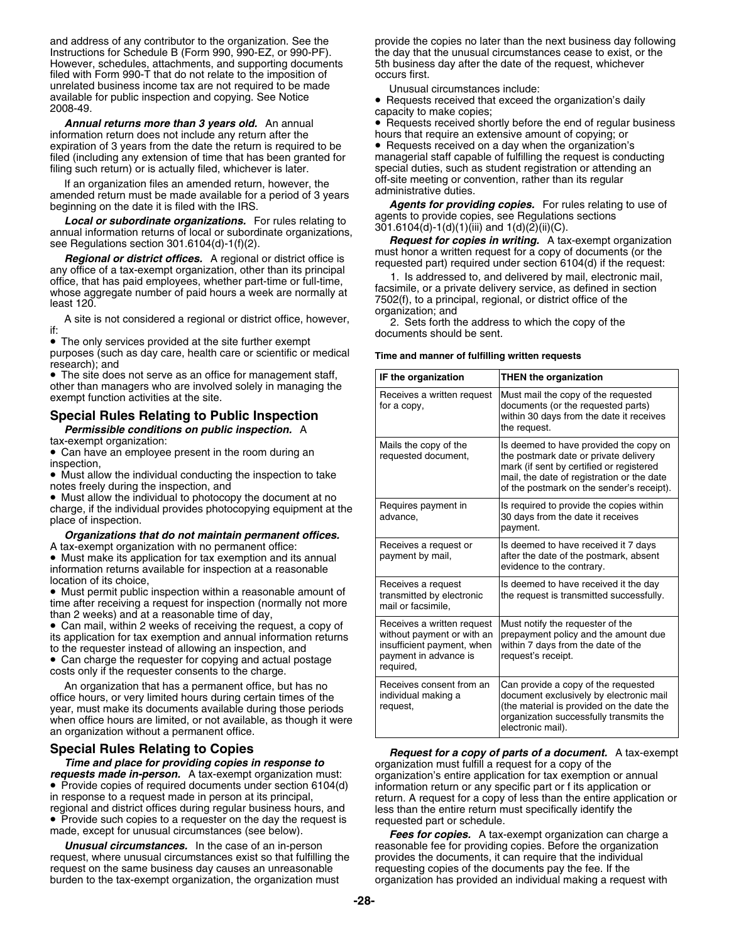Instructions for Schedule B (Form 990, 990-EZ, or 990-PF). the day that the unusual circumstances cease to exist, or the However, schedules, attachments, and supporting documents 5th business day after the date of the requ However, schedules, attachments, and supporting documents filed with Form 990-T that do not relate to the imposition of occurs first. unrelated business income tax are not required to be made Unusual circumstances include: available for public inspection and copying. See Notice •

information return does not include any return after the hours that require an extensive amount of copying; or<br>expiration of 3 years from the date the return is required to be **•** Requests received on a day when the organi expiration of 3 years from the date the return is required to be • • Requests received on a day when the organization's<br>filed (including any extension of time that has been granted for banagerial staff capable of fulfillin filed (including any extension of time that has been granted for filing such return) or is actually filed, whichever is later.

If an organization files an amended return, however, the amended return its regular amended return must be made available for a period of 3 years

office, that has paid employees, whether part-time or full-time,<br>whose aggregate number of paid hours a week are normally at facsimile, or a private delivery service, as defined in section<br>least 120

least 120.<br>
A site is not considered a regional or district office, however,<br>  $\frac{1}{2}$  a principal, regional, or district office by the decomposition; and<br>  $\frac{1}{2}$  Sets forth the address to which the copy of the<br>
docum

• The only services provided at the site further exempt purposes (such as day care, health care or scientific or medical **Time and manner of fulfilling written requests** research); and

### **Special Rules Relating to Public Inspection**

*requests made in-person.* A tax-exempt organization must: organization's entire application for tax exemption or annual • Provide copies of required documents under section 6104(d) • Provide copies of required documents under section 6104(d) information return or any specific part or f its application or in response to a request made in person at its principal, return. A request for a copy of less th  $\bullet$  Provide such copies to a requester on the day the request is  $\qquad$  requested part or schedule.

request, where unusual circumstances exist so that fulfilling the provides the documents, it can require that the individual request on the same business day causes an unreasonable equesting copies of the documents pay the fee. If the<br>burden to the tax-exempt organization, the organization must organization has provided an individual making a re

and address of any contributor to the organization. See the provide the copies no later than the next business day following

available for public inspection and copying. See Notice<br>2008-49. capacity to make copies;<br>capacity to make copies;

**Annual returns more than 3 years old.** An annual **•** Requests received shortly before the end of regular business **ormation return does not include any return after the business hours that require an extensive amount** special duties, such as student registration or attending an off-site meeting or convention, rather than its regular

beginning on the date it is filed with the IRS. **Agents for providing copies.** For rules relating to use of agents to provide copies, see Regulations sections

**Local or subordinate organizations.** For rules relating to<br>annual information returns of local or subordinate organizations,<br>see Regulations section 301.6104(d)-1(f)(2).<br>**Request for copies in writing.** A tax-exempt orga

| • The site does not serve as an office for management staff,<br>other than managers who are involved solely in managing the                                                                                                                                                                                                                                                                                                                                    | IF the organization                                                                                                          | <b>THEN the organization</b>                                                                                                                                                                                           |
|----------------------------------------------------------------------------------------------------------------------------------------------------------------------------------------------------------------------------------------------------------------------------------------------------------------------------------------------------------------------------------------------------------------------------------------------------------------|------------------------------------------------------------------------------------------------------------------------------|------------------------------------------------------------------------------------------------------------------------------------------------------------------------------------------------------------------------|
| exempt function activities at the site.<br><b>Special Rules Relating to Public Inspection</b><br>Permissible conditions on public inspection. A                                                                                                                                                                                                                                                                                                                | Receives a written request<br>for a copy.                                                                                    | Must mail the copy of the requested<br>documents (or the requested parts)<br>within 30 days from the date it receives<br>the request.                                                                                  |
| tax-exempt organization:<br>• Can have an employee present in the room during an<br>inspection,<br>• Must allow the individual conducting the inspection to take<br>notes freely during the inspection, and                                                                                                                                                                                                                                                    | Mails the copy of the<br>requested document,                                                                                 | Is deemed to have provided the copy on<br>the postmark date or private delivery<br>mark (if sent by certified or registered<br>mail, the date of registration or the date<br>of the postmark on the sender's receipt). |
| • Must allow the individual to photocopy the document at no<br>charge, if the individual provides photocopying equipment at the<br>place of inspection.                                                                                                                                                                                                                                                                                                        | Requires payment in<br>advance,                                                                                              | Is required to provide the copies within<br>30 days from the date it receives<br>payment.                                                                                                                              |
| Organizations that do not maintain permanent offices.<br>A tax-exempt organization with no permanent office:<br>• Must make its application for tax exemption and its annual<br>information returns available for inspection at a reasonable<br>location of its choice.<br>• Must permit public inspection within a reasonable amount of<br>time after receiving a request for inspection (normally not more<br>than 2 weeks) and at a reasonable time of day, | Receives a request or<br>payment by mail,                                                                                    | Is deemed to have received it 7 days<br>after the date of the postmark, absent<br>evidence to the contrary.                                                                                                            |
|                                                                                                                                                                                                                                                                                                                                                                                                                                                                | Receives a request<br>transmitted by electronic<br>mail or facsimile.                                                        | Is deemed to have received it the day<br>the request is transmitted successfully.                                                                                                                                      |
| • Can mail, within 2 weeks of receiving the request, a copy of<br>its application for tax exemption and annual information returns<br>to the requester instead of allowing an inspection, and<br>• Can charge the requester for copying and actual postage<br>costs only if the requester consents to the charge.                                                                                                                                              | Receives a written request<br>without payment or with an<br>insufficient payment, when<br>payment in advance is<br>required, | Must notify the requester of the<br>prepayment policy and the amount due<br>within 7 days from the date of the<br>request's receipt.                                                                                   |
| An organization that has a permanent office, but has no<br>office hours, or very limited hours during certain times of the<br>year, must make its documents available during those periods<br>when office hours are limited, or not available, as though it were<br>an organization without a permanent office.                                                                                                                                                | Receives consent from an<br>individual making a<br>request,                                                                  | Can provide a copy of the requested<br>document exclusively by electronic mail<br>(the material is provided on the date the<br>organization successfully transmits the<br>electronic mail).                            |

**Special Rules Relating to Copies** *Request for a copy of parts of a document.* A tax-exempt *Time and place for providing copies in response to n organization must fulfill a request for a copy of the Time and place for providing copies in response to* organization must fulfill a request for a copy of the in response to a request made in person at its principal, return. A request for a copy of less than the entire application or regional and district offices during regular business hours, and less than the entire return mus less than the entire return must specifically identify the requested part or schedule.

made, except for unusual circumstances (see below). **Fees for copies.** A tax-exempt organization can charge a **Unusual circumstances**. In the case of an in-person **Fees for copies.** A tax-exempt organization can charge a v reasonable fee for providing copies. Before the organization organization has provided an individual making a request with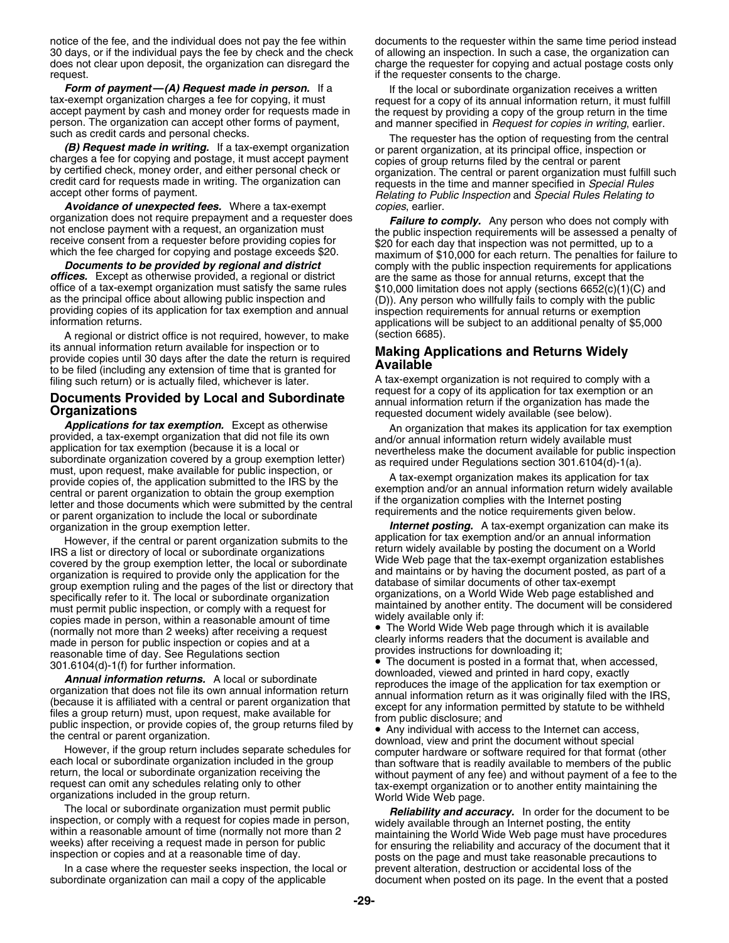notice of the fee, and the individual does not pay the fee within documents to the requester within the same time period instead 30 days, or if the individual pays the fee by check and the check of allowing an inspection. In such a case, the organization can<br>does not clear upon deposit, the organization can disregard the charge the requester for cop request. **if the requester consents to the charge. if the requester consents to the charge.** 

**Form of payment—(A) Request made in person.** If a<br>tax-exempt organization charges a fee for copying, it must<br>accept payment by cash and money order for requests made in<br>person. The organization can accept other forms of p

*Avoidance of unexpected fees.* Where a tax-exempt *copies*, earlier.

**Documents to be provided by regional and district** comply with the public inspection requirements for applications **offices.** Except as otherwise provided, a regional or district are the same as those for annual returns, **offices.** Except as otherwise provided, a regional or district are the same as those for annual returns, except that the office of a tax-exempt organization must satisfy the same rules  $$10,000$  limitation does not apply office of a tax-exempt organization must satisfy the same rules \$10,000 limitation does not apply (sections 6652(c)(1)(C) and<br>as the principal office about allowing public inspection and (D)). Any person who willfully fail providing copies of its application for tax exemption and annual

A regional or district office is not required, however, to make (section 6685). its annual information return available for inspection or to<br>
provide copies until 30 days after the date the return is required<br>
to be filed (including any extension of time that is granted for<br>
filing such return) or is

# **Documents Provided by Local and Subordinate**<br>**Organizations**<br>**Organizations**<br>**Applications for tax exemption.** Except as otherwise<br>**Applications for tax exemption.** Except as otherwise<br>An organization that makes its annic

**Applications for tax exemption.** Except as otherwise provided, a tax-exempt organization that did not file its own<br>application for tax exemption (because it is a local or<br>subordinate organization covered by a group exempt

However, if the central or parent organization submits to the<br>IRS a list or directory of local or subordinate organizations<br>covered by the group exemption letter, the local or subordinate<br>organization is required to provid specifically refer to it. The local or subordinate organization<br>must permit public inspection, or comply with a request for maintained by another entity. The document will be considered<br>conjes made in person, within a reas copies made in person, within a reasonable amount of time<br>(normally not more than 2 weeks) after receiving a request • • The World Wide Web page through which it is available (normally not more than 2 weeks) after receiving a request made in person for public inspection or copies and at a clearly informs readers that the document is available and reasonable time of day. See Bequilations section reasonable time of day. See Regulations section<br>301.6104(d)-1(f) for further information. <br>• The document is posted in a format that, when accessed,

The local or subordinate organization must permit public **Reliability and accuracy.** In order for the document to be inspection, or comply with a request for copies made in person, widely available through an Internet post

subordinate organization can mail a copy of the applicable

charge the requester for copying and actual postage costs only

such as credit cards and personal checks.<br> **(B) Request made in writing.** If a tax-exempt organization<br>
charges a fee for copying and postage, it must accept payment<br>
by certified check, money order, and either personal ch

organization does not require prepayment and a requester does<br>
not enclose payment with a request, an organization must<br>
receive consent from a requester before providing copies for<br>
which the fee charged for copying and p (D)). Any person who willfully fails to comply with the public inspection requirements for annual returns or exemption information returns. applications will be subject to an additional penalty of \$5,000

filing such return) or is actually filed, whichever is later.<br> **A tax-exempt organization is not required to comply with a**<br> **Required to a copy of its application for tax exemption or an**<br> **Required to a copy of its appli** 

organization in the group exemption letter.<br>However, if the central or parent organization submits to the application for tax exemption and/or an annual information

301.6104(d)-1(f) for further information.<br> **Annual information returns.** A local or subordinate<br>
organization that does not file its own annual information return<br>
(because it is affiliated with a central or parent organiz

Fraction, the group of the group of the group of the group of the central or parent organization.<br>
However, if the group return includes separate schedules for<br>
each local or subordinate organization included in the group<br>

within a reasonable amount of time (normally not more than 2 maintaining the World Wide Web page must have procedures<br>weeks) after receiving a request made in person for public<br>inspection or copies and at a reasonable time In a case where the requester seeks inspection, the local or prevent alteration, destruction or accidental loss of the<br>Dordinate organization can mail a copy of the applicable document when posted on its page. In the event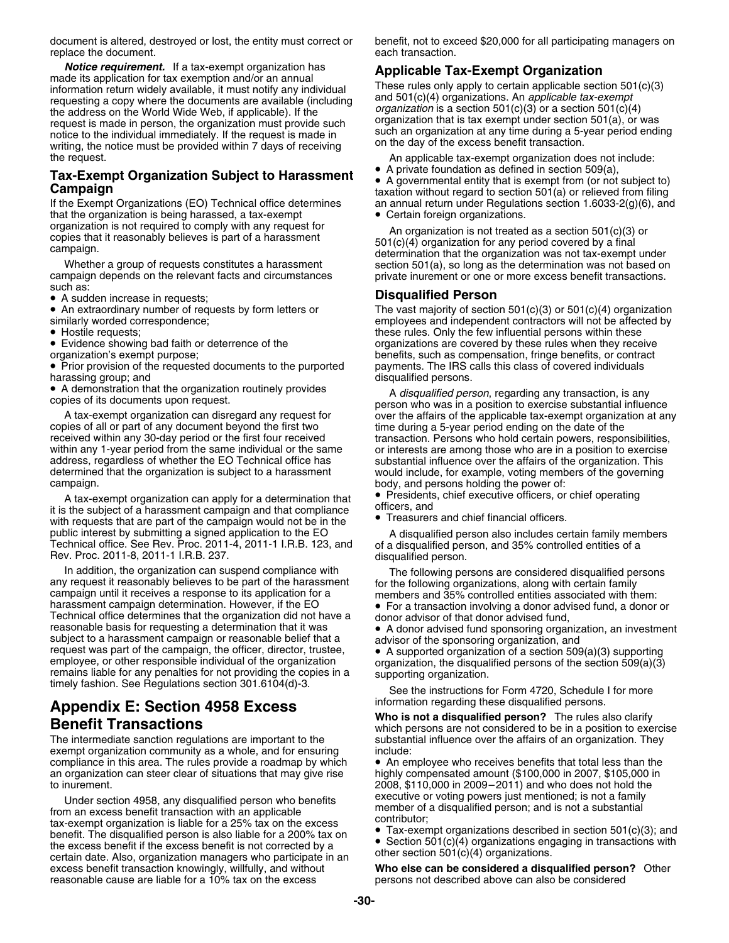document is altered, destroyed or lost, the entity must correct or benefit, not to exceed \$20,000 for all participating managers on replace the document. The contraction of the document of the contraction of the contraction.

**Notice requirement.** If a tax-exempt organization has<br>
information for tax exemption and/or an annual<br>
information return widely available, it must notify any individual<br>
requesting a copy where the documents are availab the request. An applicable tax-exempt organization does not include:

# Tax-Exempt Organization Subject to Harassment • A private foundation as defined in section 509(a),

that the organization is being harassed, a tax-exempt • Certain foreign organizations.

such as:

• A sudden increase in requests; **Disqualified Person**

• An extraordinary number of requests by form letters or

• Hostile requests;

• Evidence showing bad faith or deterrence of the

• Prior provision of the requested documents to the purported payments. The IRS calls this class of covered individuals harassing group; and disqualified persons.

• A demonstration that the organization routinely provides

copies of all or part of any document beyond the first two time during a 5-year period ending on the date of the<br>
received within any 30-day period or the first four received transaction. Persons who hold certain powers, r address, regardless of whether the EO Technical office has substantial influence over the affairs of the organization. This determined that the organization is subject to a harassment would include, for example, voting members of the governing campaign.<br>
body, and persons holding the power of:

it is the subject of a harassment campaign and that compliance officers, and<br>with requests that are part of the campaign would not be in the **Cause** Treasurers and chief financial officers. with requests that are part of the campaign would not be in the

In addition, the organization can suspend compliance with The following persons are considered disqualified persons<br>any request it reasonably believes to be part of the harassment<br>campaign until it receives a response to i Narassment campaign determination. However, if the EO<br>
Technical office determines that the organization did not have a<br>
reasonable basis for requesting a determination that it was<br>
subject to a harassment campaign or reas

exempt organization community as a whole, and for ensuring compliance in this area. The rules provide a roadmap by which • An employee who receives benefits that total less than the an organization can steer clear of situations that may give rise highly compensated amount (\$100,000 in 2007, \$105,000 in

Under section 4958, any disqualified person who benefits<br>from an excess benefit transaction with an applicable<br>tax-exempt organization is liable for a 25% tax on the excess<br>henefit. The disqualified person; also liable for excess benefit transaction knowingly, willfully, and without who else can be considered a disquare excess benefit transaction knowingly, willfully, and without Who else can be considered a disq reasonable cause are liable for a 10% tax on the excess

• A private foundation as defined in section 509(a),

**Campaign**<br>
If the Exempt Organizations (EO) Technical office determines an annual return under Regulations section 1.6033-2(g)(6), and<br>
If the Exempt Organizations (EO) Technical office determines an annual return under R an annual return under Regulations section 1.6033-2(g)(6), and

organization is not required to comply with any request for<br>copies that it reasonably believes is part of a harassment<br>campaign.<br>Whether a group of requests constitutes a harassment<br>whether a group of requests constitutes Whether a group of requests constitutes a harassment section 501(a), so long as the determination was not based on campaign depends on the relevant facts and circumstances private inurement or one or more excess benefit tr private inurement or one or more excess benefit transactions.

The vast majority of section  $501(c)(3)$  or  $501(c)(4)$  organization similarly worded correspondence; entity and independent contractors will not be affected by these rules. Only the few influential persons within these organizations are covered by these rules when they receive organization's exempt purpose;<br>• Prior provision of the requested documents to the purported payments. The IRS calls this class of covered individuals

A demonstration that the organization routinely provides and a *A disqualified person*, regarding any transaction, is any copies of its documents upon request.<br>Person who was in a position to exercise substantial influence over the affairs of the applicable tax-exempt organization at any received within any 30-day period or the first four received transaction. Persons who hold certain powers, responsibilities,<br>within any 1-year period from the same individual or the same or interests are among those who ar or interests are among those who are in a position to exercise body, and persons holding the power of:

A tax-exempt organization can apply for a determination that  $\bullet$  Presidents, chief executive officers, or chief operating<br>s the subject of a harassment campaign and that compliance officers, and

public interest by submitting a signed application to the EO **A** disqualified person also includes certain family members<br>Technical office. See Rev. Proc. 2011-4, 2011-1 I.R.B. 123, and of a disqualified person, and 35% co

**Appendix E: Section 4958 Excess** information regarding these disqualified persons.<br> **Benefit Transactions**<br>
The intermediate sanction regulations are important to the substantial influence over the affairs of an organizat substantial influence over the affairs of an organization. They include

 $2008, $110,000$  in  $2009-2011$ ) and who does not hold the

benefit. The disqualified person is also liable for a 200% tax on<br>the excess benefit if the excess benefit is not corrected by a<br>section 501(c)(4) organizations engaging in transactions with

**Who else can be considered a disqualified person?** Other persons not described above can also be considered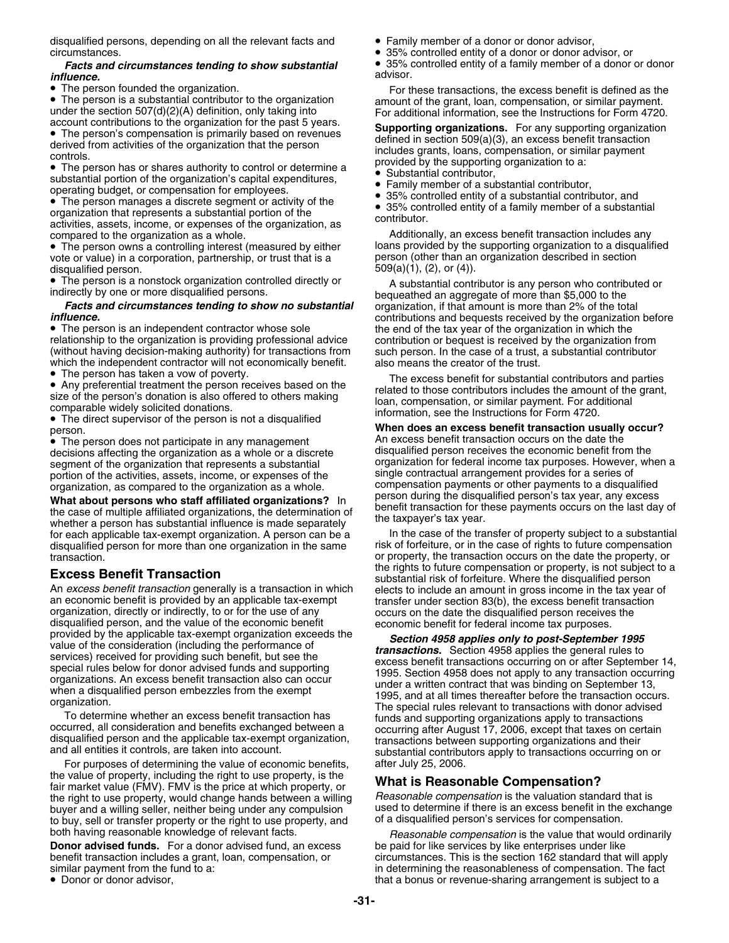disqualified persons, depending on all the relevant facts and • Family member of a donor or donor advisor, circumstances. • 35% controlled entity of a donor or donor advisor, or

# $influence.$

• The person founded the organization.

• The person is a substantial contributor to the organization • The person is a substantial contributor to the organization<br>under the section 507(d)(2)(A) definition, only taking into<br>account contributions to the organization for the past 5 years.

 The person has or shares authority to control or determine a •substantial portion of the organization's capital expenditures,<br>expenditures,<br>Family member of a substantial contributor, operating budget, or compensation for employees.

• The person manages a discrete segment or activity of the organization that represents a substantial portion of the Equivalent matriciplesents a substantial portion of the<br>activities, assets, income, or expenses of the organization, as contributor.<br>Addition compared to the organization as a whole.

vote or value) in a corporation, partnership, or trust that is a person (other than an organization described in section disqualified person.  $509(a)(1), (2),$  or (4)).

• The person is a nonstock organization controlled directly or

### Facts and circumstances tending to show no substantial organization, if that amount is more than 2% of the total *influence.* Contributions and bequests received by the organization before  $\blacksquare$

 $\bullet$  The person is an independent contractor whose sole  $\qquad \qquad$  the end of the tax year of the organization in which the relationship to the organization is providing professional advice contribution or bequest is received by the organization from<br>(without having decision-making authority) for transactions from such person. In the case of a (without having decision-making authority) for transactions from which the independent contractor will not economically benefit. also means the creator of the trust.

• The person has taken a vow of poverty.

• The direct supervisor of the person is not a disqualified person.

• The person does not participate in any management  $\blacksquare$  An excess benefit transaction occurs on the date the segment of the organization that represents a substantial organization for federal income tax purposes. However<br>nortion of the activities, assets, income, or expenses of the single contractual arrangement provides for a se portion of the activities, assets, income, or expenses of the single contractual arrangement provides for a series of<br>organization, as compared to the organization as a whole compensation payments or other payments to a di

**What about persons who staff affiliated organizations?** In<br>the case of multiple affiliated organizations, the determination of<br>whether a person has substantial influence is made separately<br>for each applicable tax-exempt o for each applicable tax-exempt organization. A person can be a limit the case of the transfer of property subject to a substantia<br>disqualified person for more than one organization in the same lisk of forfeiture, or in the disqualified person for more than one organization in the same transaction.

An excess benefit transaction generally is a transaction in which<br>an economic benefit is provided by an applicable tax-exempt<br>organization, directly or indirectly, to or for the use of any<br>disqualified person, and the valu

For purposes of determining the value of economic benefits, after July 25, 2006. the value of property, including the right to use property, is the **What is Reasonable Compensation?**<br>
fair market value (FMV). FMV is the price at which property, or *Reasonable compensation* is the valuation standard t the right to use property, would change hands between a willing *Reasonable compensation* is the valuation standard that is buyer and a willing seller, neither being under any compulsion used to determine if there is an excess benefit in the<br>to buy, sell or transfer property or the right to use property, and of a disqualified person's services to buy, sell or transfer property or the right to use property, and

**Donor advised funds.** For a donor advised fund, an excess similar payment from the fund to a: in the intermining the reasonableness of compensation. The fact

• Donor or donor advisor,

- 
- 

**Facts and circumstances tending to show substantial** • 35% controlled entity of a family member of a donor or donor<br>*Iuence* 

For these transactions, the excess benefit is defined as the

account contributions to the organization for the past 5 years. **Supporting organizations.** For any supporting organization • The person's compensation **of the past 5 years.** Supporting organizations. For any supporting or derived from activities of the organization that the person<br>
controls.<br>
The person has or shares authority to control or determine a<br>
The person has or shares authority to control or determine a<br>
Substantial contributor.<br>

- 
- 
- 35% controlled entity of a substantial contributor, and<br>■ 35% controlled entity of a family member of a substantial

Additionally, an excess benefit transaction includes any loans provided by the supporting organization to a disqualified • The person owns a controlling interest (measured by either loans provided by the supporting organization to a disqualified

The person is a nonstock organization controlled directly or A substantial contributor is any person who contributed or indirectly by one or more disqualified persons. bequeathed an aggregate of more than \$5,000 to the

The person has taken a vow of poverty.<br>• Any preferential treatment the person receives based on the excelled to those contributors includes the amount of the grant • Any preferential treatment the person receives based on the related to those contributors includes the amount of the grant,<br>size of the person's donation is also offered to others making<br>comparable widely solicited donat

**When does an excess benefit transaction usually occur?**<br>An excess benefit transaction occurs on the date the decisions affecting the organization as a whole or a discrete disqualified person receives the economic benefit from the<br>segment of the organization that represents a substantial organization for federal income tax purpose organization, as compared to the organization as a whole.<br>What about parsons who staff affiliated erganizations? In the person during the disqualified person's tax year, any excess

or property, the transaction occurs on the date the property, or the rights to future compensation or property, is not subject to a<br>
substantial risk of forfeiture. Where the disqualified person<br>
An excess benefit transaction generally is a transaction in which elects to include an amou

provided by the applicable tax-exempt organization exceeds the<br>species of the consideration (including the performance of<br>services) received for providing such benefit, but see the<br>special rules below for donor advised fun

both having reasonable knowledge of relevant facts.<br>*Reasonable compensation* is the value that would ordinarily<br>**Donor advised funds.** For a donor advised fund, an excess be paid for like services by like enterprises un benefit transaction includes a grant, loan, compensation, or circumstances. This is the section 162 standard that will apply that a bonus or revenue-sharing arrangement is subject to a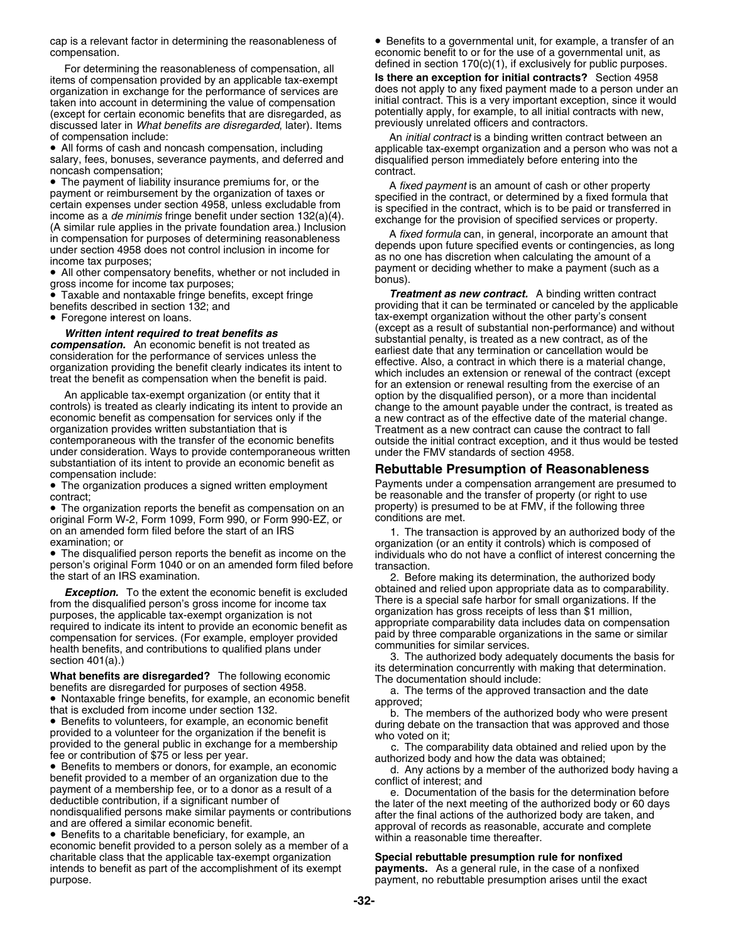compensation. economic benefit to or for the use of a governmental unit, as

taken into account in determining the value of compensation (except for certain economic benefits that are disregarded, as examply, for example, to all initial contracts with new, discussed later in *What benefits are disregarded*. Iater). Items previously unrelated officers and co discussed later in *What benefits are disregarded*, later). Items

• All forms of cash and noncash compensation, including noncash compensation; contract. Contract.

• The payment of liability insurance premiums for, or the • The payment of liability insurance premiums for, or the<br>
payment or reimbursement by the organization of taxes or<br>
certain expenses under section 4958, unless excludable from<br>
income as a *de minimis* fringe benefit und

All other compensatory benefits, whether or not included in payment or deciding whether to make a payment (such as a<br>gross income for income tax purposes;<br>• Taxable and nontaxable fringe benefits, except fringe **Treatment** 

• Foregone interest on loans.

An applicable tax-exempt organization (or entity that it option by the disqualified person), or a more than incidental controls) is treated as clearly indicating its intent to provide an change to the amount payable under the contract, is treated as economic benefit as compensation for services only if the  $\frac{1}{2}$  a new contract as of th economic benefit as compensation for services only if the a new contract as of the effective date of the material change.<br>
organization provides written substantiation that is Treatment as a new contract can cause the cont under consideration. Ways to provide contemporaneous written under the FMV standards of section 4958. substantiation of its intent to provide an economic benefit as<br> **Rebuttable Presumption of Reasonableness**<br>
• The organization produces a signed written employment<br>
<sup>Payments under a compensation arrangement are presumed t</sup>

contract: **be reasonable and the transfer of property (or right to use** be reasonable and the transfer of property (or right to use

• The organization reports the benefit as compensation on an original Form W-2, Form 1099, Form 990, or Form 990-EZ, or

• The disqualified person reports the benefit as income on the person's original Form 1040 or on an amended form filed before transaction.

**Exception.** To the extent the economic benefit is excluded<br>from the disqualified person's gross income for income tax<br>purposes, the applicable tax-exempt organization is not<br>required to indicate its intent to provide an e

What benefits are disregarded? The following economic<br>benefits are disregarded for purposes of section 4958.<br>a. The terms of the approved transaction and the date

• Nontaxable fringe benefits, for example, an economic benefit approved;<br>that is excluded from income under section 132. b. The members of the authorized body who were present<br>• Benefits to volunteers for example, an econo

that is excluded from income under section 132.<br>
■ Benefits to volunteers, for example, an economic benefit<br>
provided to a volunteer for the organization if the benefit is<br>
provided to the general public in exchange for a

benefit provided to a member of an organization due to the<br>
payment of a membership fee, or to a donor as a result of a<br>
deductible contribution, if a significant number of<br>
deductible contribution, if a significant number

• Benefits to a charitable beneficiary, for example, an within a reasonable time thereafter. economic benefit provided to a person solely as a member of a charitable class that the applicable tax-exempt organization **Special rebuttable presumption rule for nonfixed** intends to benefit as part of the accomplishment of its exempt **payments.** As a general rule, in the case of a nonfixed purpose. payment, no rebuttable presumption arises until the exact

cap is a relevant factor in determining the reasonableness of  $\bullet$  Benefits to a governmental unit, for example, a transfer of an For determining the reasonableness of compensation, all defined in section 170(c)(1), if exclusively for public purposes.

items of compensation provided by an applicable tax-exempt **Is there an exception for initial contracts?** Section 4958 organization in exchange for the performance of services are does not apply to any fixed payment made to a person under an<br>taken into account in determining the value of compensation initial contract. This is a very import

of compensation include: An *initial contract* is a binding written contract between an • All forms of cash and noncash compensation, including and applicable tax-exempt organization and a person who was not a salary, fees, bonuses, severance payments, and deferred and disqualified person immediately before e disqualified person immediately before entering into the

• Taxable and nontaxable fringe benefits, except fringe *Treatment as new contract.* A binding written contract benefits described in section 132; and **providing that it can be terminated or canceled by the applicable** tax-exempt organization without the other party's consent<br>(except as a result of substantial non-performance) and without **Examplement is the compensation.** An economic benefit is not treated as<br>
compensation. An economic benefit is not treated as<br>
consideration for the performance of services unless the<br>
organization providing the benefit cl Treatment as a new contract can cause the contract to fall contemporaneous with the transfer of the economic benefits outside the initial contract exception, and it thus would be tested

• The organization produces a signed written employment Payments under a compensation arrangement are presumed to property) is presumed to be at FMV, if the following three conditions are met.

on an amended form filed before the start of an IRS 1. The transaction is approved by an authorized body of the<br>1. The transaction is approved by an authorized body of the<br>1. The transaction is approved by an authorized bo organization (or an entity it controls) which is composed of individuals who do not have a conflict of interest concerning the

the start of an IRS examination.<br>**Exception.** To the extent the economic benefit is excluded obtained and relied upon appropriate data as to comparability.

deductible contribution, if a significant number of the later of the next meeting of the authorized body or 60 days<br>nondisqualified persons make similar payments or contributions after the final actions of the authorized b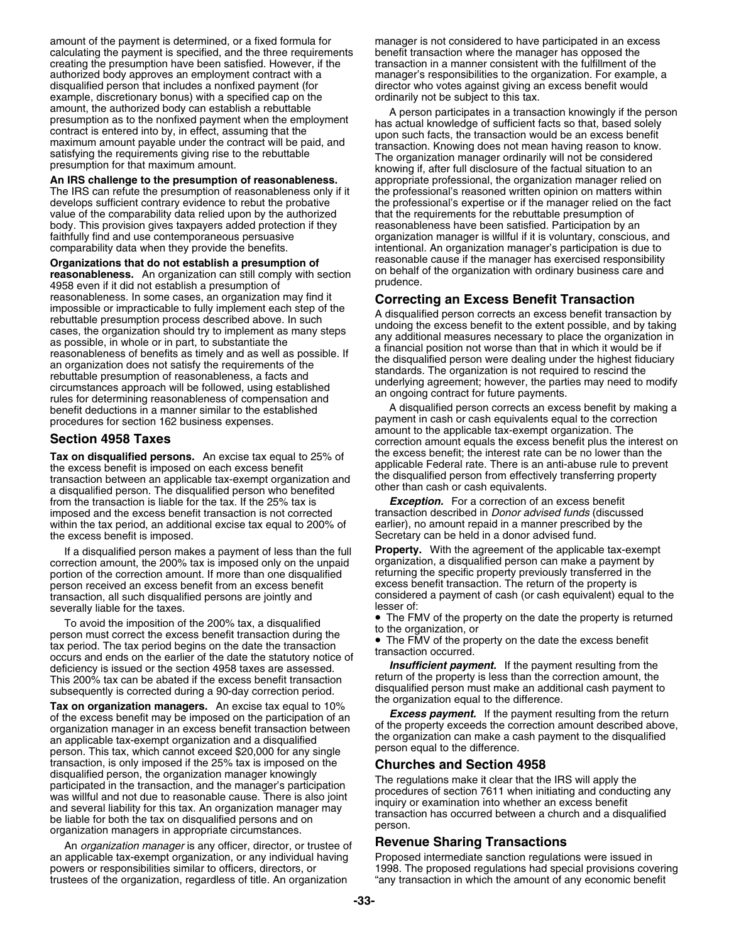amount of the payment is determined, or a fixed formula for manager is not considered to have participated in an excess calculating the payment is specified, and the three requirements benefit transaction where the manager has opposed the creating the presumption have been satisfied. However, if the authorized body approves an employment contract with a manager's responsibilities to the organization. For example, a disqualified person that includes a nonfixed payment (for director who votes against giving an excess benefit would example, discretionary bonus) with a specified cap on the ordinarily not be subject to this tax. example, discretionary bonus) with a specified cap on the

**An IRS challenge to the presumption of reasonableness.** appropriate professional, the organization manager relied on The IRS can refute the presumption of reasonableness only if it the professional's reasoned written opinion on matters within develops sufficient contrary evidence to rebut the probative the professional's expertise or if the manager relied on the fact value of the comparability data relied upon by the authorized that the requirements for the rebuttable presumption of body. This provision gives taxpayers added protection if they reasonableness have been satisfied. Participation by an faithfully find and use contemporaneous persuasive or proganization manager is willful if it is voluntar faithfully find and use contemporaneous persuasive organization manager is willful if it is voluntary, conscious, and<br>
comparability data when they provide the benefits.<br>
Comparability data when they provide the benefits.<br>

**reasonableness.** An organization can still comply with section on behalf 4958 even if it did not establish a presumption of reasonableness. In some cases, an organization may find it<br>
impossible or impracticable to fully implement each step of the<br>
rebutable pressumption process described above. In such<br>
reasons described above. In such a disqu

Tax on disqualified persons. An excise tax equal to 25% of<br>the excess benefit is imposed on each excess benefit<br>transaction between an applicable tax-exempt organization and<br>a disqualified person. The disqualified person w from the transaction is liable for the tax. If the 25% tax is **Exception.** For a correction of an excess benefit imposed and the excess benefit transaction is not corrected transaction described in *Donor advised funds* (d imposed and the excess benefit transaction is not corrected transaction described in *Donor advised funds* (discussed within the tax period, an additional excise tax equal to 200% of the excess benefit is imposed. Secretary can be held in a donor advised fund.

If a disqualified person makes a payment of less than the full **Property.** With the agreement of the applicable tax-exempt<br>rection amount, the 200% tax is imposed only on the unpaid organization, a disqualified person can correction amount, the 200% tax is imposed only on the unpaid organization, a disqualified person can make a payment by portion of the correction amount. If more than one disqualified returning the specific property previously transferred in t<br>person received an excess benefit from an excess benefit excess benefit transaction. The return of person received an excess benefit from an excess benefit excess benefit transaction. The return of the property is<br>transaction, all such disqualified persons are jointly and exconsidered a payment of cash (or cash equivale transaction, all such disqualified persons are jointly and considered a payerally liable for the taxes severally liable for the taxes.

• The FMV of the property on the date the property is returned<br>to the organization, or<br>person must correct the excess benefit transaction during the • person must correct the excess benefit transaction during the • The FM person must correct the excess benefit transaction during the<br>tax period. The tax period begins on the date the transaction<br>occurred.<br>deficiency is issued or the section 4958 taxes are assessed<br>**Insufficient payment.** If t deficiency is issued or the section 4958 taxes are assessed. This 200% tax can be abated if the excess benefit transaction return of the property is less than the correction amount, the

Tax on organization managers. An excise tax equal to 10%<br>
of the excess benefit may be imposed on the participation of an<br>
organization manager in an excess benefit transaction between<br>
an applicable tax-exempt organizatio transaction, is only imposed if the 25% tax is imposed on the **Churches and Section 4958** disqualified person, the organization manager knowingly<br>participated in the transaction, and the manager's participation<br>was willful and not due to reasonable cause. There is also joint<br>and several liability for this tax.

An *organization manager* is any officer, director, or trustee of **Revenue Sharing Transactions** an applicable tax-exempt organization, or any individual having Proposed intermediate sanction regulations were issued in trustees of the organization, regardless of title. An organization

amount, the authorized body can establish a rebuttable<br>presumption as to the nonfixed payment when the employment<br>contract is entered into by, in effect, assuming that the<br>maximum amount payable under the contract will be intentional. An organization manager's participation is due to **Organizations that do not establish a presumption of** reasonable cause if the manager has exercised responsibility<br>**reasonableness** An erganization can still comply with section on behalf of the organization with ordinary

benefit deductions in a manner similar to the established **A** disqualified person corrects an excess benefit by making a procedures for section 162 business expenses. payment in cash or cash equivalents equal to the correction<br>amount to the applicable tax-exempt organization. The **Section 4958 Taxes**<br>Tax on disqualitied persons An excise tax-equal to 25% of the excess benefit; the interest rate can be no lower than the

subsequently is corrected during a 90-day correction period. disqualified person must make an additional cash payment to<br>The organization equal to the difference.

powers or responsibilities similar to officers, directors, or **1998.** The proposed regulations had special provisions covering<br>trustees of the organization, regardless of title. An organization "any transaction in which th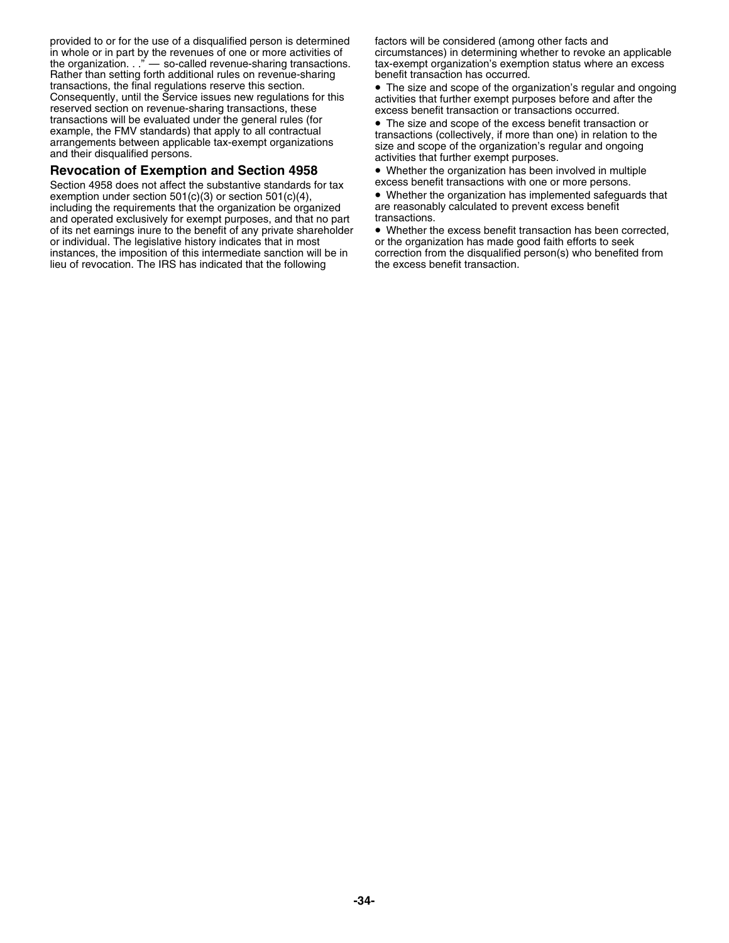provided to or for the use of a disqualified person is determined factors will be considered (among other facts and<br>in whole or in part by the revenues of one or more activities of circumstances) in determining whether to the organization.  $\cdot$   $\cdot$   $\cdot$   $\sim$  so-called revenue-sharing transactions. Rather than setting forth additional rules on revenue-sharing benefit transaction has occurred.<br>
transactions, the final regulations reserve this section. 
<br>
• The size and scope of the orga transactions, the final regulations reserve this section.<br>Consequently, until the Service issues new regulations for this entity different at further exempt purposes before and after the<br>reserved section on revenue-sharing transactions will be evaluated under the general rules (for  $\bullet$  The size and scope of the excess benefit transaction or example, the FMV standards) that apply to all contractual transactions (collectively if more than one

Section 4958 does not affect the substantive standards for tax exemption under section 501(c)(3) or section 501(c)(4), exercises whether the organization has implemented safeguards that including the requirements that the organization be organized are reasonably calculated to prevent including the requirements that the organization be organized are reasonal<br>and operated exclusively for exempt purposes, and that no part transactions. and operated exclusively for exempt purposes, and that no part of its net earnings inure to the benefit of any private shareholder • Whether the excess benefit transaction has been corrected, or individual. The legislative history indicates that in most or the organization has made go or individual. The legislative history indicates that in most or the organization has made good faith efforts to seek<br>instances, the imposition of this intermediate sanction will be in correction from the disqualified pers instances, the imposition of this intermediate sanction will be in correction from the disqualified lieu of revocation. The IRS has indicated that the following the excess benefit transaction. lieu of revocation. The IRS has indicated that the following

circumstances) in determining whether to revoke an applicable tax-exempt organization's exemption status where an excess

example, the FMV standards) that apply to all contractual transactions (collectively, if more than one) in relation to the arrangements between applicable tax-exempt organizations size and scope of the organization's regul

**Revocation of Exemption and Section 4958** • Whether the organization has been involved in multiple<br>Section 4958 does not affect the substantive standards for tax excess benefit transactions with one or more persons.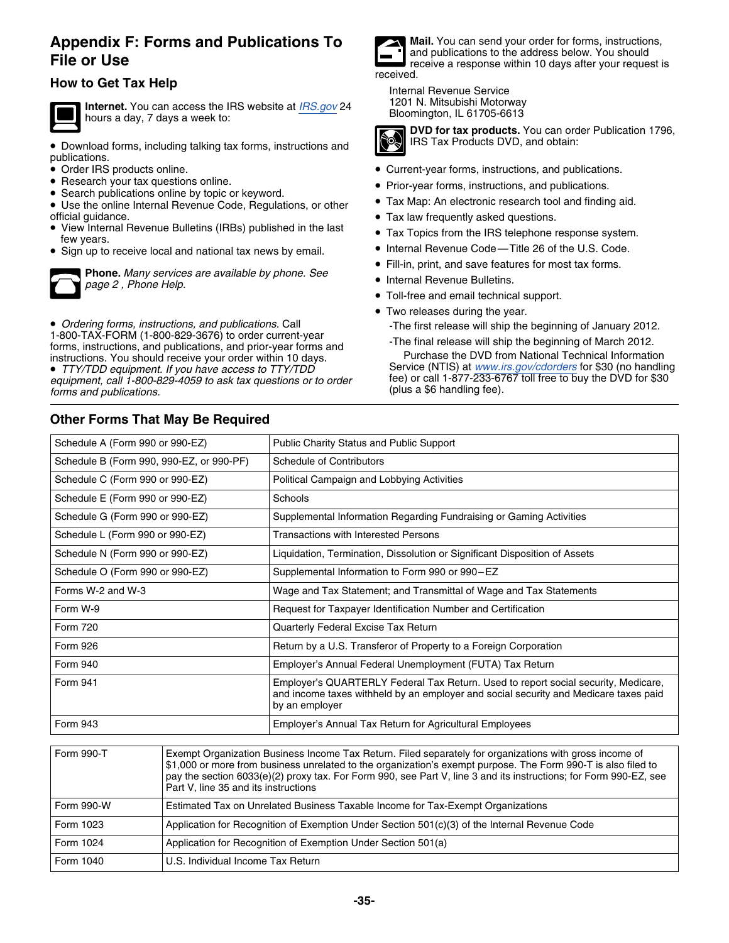# **Appendix F: Forms and Publications To**<br>**All and publications to the address below. You should**<br>**File and publications to the address below. You should File or Use File or Use File or Use File or Use File or Use File or Use File or Use File or Use Figure 2** receive a response within 10 days after your request is

# **How to Get Tax Help Internal Revenue Service How to Get Tax Help Internal Revenue Service**



**Internet.** You can access the IRS website at *[IRS.gov](http://IRS.gov)* 24 **1201 N. Mitsubishi Motorway**<br>hours a day, 7 days a week to: **Bloomington, IL 61705-6613** 

• Download forms, including talking tax forms, instructions and **COVILIAS Tax Products DVD**, and obtain: publications.

- Order IRS products online.
- Research your tax questions online. •
- Search publications online by topic or keyword.
- Use the online Internal Revenue Code, Regulations, or other official guidance. • Tax law frequently asked questions.
- View Internal Revenue Bulletins (IRBs) published in the last  $\qquad \bullet$ view internal nevertue bulletins (index) published in the last values and the Tax Topics from the IRS telephone response system.<br>Few years.<br>Sign up to receive local and national tax news by email values and telectional Rev
- Sign up to receive local and national tax news by email. Internal Revenue Code—Title 26 of the U.S. Code.



Phone. Many services are available by phone. See page 2, Phone Help.

• Ordering forms, instructions, and publications. Call • Ordering forms, instructions, and publications. Call The first release will ship the beginning of January 2012.<br>1-800-TAX-FORM (1-800-829-3676) to order current-year The final release will ship the beginning of March 201 instructions. You should receive your order within 10 days.

• TTY/TDD equipment. If you have access to TTY/TDD *equipment, call 1-800-829-4059 to ask tax questions or to order* fee) or call 1-877-233-67<br>forms and publications  $forms and publications.$ 

**Other Forms That May Be Required**



**DVD for tax products.** You can order Publication 1796,

- Current-year forms, instructions, and publications.
- Prior-year forms, instructions, and publications.
- Tax Map: An electronic research tool and finding aid. •
- 
- 
- 
- Fill-in, print, and save features for most tax forms.
- **Internal Revenue Bulletins.**
- Toll-free and email technical support.
- Two releases during the year.
	-

*TERFIFF/FIFIS/ Stat [www.irs.gov/cdorders](http://www.irs.gov/cdorders)* for \$30 (no handling fee) or call 1-877-233-6767 toll free to buy the DVD for \$30

| Schedule A (Form 990 or 990-EZ)          | Public Charity Status and Public Support                                                                                                                                                     |
|------------------------------------------|----------------------------------------------------------------------------------------------------------------------------------------------------------------------------------------------|
| Schedule B (Form 990, 990-EZ, or 990-PF) | <b>Schedule of Contributors</b>                                                                                                                                                              |
| Schedule C (Form 990 or 990-EZ)          | Political Campaign and Lobbying Activities                                                                                                                                                   |
| Schedule E (Form 990 or 990-EZ)          | Schools                                                                                                                                                                                      |
| Schedule G (Form 990 or 990-EZ)          | Supplemental Information Regarding Fundraising or Gaming Activities                                                                                                                          |
| Schedule L (Form 990 or 990-EZ)          | Transactions with Interested Persons                                                                                                                                                         |
| Schedule N (Form 990 or 990-EZ)          | Liquidation, Termination, Dissolution or Significant Disposition of Assets                                                                                                                   |
| Schedule O (Form 990 or 990-EZ)          | Supplemental Information to Form 990 or 990–EZ                                                                                                                                               |
| Forms W-2 and W-3                        | Wage and Tax Statement; and Transmittal of Wage and Tax Statements                                                                                                                           |
| Form W-9                                 | Request for Taxpayer Identification Number and Certification                                                                                                                                 |
| Form 720                                 | Quarterly Federal Excise Tax Return                                                                                                                                                          |
| Form 926                                 | Return by a U.S. Transferor of Property to a Foreign Corporation                                                                                                                             |
| Form 940                                 | Employer's Annual Federal Unemployment (FUTA) Tax Return                                                                                                                                     |
| Form 941                                 | Employer's QUARTERLY Federal Tax Return. Used to report social security, Medicare,<br>and income taxes withheld by an employer and social security and Medicare taxes paid<br>by an employer |
| <b>Form 943</b>                          | Employer's Annual Tax Return for Agricultural Employees                                                                                                                                      |

Form 990-T Exempt Organization Business Income Tax Return. Filed separately for organizations with gross income of \$1,000 or more from business unrelated to the organization's exempt purpose. The Form 990-T is also filed to pay the section 6033(e)(2) proxy tax. For Form 990, see Part V, line 3 and its instructions; for Form 990-EZ, see Part V, line 35 and its instructions Form 990-W Estimated Tax on Unrelated Business Taxable Income for Tax-Exempt Organizations Form 1023 Application for Recognition of Exemption Under Section 501(c)(3) of the Internal Revenue Code Form 1024 Application for Recognition of Exemption Under Section 501(a) Form 1040 U.S. Individual Income Tax Return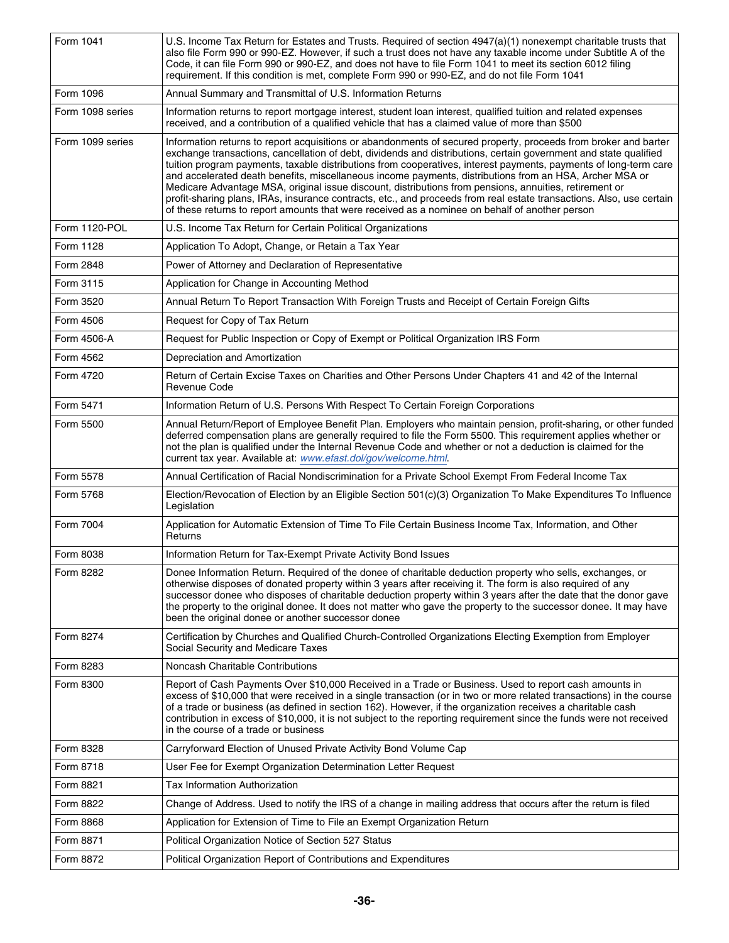| Form 1041        | U.S. Income Tax Return for Estates and Trusts. Required of section 4947(a)(1) nonexempt charitable trusts that<br>also file Form 990 or 990-EZ. However, if such a trust does not have any taxable income under Subtitle A of the<br>Code, it can file Form 990 or 990-EZ, and does not have to file Form 1041 to meet its section 6012 filing<br>requirement. If this condition is met, complete Form 990 or 990-EZ, and do not file Form 1041                                                                                                                                                                                                                                                                                                                                                        |
|------------------|--------------------------------------------------------------------------------------------------------------------------------------------------------------------------------------------------------------------------------------------------------------------------------------------------------------------------------------------------------------------------------------------------------------------------------------------------------------------------------------------------------------------------------------------------------------------------------------------------------------------------------------------------------------------------------------------------------------------------------------------------------------------------------------------------------|
| Form 1096        | Annual Summary and Transmittal of U.S. Information Returns                                                                                                                                                                                                                                                                                                                                                                                                                                                                                                                                                                                                                                                                                                                                             |
| Form 1098 series | Information returns to report mortgage interest, student loan interest, qualified tuition and related expenses<br>received, and a contribution of a qualified vehicle that has a claimed value of more than \$500                                                                                                                                                                                                                                                                                                                                                                                                                                                                                                                                                                                      |
| Form 1099 series | Information returns to report acquisitions or abandonments of secured property, proceeds from broker and barter<br>exchange transactions, cancellation of debt, dividends and distributions, certain government and state qualified<br>tuition program payments, taxable distributions from cooperatives, interest payments, payments of long-term care<br>and accelerated death benefits, miscellaneous income payments, distributions from an HSA, Archer MSA or<br>Medicare Advantage MSA, original issue discount, distributions from pensions, annuities, retirement or<br>profit-sharing plans, IRAs, insurance contracts, etc., and proceeds from real estate transactions. Also, use certain<br>of these returns to report amounts that were received as a nominee on behalf of another person |
| Form 1120-POL    | U.S. Income Tax Return for Certain Political Organizations                                                                                                                                                                                                                                                                                                                                                                                                                                                                                                                                                                                                                                                                                                                                             |
| Form 1128        | Application To Adopt, Change, or Retain a Tax Year                                                                                                                                                                                                                                                                                                                                                                                                                                                                                                                                                                                                                                                                                                                                                     |
| Form 2848        | Power of Attorney and Declaration of Representative                                                                                                                                                                                                                                                                                                                                                                                                                                                                                                                                                                                                                                                                                                                                                    |
| Form 3115        | Application for Change in Accounting Method                                                                                                                                                                                                                                                                                                                                                                                                                                                                                                                                                                                                                                                                                                                                                            |
| Form 3520        | Annual Return To Report Transaction With Foreign Trusts and Receipt of Certain Foreign Gifts                                                                                                                                                                                                                                                                                                                                                                                                                                                                                                                                                                                                                                                                                                           |
| Form 4506        | Request for Copy of Tax Return                                                                                                                                                                                                                                                                                                                                                                                                                                                                                                                                                                                                                                                                                                                                                                         |
| Form 4506-A      | Request for Public Inspection or Copy of Exempt or Political Organization IRS Form                                                                                                                                                                                                                                                                                                                                                                                                                                                                                                                                                                                                                                                                                                                     |
| Form 4562        | Depreciation and Amortization                                                                                                                                                                                                                                                                                                                                                                                                                                                                                                                                                                                                                                                                                                                                                                          |
| Form 4720        | Return of Certain Excise Taxes on Charities and Other Persons Under Chapters 41 and 42 of the Internal<br>Revenue Code                                                                                                                                                                                                                                                                                                                                                                                                                                                                                                                                                                                                                                                                                 |
| Form 5471        | Information Return of U.S. Persons With Respect To Certain Foreign Corporations                                                                                                                                                                                                                                                                                                                                                                                                                                                                                                                                                                                                                                                                                                                        |
| Form 5500        | Annual Return/Report of Employee Benefit Plan. Employers who maintain pension, profit-sharing, or other funded<br>deferred compensation plans are generally required to file the Form 5500. This requirement applies whether or<br>not the plan is qualified under the Internal Revenue Code and whether or not a deduction is claimed for the<br>current tax year. Available at: www.efast.dol/gov/welcome.html.                                                                                                                                                                                                                                                                                                                                                                                      |
| Form 5578        | Annual Certification of Racial Nondiscrimination for a Private School Exempt From Federal Income Tax                                                                                                                                                                                                                                                                                                                                                                                                                                                                                                                                                                                                                                                                                                   |
| Form 5768        | Election/Revocation of Election by an Eligible Section 501(c)(3) Organization To Make Expenditures To Influence<br>Legislation                                                                                                                                                                                                                                                                                                                                                                                                                                                                                                                                                                                                                                                                         |
| Form 7004        | Application for Automatic Extension of Time To File Certain Business Income Tax, Information, and Other<br>Returns                                                                                                                                                                                                                                                                                                                                                                                                                                                                                                                                                                                                                                                                                     |
| Form 8038        | Information Return for Tax-Exempt Private Activity Bond Issues                                                                                                                                                                                                                                                                                                                                                                                                                                                                                                                                                                                                                                                                                                                                         |
| Form 8282        | Donee Information Return. Required of the donee of charitable deduction property who sells, exchanges, or<br>otherwise disposes of donated property within 3 years after receiving it. The form is also required of any<br>successor donee who disposes of charitable deduction property within 3 years after the date that the donor gave<br>the property to the original donee. It does not matter who gave the property to the successor donee. It may have<br>been the original donee or another successor donee                                                                                                                                                                                                                                                                                   |
| Form 8274        | Certification by Churches and Qualified Church-Controlled Organizations Electing Exemption from Employer<br>Social Security and Medicare Taxes                                                                                                                                                                                                                                                                                                                                                                                                                                                                                                                                                                                                                                                         |
| Form 8283        | Noncash Charitable Contributions                                                                                                                                                                                                                                                                                                                                                                                                                                                                                                                                                                                                                                                                                                                                                                       |
| Form 8300        | Report of Cash Payments Over \$10,000 Received in a Trade or Business. Used to report cash amounts in<br>excess of \$10,000 that were received in a single transaction (or in two or more related transactions) in the course<br>of a trade or business (as defined in section 162). However, if the organization receives a charitable cash<br>contribution in excess of \$10,000, it is not subject to the reporting requirement since the funds were not received<br>in the course of a trade or business                                                                                                                                                                                                                                                                                           |
| Form 8328        | Carryforward Election of Unused Private Activity Bond Volume Cap                                                                                                                                                                                                                                                                                                                                                                                                                                                                                                                                                                                                                                                                                                                                       |
| Form 8718        | User Fee for Exempt Organization Determination Letter Request                                                                                                                                                                                                                                                                                                                                                                                                                                                                                                                                                                                                                                                                                                                                          |
| Form 8821        | Tax Information Authorization                                                                                                                                                                                                                                                                                                                                                                                                                                                                                                                                                                                                                                                                                                                                                                          |
| Form 8822        | Change of Address. Used to notify the IRS of a change in mailing address that occurs after the return is filed                                                                                                                                                                                                                                                                                                                                                                                                                                                                                                                                                                                                                                                                                         |
| Form 8868        | Application for Extension of Time to File an Exempt Organization Return                                                                                                                                                                                                                                                                                                                                                                                                                                                                                                                                                                                                                                                                                                                                |
| Form 8871        | Political Organization Notice of Section 527 Status                                                                                                                                                                                                                                                                                                                                                                                                                                                                                                                                                                                                                                                                                                                                                    |
| Form 8872        | Political Organization Report of Contributions and Expenditures                                                                                                                                                                                                                                                                                                                                                                                                                                                                                                                                                                                                                                                                                                                                        |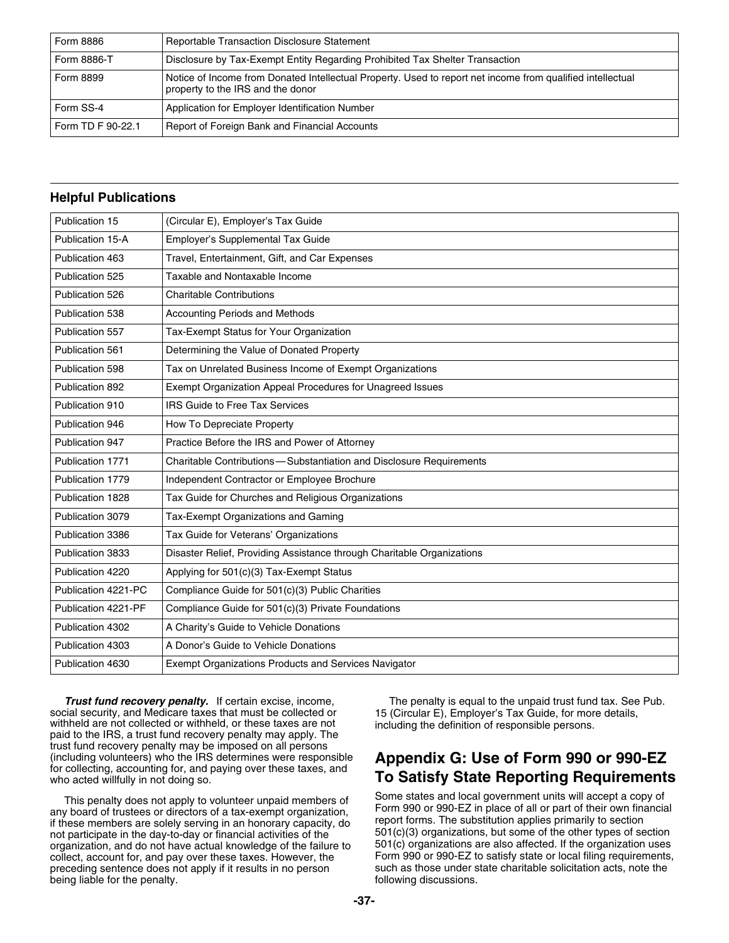| Form 8886         | Reportable Transaction Disclosure Statement                                                                                                     |
|-------------------|-------------------------------------------------------------------------------------------------------------------------------------------------|
| Form 8886-T       | Disclosure by Tax-Exempt Entity Regarding Prohibited Tax Shelter Transaction                                                                    |
| Form 8899         | Notice of Income from Donated Intellectual Property. Used to report net income from qualified intellectual<br>property to the IRS and the donor |
| Form SS-4         | Application for Employer Identification Number                                                                                                  |
| Form TD F 90-22.1 | Report of Foreign Bank and Financial Accounts                                                                                                   |

### **Helpful Publications**

| Publication 15      | (Circular E), Employer's Tax Guide                                     |
|---------------------|------------------------------------------------------------------------|
| Publication 15-A    | Employer's Supplemental Tax Guide                                      |
| Publication 463     | Travel, Entertainment, Gift, and Car Expenses                          |
| Publication 525     | Taxable and Nontaxable Income                                          |
| Publication 526     | <b>Charitable Contributions</b>                                        |
| Publication 538     | Accounting Periods and Methods                                         |
| Publication 557     | Tax-Exempt Status for Your Organization                                |
| Publication 561     | Determining the Value of Donated Property                              |
| Publication 598     | Tax on Unrelated Business Income of Exempt Organizations               |
| Publication 892     | Exempt Organization Appeal Procedures for Unagreed Issues              |
| Publication 910     | IRS Guide to Free Tax Services                                         |
| Publication 946     | How To Depreciate Property                                             |
| Publication 947     | Practice Before the IRS and Power of Attorney                          |
| Publication 1771    | Charitable Contributions - Substantiation and Disclosure Requirements  |
| Publication 1779    | Independent Contractor or Employee Brochure                            |
| Publication 1828    | Tax Guide for Churches and Religious Organizations                     |
| Publication 3079    | Tax-Exempt Organizations and Gaming                                    |
| Publication 3386    | Tax Guide for Veterans' Organizations                                  |
| Publication 3833    | Disaster Relief, Providing Assistance through Charitable Organizations |
| Publication 4220    | Applying for 501(c)(3) Tax-Exempt Status                               |
| Publication 4221-PC | Compliance Guide for 501(c)(3) Public Charities                        |
| Publication 4221-PF | Compliance Guide for 501(c)(3) Private Foundations                     |
| Publication 4302    | A Charity's Guide to Vehicle Donations                                 |
| Publication 4303    | A Donor's Guide to Vehicle Donations                                   |
| Publication 4630    | <b>Exempt Organizations Products and Services Navigator</b>            |

**Trust fund recovery penalty.** If certain excise, income, The penalty is equal to the unpaid trust fund tax. See Pub. social security, and Medicare taxes that must be collected or 15 (Circular E), Employer's Tax Guide, for more details, withheld are not collected or withheld, or these taxes are not including the definition of responsible paid to the IRS, a trust fund recovery penalty may apply. The trust fund recovery penalty may be imposed on all persons (including volunteers) who the IRS determines were responsible (including volunteers) who the IRS determines were responsible **Appendix G: Use of Form 990 or 990-EZ** for collecting, accounting for, and paying over these taxes, and

not participate in the day-to-day or financial activities of the 501(c)(3) organizations, but some of the other types of section<br>organization, and do not have actual knowledge of the failure to 501(c) organizations are als organization, and do not have actual knowledge of the failure to 501(c) organizations are also affected. If the organization uses collect, account for, and pay over these taxes. However, the Form 990 or 990-EZ to satisfy s collect, account for, and pay over these taxes. However, the Form 990 or 990-EZ to satisfy state or local filing requirements<br>preceding sentence does not apply if it results in no person such as those under state charitabl preceding sentence does not apply if it results in no person such as those under state charitable for the penalty. being liable for the penalty.

# **To Satisfy State Reporting Requirements**

This penalty does not apply to volunteer unpaid members of<br>any board of trustees or directors of a tax-exempt organization,<br>if these members are solely serving in an honorary capacity, do<br>not participate in the day-to-day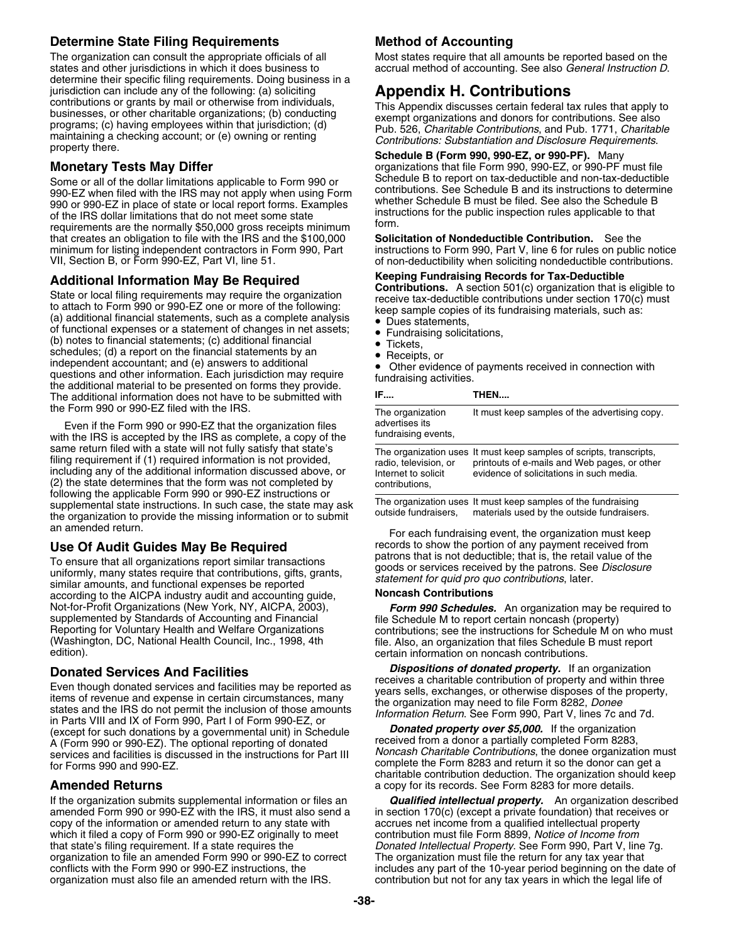### **Determine State Filing Requirements The Method of Accounting**

states and other jurisdictions in which it does business to determine their specific filing requirements. Doing business in a jurisdiction can include any of the following: (a) soliciting jurisdiction can include any of the following: (a) soliciting<br>contributions or grants by mail or otherwise from individuals,<br>businesses, or other charitable organizations; (b) conducting<br>programs; (c) having employees with

Some or all of the dollar limitations applicable to Form 990 or Schedule B to report on tax-deductible and non-tax-deductible<br>990-EZ when filed with the IRS may not apply when using Form contributions. See Schedule B and i 990-EZ when filed with the IRS may not apply when using Form contributions. See Schedule B and its instructions to determine 990-EZ when filed with the IRS may not apply when using Form whether Schedule B must be filed. Se 990 or 990-EZ in place of state or local report forms. Examples whether Schedule B must be filed. See also the Schedule B<br>of the IRS dollar limitations that do not meet some state instructions for the public inspection rul of the IRS dollar limitations that do not meet some state form.<br>
requirements are the normally \$50,000 gross receipts minimum<br>
that creates an obligation to file with the IRS and the \$100,000 **Solicitation of Nondeductible** that creates an obligation to file with the IRS and the \$100,000 minimum for listing independent contractors in Form 990, Part instructions to Form 990, Part V, line 6 for rules on public notice<br>VII. Section B, or Form 990-EZ, Part VI, line 51. come of non-deductibility when soliciting

**Additional Information May Be Required**<br>
State or local filing requirements may require the organization<br>
to attach to Form 990 or 990-EZ one or more of the following:<br>
(a) additional financial statements, such as a compl of functional expenses or a statement of changes in net assets; • Fundraising solicitations, (b) notes to financial statements; (c) additional financial  $\bullet$  Tickets. schedules; (d) a report on the financial statements by an  $\bullet$  Receipts, or independent accountant; and (e) answers to additional<br>questions and other information. Each jurisdiction may require<br>the additional material to be presented on forms they provide.<br>the additional material to be presented on The additional information does not have to be submitted with the Form 990 or 990-EZ filed with the IRS.

Even if the Form 990 or 990-EZ that the organization files with the IRS is accepted by the IRS as complete, a copy of the same return filed with a state will not fully satisfy that state's same return filed with a state will not fully satisfy that state s<br>
filing requirement if (1) required information is not provided,<br>
including any of the additional information discussed above, or<br>
(2) the state determines  $(2)$  the state determines that the form was not completed by following the applicable Form 990 or 990-EZ instructions or supplemental state instructions. In such case, the state may ask<br>the organization to provide the missing information or to submit<br>the organization to provide the missing information or to submit<br>outside fundraisers, materi an amended return. For each fundraising event, the organization must keep

To ensure that all organizations report similar transactions<br>uniformly, many states require that contributions, gifts, grants,<br>similar amounts, and functional expenses be reported<br>according to the AICPA industry audit and according to the AICPA industry audit and accounting guide, Not-Formantic Contributions, Not-Poster, 2003), (Washington, DC, National Health Council, Inc., 1998, 4th file. Also, an organization that files Schedule B must report edition).

Even though donated services and facilities may be reported as<br>
terms of revenue and expense in certain circumstances, many<br>
states and the IRS do not permit the inclusion of those amounts<br>
in Parts VIII and IX of Form 990 (except for such donations by a governmental unit) in Schedule<br>A (Form 990 or 990-EZ). The optional reporting of donated<br>senvices and facilities is discussed in the instructions for Part III Moncash Charitable Contribution services and facilities is discussed in the instructions for Part III complete the Form 8283 and return it so the donor can get a form 8283 and return it so the donor can get a

amended Form 990 or 990-EZ with the IRS, it must also send a in section 170(c) (except a private foundation) that receives or copy of the information or amended return to any state with accrues net income from a qualified copy of the information or amended return to any state with which it filed a copy of Form 990 or 990-EZ originally to meet contribution must file Form 8899, Notice of Income from<br>that state's filing requirement. If a state requires the *Donated Intellectual Property*. See Form 990, organization to file an amended Form 990 or 990-EZ to correct<br>
conflicts with the Form 990 or 990-EZ instructions, the includes any part of the 10-year period beginning on the c conflicts with the Form 990 or 990-EZ instructions, the includes any part of the 10-year period beginning on the date of<br>organization must also file an amended return with the IRS. contribution but not for any tax years in

The organization can consult the appropriate officials of all Most states require that all amounts be reported based on the states require that all amounts be reported based on the states require that all amounts be report

**Monetary Tests May Differ**<br>Some or all of the dollar limitations applicable to Form 990 or Schedule B to report on tax-deductible and non-tax-deductible

of non-deductibility when soliciting nondeductible contributions.

- 
- 
- 
- 

| <b>IF</b>                                                 | THEN                                          |
|-----------------------------------------------------------|-----------------------------------------------|
| The organization<br>advertises its<br>fundraising events, | It must keep samples of the advertising copy. |

Use Of Audit Guides May Be Required<br> **The property of the portion** payment received from patrons that is not deductible; that is, the retail value of the

Not-for-Profit Organizations (New York, NY, AICPA, 2003),<br>supplemented by Standards of Accounting and Financial file Schedule M to report certain noncash (property)<br>Reporting for Voluntary Health and Welfare Organizations

**Donated Services And Facilities**<br>Even though denoted contines and facilities may be reperted as *Dispositions of donated property.* If an organization

charitable contribution deduction. The organization should keep **Amended Returns** a copy for its records. See Form 8283 for more details.

If the organization submits supplemental information or files an *Qualified intellectual property.* An organization described amended Form 990 or 990-EZ with the IRS, it must also send a in section 170(c) (except a priva Donated Intellectual Property. See Form 990, Part V, line 7g. contribution but not for any tax years in which the legal life of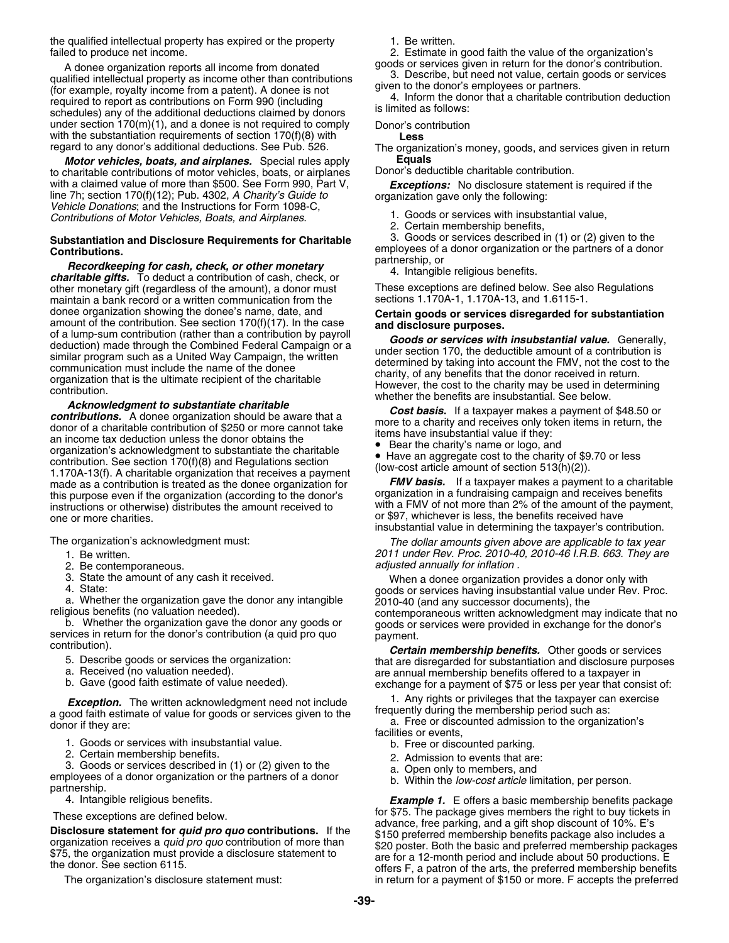the qualified intellectual property has expired or the property 1. Be written.

A donee organization reports all income from donated qualified intellectual property as income other than contributions qualified intellectual property as income other than contributions (for example, royalty income from a under section  $170(m)(1)$ , and a donee is not required to comply Donor's contribution with the substantiation requirements of section 170(f)(8) with **Less**

*Motor vehicles, boats, and airplanes.* Special rules apply **Equals** to charitable contributions of motor vehicles, boats, or airplanes with a claimed value of more than \$500. See Form 990, Part V,<br>
line 7h; section 170(f)(12); Pub. 4302, A Charity's Guide to<br>
Vehicle Donations; and the Instructions for Form 1098-C,<br>
Contributions of Motor Vehicles, Boats *Contributions of Motor Vehicles, Boats, and Airplanes.* 1. Goods or services with insubs<br>2. Certain membership benefits,

**Partnership, or** Record **Exercise ping for cash, check, or other monetary and the partnership, or charitable gifts.** To deduct a contribution of cash, check, or all intangible religious benefits.<br>
other monetary gift (r other monetary gift (regardless of the amount), a donor must<br>
maintain a bank record or a written communication from the sections 1.170A-1, 1.170A-13, and 1.6115-1. maintain a bank record or a written communication from the donee organization showing the donee's name, date, and<br>amount of the contribution. See section 170(f)(17). In the case<br>of a lump-sum contribution (rather than a contribution by payroll<br>deduction) made through the Combined

**Acknowledgment to substantiate charitable**<br> **Cost basis.** If a taxpayer makes a payment of \$48.50 or<br>
donor of a charitable contribution of \$250 or more cannot take<br>
an income tax deduction unless the donor obtains the<br>
o organization's acknowledgment to substantiate the charitable<br>
contribution. See section 170(f)(8) and Regulations section<br>
1.170A-13(f). A charitable organization that receives a payment<br>
made as a contribution is treated made as a contribution is treated as the donee organization for **FMV basis.** It a taxpayer makes a payment to a charitable this purpose even if the organization (according to the donor's organization in a fundraising campa instructions or otherwise) distributes the amount received to with a FMV of not more than 2% of the amount of the payment, one or more charities.<br>
or \$97, whichever is less, the benefits received have

- 
- 
- 
- 

- 
- 
- 

**Exception.** The written acknowledgment need not include a good faith estimate of value for goods or services given to the depending the membership period such as:<br>donor if they are:  $\frac{1}{2}$  a. Free or discounted admissi

- 1. Goods or services with insubstantial value.<br>
2. Certain membership benefits.<br>
2. Admission to events that are
- 

2. Certain membership benefits.<br>
3. Goods or services described in (1) or (2) given to the<br>
employees of a donor organization or the partners of a donor<br>
partnership.<br>
4. Intangible religious benefits.<br>
4. Intangible relig

failed to produce net income.<br>A donee organization reports all income from donated goods or services given in return for the donor's contribution.

regard to any donor's additional deductions. See Pub. 526. The organization's money, goods, and services given in return

- 
- 

**Substantiation and Disclosure Requirements for Charitable** 3. Goods or services described in (1) or (2) given to the **Contributions.** Exercise the partners of a donor employees of a donor organization or the partners of a donor<br>
partnership, or

insubstantial value in determining the taxpayer's contribution.

The organization's acknowledgment must: *The dollar amounts given above are applicable to tax year* 1. Be written. *2011 under Rev. Proc. 2010-40, 2010-46 I.R.B. 663. They are* 2. Be contemporaneous. *adjusted annually for inflation .*

3. State the amount of any cash it received. When a donee organization provides a donor only with 4. State: goods or services having insubstantial value under Rev. Proc. a. Whether the organization gave the donor any intangible<br>
religious benefits (no valuation needed).<br>
b. Whether the organization gave the donor any goods or<br>
b. Whether the organization gave the donor any goods or<br>
servic

5. Describe goods or services the organization:<br>a. Received (no valuation needed).<br>b. Gave (good faith estimate of value needed). exchange for a payment of \$75 or less per year that consist of:

- 
- 
- 
- 

**Example 1.** E offers a basic membership benefits package for \$75. The package gives members the right to buy tickets in These exceptions are defined below.<br> **Disclosure statement for** *quid pro quo* **contributions.** If the<br>
organization receives a *quid pro quo* contribution of more than<br>
\$75, the organization must provide a disclosure statem donor. See section 6115.<br>The organization's disclosure statement must: in return for a payment of \$150 or more. F accepts the preferred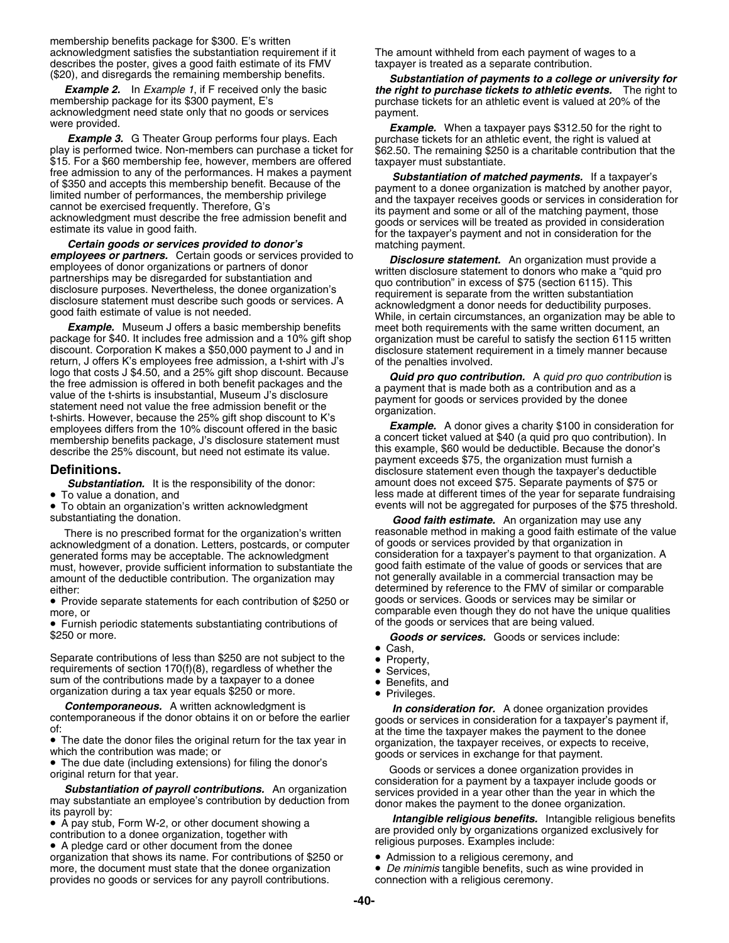membership benefits package for \$300. E's written acknowledgment satisfies the substantiation requirement if it<br>describes the poster, gives a good faith estimate of its FMV taxpayer is treated as a separate contribution. describes the poster, gives a good faith estimate of its FMV

acknowledgment need state only that no goods or services

*Example 3.* G Theater Group performs four plays. Each play is performed twice. Non-members can purchase a ticket for \$15. For a \$60 membership fee, however, members are offered taxpayer must substantiate.<br>free admission to any of the performances. H makes a payment

*Certain goods or services provided to donor's* **matching payment.**<br>*employees or partners.* **Certain goods or services provided to <b>proprovided** being

**Example.** Museum J offers a basic membership benefits meet both requirements with the same written document, an package for \$40. It includes free admission and a 10% gift shop discount. Corporation K makes a \$50,000 payme return, J offers K's employees free admission, a t-shirt with J's<br>
logo that costs J \$4.50, and a 25% gift shop discount. Because<br>
the free admission is offered in both benefit packages and the<br>
value of the t-shirts is in t-shirts. However, because the 25% gift shop discount to K's<br>
employees differs from the 10% discount offered in the basic<br>
membership benefits package, J's disclosure statement must<br>
a concert ticket valued at \$40 (a quid

- To value a donation, and
- To obtain an organization's written acknowledgment • To obtain an organization's written acknowledgment events will not be aggregated for purposes of the \$75 threshold.<br>Substantiating the donation. **Example 2000** or the stimate. An organization may use any

acknowledgment of a donation. Letters, postcards, or computer of goods or services provided by that organization in<br>generated forms may be acceptable. The acknowledgment consideration for a taxpayer's payment to that organ generated forms may be acceptable. The acknowledgment consideration for a taxpayer's payment to that organization. A<br>must, however, provide sufficient information to substantiate the good faith estimate of the value of goo must, however, provide sufficient information to substantiate the good faith estimate of the value of goods or services that a<br>amount of the deductible contribution. The organization may not generally available in a commer amount of the deductible contribution. The organization may either: determined by reference to the FMV of similar or comparable

• Provide separate statements for each contribution of \$250 or goods or services. Goods or services may be similar or

• Furnish periodic statements substantiating contributions of of the goods or services that are being valued. \$250 or more. **Goods or services.** Goods or services include:

Separate contributions of less than \$250 are not subject to the  $\bullet$  Property, requirements of section 170(f)(8), regardless of whether the  $\bullet$  Services requirements of section 170(f)(8), regardless of whether the • Services, sum of the contributions made by a taxpayer to a donee • Benefits, and organization during a tax year equals \$250 or more. • Privileges.

**Contemporaneous.** A written acknowledgment is **a consideration for.** A donee organization provides contemporaneous if the donor obtains it on or before the earlier of:<br>of:<br>of:

• The due date (including extensions) for filing the donor's

 A pledge card or other document from the donee organization that shows its name. For contributions of \$250 or • Admission to a religious ceremony, and more, the document must state that the donee organization • *De minimis* tangible benefits, such as wine provided in provides no goods or services for any payroll contributions. provides no goods or services for any payroll contributions.

(\$20), and disregards the remaining membership benefits. *Substantiation of payments to a college or university for* **Example 2.** In *Example 1*, if F received only the basic *the right to purchase tickets to athletic events.* **The right to membership package for its \$300 payment, E's <b>purchase tickets for an athletic event is valued at** purchase tickets for an athletic event is valued at 20% of the payment.

were provided.<br>**Example 3.** G Theater Group performs four plays. Each **Example.** When a taxpayer pays \$312.50 for the right to purchase tickets for an athletic event, the right is valued at \$62.50. The remaining \$250 is a charitable contribution that the

free admission to any of the performances. H makes a payment<br>of \$350 and accepts this membership benefit. Because of the<br>limited number of performances, the membership privilege<br>cannot be exercised frequently. Therefore, G

**employees or partners.** Certain goods or services provided to<br>
employees of donor organizations or partners of donor<br>
partnerships may be disregarded for substantiation and<br>
disclosure purposes. Nevertheless, the donee or

a concert ticket valued at \$40 (a quid pro quo contribution). In this example, \$60 would be deductible. Because the donor's describe the 25% discount, but need not estimate its value.<br>payment exceeds \$75, the organization must furnish a<br>payment exceeds \$75, the organization must furnish a **Definitions.** *Perinitions. Perinitions.* **The organization must function must function must function must further than**  $\alpha$  **disclosure statement even though the taxpayer's deductible Substantiation.** It is the responsibility of the donor: amount does not exceed \$75. Separate payments of \$75 or less made at different times of the year for separate fundraising

Good faith estimate. An organization may use any There is no prescribed format for the organization's written reasonable method in making a good faith estimate of the value<br>showledgment of a donation, Letters, postcards, or computer of goods or services provided by that more, or<br>• Comparable even though they do not have the unique qualities<br>• Furnish periodic statements substantiating contributions of the goods or services that are being valued.

- Cash,
- 
- 
- 
- 

• The date the donor files the original return for the tax year in organization, the taxpayer receives, or expects to receive, which the contribution was made; or goods or services in exchange for that payment.

• The due date (including extensions) for filing the donor's<br>
original return for that year.<br> **Substantiation of payroll contributions.** An organization<br>
may substantiate an employee's contribution by deduction from<br>
its p

A pay stub, Form W-2, or other document showing a<br>
A pay stub, Form W-2, or other document showing a<br>
contribution to a done organization, together with<br>  $\therefore$  A play stub, Form W-2, or other document showing a<br>  $\therefore$  A pl

- 
-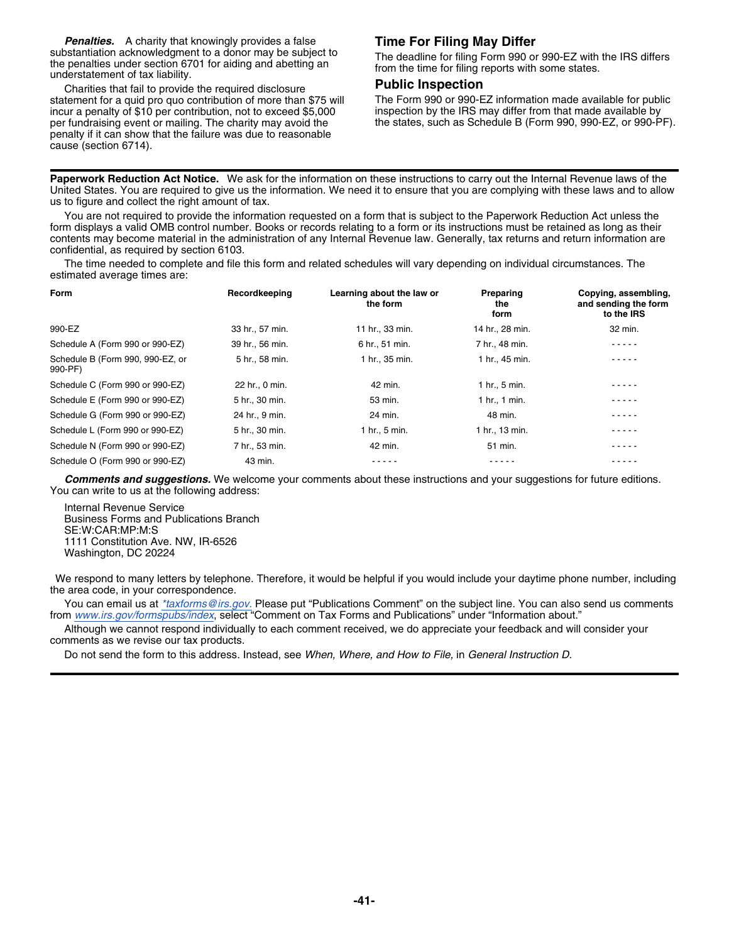**Penalties.** A charity that knowingly provides a false **Time For Filing May Differ**<br>substantiation acknowledgment to a donor may be subject to<br>the penalties under section 6701 for aiding and abetting an<br>understatement of t

Charities that fail to provide the required disclosure<br>**statement for a quid pro quo contribution** of more than \$75 will per fundraising event or mailing. The charity may avoid the penalty if it can show that the failure was due to reasonable cause (section 6714).

The Form 990 or 990-EZ information made available for public inspection by the IRS may differ from that made available by incur a penalty of \$10 per contribution, not to exceed \$5,000 inspection by the IRS may differ from that made available by<br>per fundraising event or mailing. The charity may avoid the the states, such as Schedule B (Form 99

**Paperwork Reduction Act Notice.** We ask for the information on these instructions to carry out the Internal Revenue laws of the United States. You are required to give us the information. We need it to ensure that you are complying with these laws and to allow us to figure and collect the right amount of tax.

You are not required to provide the information requested on a form that is subject to the Paperwork Reduction Act unless the form displays a valid OMB control number. Books or records relating to a form or its instructions must be retained as long as their contents may become material in the administration of any Internal Revenue law. Generally, tax returns and return information are confidential, as required by section 6103.

The time needed to complete and file this form and related schedules will vary depending on individual circumstances. The estimated average times are:

| <b>Form</b>                                 | Recordkeeping   | Learning about the law or<br>the form | Preparing<br>the<br>form | Copying, assembling,<br>and sending the form<br>to the IRS |
|---------------------------------------------|-----------------|---------------------------------------|--------------------------|------------------------------------------------------------|
| 990-EZ                                      | 33 hr., 57 min. | 11 hr., 33 min.                       | 14 hr., 28 min.          | 32 min.                                                    |
| Schedule A (Form 990 or 990-EZ)             | 39 hr., 56 min. | 6 hr., 51 min.                        | 7 hr., 48 min.           | .                                                          |
| Schedule B (Form 990, 990-EZ, or<br>990-PF) | 5 hr., 58 min.  | 1 hr., 35 min.                        | 1 hr., 45 min.           |                                                            |
| Schedule C (Form 990 or 990-EZ)             | 22 hr., 0 min.  | 42 min.                               | 1 hr., 5 min.            | .                                                          |
| Schedule E (Form 990 or 990-EZ)             | 5 hr., 30 min.  | 53 min.                               | 1 hr., 1 min.            | .                                                          |
| Schedule G (Form 990 or 990-EZ)             | 24 hr., 9 min.  | 24 min.                               | 48 min.                  |                                                            |
| Schedule L (Form 990 or 990-EZ)             | 5 hr., 30 min.  | 1 hr., 5 min.                         | 1 hr., 13 min.           | .                                                          |
| Schedule N (Form 990 or 990-EZ)             | 7 hr., 53 min.  | 42 min.                               | 51 min.                  | - - - - -                                                  |
| Schedule O (Form 990 or 990-EZ)             | 43 min.         | - - - - -                             | - - - - -                | .                                                          |

*Comments and suggestions.* We welcome your comments about these instructions and your suggestions for future editions. You can write to us at the following address:

Internal Revenue Service Business Forms and Publications Branch SE:W:CAR:MP:M:S 1111 Constitution Ave. NW, IR-6526 Washington, DC 20224

We respond to many letters by telephone. Therefore, it would be helpful if you would include your daytime phone number, including the area code, in your correspondence.

You can email us at *[\\*taxforms@irs.gov.](mailto:http://taxforms@irs.gov)* Please put "Publications Comment" on the subject line. You can also send us comments from *[www.irs.gov/formspubs/index](http://www.irs.gov/formspubs/)*, select "Comment on Tax Forms and Publications" under "Information about."

Although we cannot respond individually to each comment received, we do appreciate your feedback and will consider your comments as we revise our tax products.

Do not send the form to this address. Instead, see *When, Where, and How to File,* in *General Instruction D.*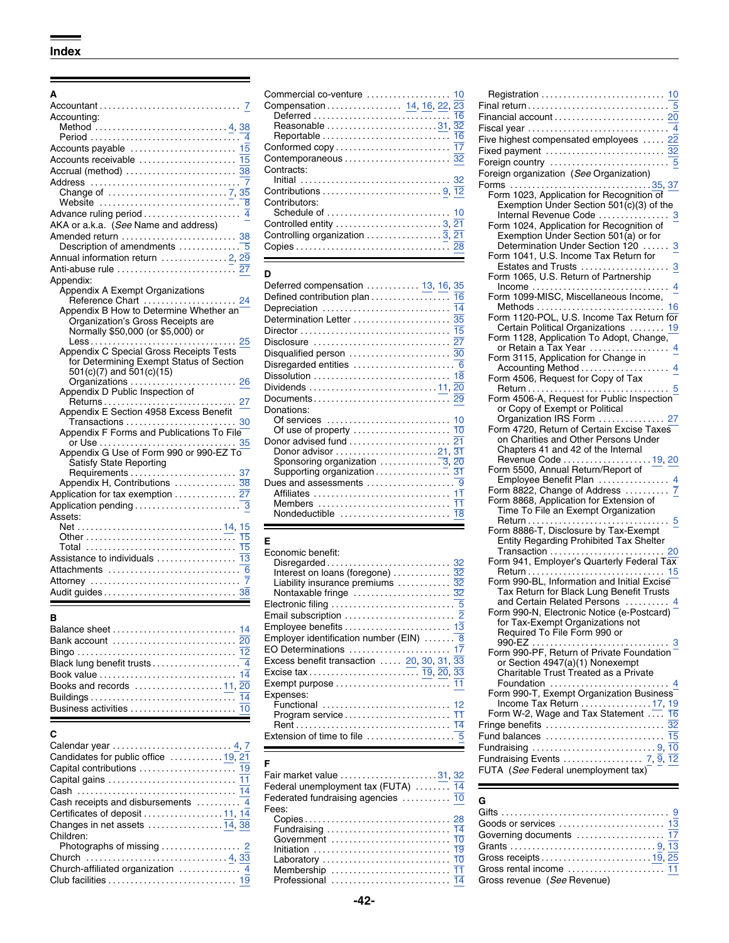### **Index**

| Accounting:                                                                     |                                                                                    |                                                                                   |
|---------------------------------------------------------------------------------|------------------------------------------------------------------------------------|-----------------------------------------------------------------------------------|
|                                                                                 | Reasonable 31, 32                                                                  |                                                                                   |
|                                                                                 |                                                                                    | Five highest compensated employees  22                                            |
|                                                                                 |                                                                                    | Fixed payment  32                                                                 |
|                                                                                 |                                                                                    |                                                                                   |
|                                                                                 | Contracts:                                                                         | Foreign organization (See Organization)                                           |
|                                                                                 |                                                                                    |                                                                                   |
|                                                                                 |                                                                                    | Form 1023, Application for Recognition of                                         |
| Website $\ldots \ldots \ldots \ldots \ldots \ldots \ldots \ldots \ldots \ldots$ | Contributors:                                                                      | Exemption Under Section 501(c)(3) of the                                          |
|                                                                                 |                                                                                    | Internal Revenue Code  3                                                          |
| AKA or a.k.a. (See Name and address)                                            |                                                                                    | Form 1024, Application for Recognition of                                         |
|                                                                                 | Controlling organization $\ldots \ldots \ldots \ldots \overline{3}, \overline{21}$ | Exemption Under Section 501(a) or for                                             |
|                                                                                 |                                                                                    | Determination Under Section 120  3                                                |
| Annual information return 2, 29                                                 |                                                                                    | Form 1041, U.S. Income Tax Return for                                             |
|                                                                                 |                                                                                    |                                                                                   |
|                                                                                 | D                                                                                  | Form 1065, U.S. Return of Partnership                                             |
| Appendix:                                                                       | Deferred compensation  13, 16, 35                                                  |                                                                                   |
| Appendix A Exempt Organizations<br>Reference Chart  24                          |                                                                                    | Form 1099-MISC, Miscellaneous Income,                                             |
| Appendix B How to Determine Whether an <sup>-</sup>                             |                                                                                    |                                                                                   |
| Organization's Gross Receipts are                                               |                                                                                    | Form 1120-POL, U.S. Income Tax Return for                                         |
| Normally \$50,000 (or \$5,000) or                                               |                                                                                    | Certain Political Organizations  19                                               |
|                                                                                 |                                                                                    | Form 1128, Application To Adopt, Change,                                          |
| Appendix C Special Gross Receipts Tests                                         | Disqualified person  30                                                            | or Retain a Tax Year                                                              |
| for Determining Exempt Status of Section                                        |                                                                                    | Form 3115, Application for Change in                                              |
| $501(c)(7)$ and $501(c)(15)$                                                    |                                                                                    | Accounting Method  4                                                              |
| Organizations  26                                                               |                                                                                    | Form 4506, Request for Copy of Tax                                                |
| Appendix D Public Inspection of                                                 | Dividends 11, 20                                                                   |                                                                                   |
|                                                                                 |                                                                                    | Form 4506-A, Request for Public Inspection                                        |
| Appendix E Section 4958 Excess Benefit                                          | Donations:                                                                         | or Copy of Exempt or Political                                                    |
|                                                                                 |                                                                                    | Organization IRS Form  27                                                         |
| Appendix F Forms and Publications To File                                       |                                                                                    | Form 4720, Return of Certain Excise Taxes<br>on Charities and Other Persons Under |
|                                                                                 |                                                                                    | Chapters 41 and 42 of the Internal                                                |
| Appendix G Use of Form 990 or 990-EZ To                                         | Donor advisor $\ldots \ldots \ldots \ldots \ldots \ldots 21.31$                    | Revenue Code  19, 20                                                              |
| Satisfy State Reporting                                                         |                                                                                    | Form 5500, Annual Return/Report of                                                |
|                                                                                 |                                                                                    | Employee Benefit Plan  4                                                          |
| Appendix H, Contributions  38                                                   |                                                                                    |                                                                                   |
|                                                                                 |                                                                                    | Form 8868, Application for Extension of                                           |
|                                                                                 |                                                                                    | Time To File an Exempt Organization                                               |
| Assets:                                                                         |                                                                                    |                                                                                   |
|                                                                                 |                                                                                    | Form 8886-T, Disclosure by Tax-Exempt                                             |
|                                                                                 | Е                                                                                  | Entity Regarding Prohibited Tax Shelter                                           |
|                                                                                 | Economic benefit:                                                                  |                                                                                   |
|                                                                                 |                                                                                    | Form 941, Employer's Quarterly Federal Tax                                        |
|                                                                                 |                                                                                    |                                                                                   |
|                                                                                 | Liability insurance premiums  32                                                   | Form 990-BL, Information and Initial Excise                                       |

| Books and records $\dots\dots\dots\dots\dots\dots$ 11, 20 |  |
|-----------------------------------------------------------|--|
|                                                           |  |
|                                                           |  |

| Candidates for public office 19, 2 |
|------------------------------------|
|                                    |
|                                    |
|                                    |
| Cash receipts and disbursements    |
| Certificates of deposit 11, 1      |
|                                    |
| Children:                          |
| Photographs of missing             |
|                                    |
| Church-affiliated organization     |
|                                    |

| Commercial co-venture  10                                                          |  |  |
|------------------------------------------------------------------------------------|--|--|
| Compensation <u>14, 16, 22, 23</u>                                                 |  |  |
|                                                                                    |  |  |
| Reasonable 31, 32                                                                  |  |  |
|                                                                                    |  |  |
|                                                                                    |  |  |
| Contemporaneous  32                                                                |  |  |
| Contracts:                                                                         |  |  |
|                                                                                    |  |  |
|                                                                                    |  |  |
| Contributors:                                                                      |  |  |
|                                                                                    |  |  |
| Controlled entity 3, $\overline{21}$                                               |  |  |
| Controlling organization $\ldots \ldots \ldots \ldots \overline{3}, \overline{21}$ |  |  |
|                                                                                    |  |  |
|                                                                                    |  |  |

| pendix:<br>Appendix A Exempt Organizations<br>24<br>Reference Chart<br>Appendix B How to Determine Whether an $\overline{\phantom{a}}$<br>Organization's Gross Receipts are<br>Normally \$50,000 (or \$5,000) or<br>Appendix C Special Gross Receipts Tests | Deferred compensation  13, 16, 35<br>Determination Letter  35                                                               | <u>Form Toos, O.O. Figurit of Family ship</u><br>$income$<br>Form 1099-MISC, Miscellaneous Income,<br>16<br>Form 1120-POL, U.S. Income Tax Return for<br>Certain Political Organizations  19<br>Form 1128, Application To Adopt, Change,<br>or Retain a Tax Year  4 |
|-------------------------------------------------------------------------------------------------------------------------------------------------------------------------------------------------------------------------------------------------------------|-----------------------------------------------------------------------------------------------------------------------------|---------------------------------------------------------------------------------------------------------------------------------------------------------------------------------------------------------------------------------------------------------------------|
| for Determining Exempt Status of Section<br>$501(c)(7)$ and $501(c)(15)$<br>Appendix D Public Inspection of                                                                                                                                                 |                                                                                                                             | Form 3115, Application for Change in<br>Form 4506, Request for Copy of Tax<br>Form 4506-A, Request for Public Inspection                                                                                                                                            |
| Appendix E Section 4958 Excess Benefit<br>Transactions $\ldots \ldots \ldots \ldots \ldots \ldots \ldots$ 30                                                                                                                                                | Donations:                                                                                                                  | or Copy of Exempt or Political<br>Organization IRS Form  27                                                                                                                                                                                                         |
| Appendix F Forms and Publications To File<br>Appendix G Use of Form 990 or 990-EZ To<br>Satisfy State Reporting                                                                                                                                             | Of use of property $\dots\dots\dots\dots\dots\dots\dots$<br>Donor advisor $\ldots \ldots \ldots \ldots \ldots \ldots 21,31$ | Form 4720, Return of Certain Excise Taxes<br>on Charities and Other Persons Under<br>Chapters 41 and 42 of the Internal<br>Revenue Code  19, 20                                                                                                                     |
| Appendix H, Contributions  38<br>plication for tax exemption $\ldots \ldots \ldots \overline{27}$                                                                                                                                                           | Supporting organization 31<br>Nondeductible $\ldots, \ldots, \ldots, \ldots, \frac{18}{18}$                                 | Form 5500, Annual Return/Report of<br>Employee Benefit Plan  4<br>Form 8868, Application for Extension of<br>Time To File an Exempt Organization                                                                                                                    |
| :sets:<br>14.15<br><b>NIA+</b>                                                                                                                                                                                                                              |                                                                                                                             | $Return \dots \dots \dots \dots \dots \dots \dots \dots \dots \dots$                                                                                                                                                                                                |

|                                                                               | Economic benefit:                                                 |                                             |
|-------------------------------------------------------------------------------|-------------------------------------------------------------------|---------------------------------------------|
|                                                                               |                                                                   | Form 941, Employer's Quarterly Federal Tax  |
|                                                                               | Interest on loans (foregone) $\ldots \ldots \ldots \frac{32}{32}$ |                                             |
|                                                                               | Liability insurance premiums $\ldots \ldots \ldots \frac{32}{32}$ | Form 990-BL. Information and Initial Excise |
|                                                                               |                                                                   | Tax Return for Black Lung Benefit Trusts    |
|                                                                               |                                                                   | and Certain Related Persons  4              |
| R                                                                             |                                                                   | Form 990-N, Electronic Notice (e-Postcard)  |
|                                                                               |                                                                   | for Tax-Exempt Organizations not            |
| Bank account $\ldots \ldots \ldots \ldots \ldots \ldots \ldots \overline{20}$ | Employer identification number (EIN)  8                           | Required To File Form 990 or                |
|                                                                               |                                                                   | Form 990-PF. Return of Private Foundation   |
|                                                                               | Excess benefit transaction  20, 30, 31, 33                        | or Section 4947(a)(1) Nonexempt             |
|                                                                               |                                                                   | Charitable Trust Treated as a Private       |
|                                                                               | Exempt purpose $\dots\dots\dots\dots\dots\dots\dots\dots$ 11      |                                             |
|                                                                               | Expenses:                                                         | Form 990-T, Exempt Organization Business    |
|                                                                               |                                                                   | Income Tax Return $\ldots$ 17, 19           |
|                                                                               |                                                                   | Form W-2, Wage and Tax Statement  16        |
|                                                                               |                                                                   |                                             |
|                                                                               | Extension of time to file                                         | Eund boloncoc<br>15                         |

| Candidates for public office $\,\dots\dots\dots\,19$ , 21<br>Capital contributions  19<br>Capital gains $\ldots \ldots \ldots \ldots \ldots \ldots \ldots \ldots \ldots$ 11 |                                      | FUTA (See Federal unemployment tax) |
|-----------------------------------------------------------------------------------------------------------------------------------------------------------------------------|--------------------------------------|-------------------------------------|
|                                                                                                                                                                             | Federal unemployment tax (FUTA)  14  |                                     |
| Cash receipts and disbursements $\ldots \ldots \ldots$                                                                                                                      | Federated fundraising agencies  10 G |                                     |
| Certificates of deposit 11, 14                                                                                                                                              | Fees:                                |                                     |
|                                                                                                                                                                             |                                      |                                     |
| Children:                                                                                                                                                                   |                                      | Governing documents  17             |
| Photographs of missing  2                                                                                                                                                   |                                      |                                     |
|                                                                                                                                                                             |                                      |                                     |
|                                                                                                                                                                             |                                      |                                     |
|                                                                                                                                                                             |                                      | Gross revenue (See Revenue)         |

# **A** Commercial co-venture .................. . 10 Registration ........................... . 10 Accountant ............................... . 7 Compensation ................ . 14, 16, 22, 23 Final return ............................... . 5 Accounting: Deferred .............................. . <sup>16</sup> Financial account ........................ . <sup>20</sup> Method ............................. . 4, 38 Reasonable ........................ . 31, 32 Fiscal year ............................... . <sup>4</sup> Five highest compensated employees  $\ldots$ . 22 Accounts payable ....................... . <sup>15</sup> Conformed copy ......................... . <sup>17</sup> Fixed payment .......................... . <sup>32</sup> Accounts receivable ..................... . <sup>15</sup> Contemporaneous ....................... . <sup>32</sup> Foreign country .......................... . <sup>5</sup> Foreign organization (See Organization) AKA or a.k.a. (*See* Name and address) Controlled entity ....................... . 3, 21 Form 1024, Application for Recognition of Exemption Under Section 501(a) or for Description of amendments ............. . <sup>5</sup> Copies .................................. . 28 Determination Under Section 120 ..... . 3 Annual information return Form 1041, U.S. Income Tax Return for .............. . 2, 29 Anti-abuse rule Estates and Trusts ................... . <sup>3</sup> .......................... . <sup>27</sup> **<sup>D</sup>** Form 1065, U.S. Return of Partnership Appendix: Deferred compensation ........... . 13, 16, 35 Income .............................. . <sup>4</sup> Appendix A Exempt Organizations Defined contribution plan ................. . <sup>16</sup> Form 1099-MISC, Miscellaneous Income, Reference Chart .................... . <sup>24</sup> Form 1120-POL, U.S. Income Tax Return for<br>Certain Political Organizations ........ 19 Donations: or Copy of Exempt or Political Appendix E Section 4958 Excess Benefit Of services ........................... . <sup>10</sup> Organization IRS Form .............. . <sup>27</sup> Transactions ........................ . <sup>30</sup> Form 4720, Return of Certain Excise Taxes on Charities and Other Persons Under Chapters 41 and 42 of the Internal Revenue Code ....................... 19, 20 Affiliates Form 8822, Change of Address ......... . <sup>7</sup> Application for tax exemption ............. . <sup>27</sup> .............................. . <sup>11</sup> Form 8868, Application for Extension of<br>Time To File an Exempt Organization Nondeductible Time To File an Exempt Organization ........................ . <sup>18</sup> Assets: Return ............................... . <sup>5</sup> Net ................................ . 14, 15 Form 8886-T, Disclosure by Tax-Exempt Other ................................. . <sup>15</sup> **<sup>E</sup>** Entity Regarding Prohibited Tax Shelter Total ................................. . <sup>15</sup> Economic benefit: Transaction ......................... . <sup>20</sup> Assistance to individuals ................. . <sup>13</sup> Disregarded ........................... . <sup>32</sup> Form 941, Employer's Quarterly Federal Tax Attachments ............................. . <sup>6</sup> Interest on loans (foregone) ............ . <sup>32</sup> Return .............................. . <sup>15</sup> Form 990-BL, Information and Initial Excise and Certain Related Persons ...........<br>Form 990-N, Electronic Notice (e-Postcard) Bingo ................................... . <sup>12</sup> EO Determinations ...................... . <sup>17</sup> Form 990-PF, Return of Private Foundation or Section 4947(a)(1) Nonexempt Charitable Trust Treated as a Private Books and records Exempt purpose ......................... . <sup>11</sup> Foundation .......................... . <sup>4</sup> ................... . 11, 20 Form 990-T, Exempt Organization Business<sup>-</sup><br>Income Tax Return ....................17, 19 Form W-2, Wage and Tax Statement  $\overline{\ldots}$ . 16 Rent .................................. . 14 Fringe benefits .......................... . 32 **C** Extension of time to file ................... . 5 Fund balances .......................... . 15 Calendar year .......................... . 4, 7 Fundraising ........................... . 9, 10

| Goods or services $\,\ldots\ldots\ldots\ldots\ldots\ldots\ldots\,1\overline{3}$ |  |
|---------------------------------------------------------------------------------|--|
| Governing documents  17                                                         |  |
|                                                                                 |  |
|                                                                                 |  |
| Gross rental income  11                                                         |  |
| Gross revenue (See Revenue)                                                     |  |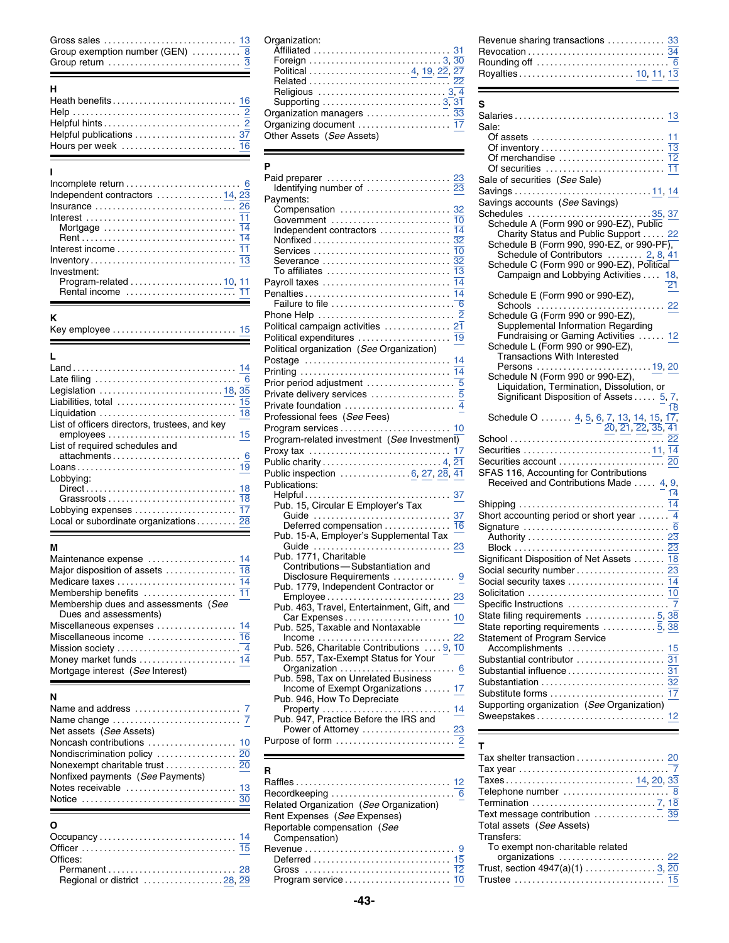| Group exemption number (GEN)  8 |  |
|---------------------------------|--|
|                                 |  |

### **<sup>H</sup>** Religious ............................ . 3, 4 Heath benefits ........................... . <sup>16</sup> Supporting .......................... . 3, 31 **<sup>S</sup>** Help ..................................... . <sup>2</sup> Organization managers .................. . <sup>33</sup> Salaries ................................. . <sup>13</sup> Helpful hints .............................. . <sup>2</sup> Organizing document .................... . <sup>17</sup> Sale: Helpful publications ...................... . <sup>37</sup> Other Assets (*See* Assets) Of assets ............................. . <sup>11</sup>

|                                           |                                                                    | Of securities $\ldots, \ldots, \ldots, \ldots, \ldots, \overline{11}$           |
|-------------------------------------------|--------------------------------------------------------------------|---------------------------------------------------------------------------------|
|                                           |                                                                    |                                                                                 |
|                                           |                                                                    | Savings 11, 14                                                                  |
| Independent contractors 14, 23            | Payments:                                                          | Savings accounts (See Savings)                                                  |
|                                           |                                                                    | Schedules 35.37                                                                 |
|                                           | Independent contractors  14                                        | Schedule A (Form 990 or 990-EZ), Public                                         |
|                                           |                                                                    | Charity Status and Public Support  22                                           |
|                                           |                                                                    | Schedule B (Form 990, 990-EZ, or 990-PF),<br>Schedule of Contributors  2, 8, 41 |
|                                           | Severance  32                                                      | Schedule C (Form 990 or 990-EZ), Political                                      |
| Investment:                               | To affiliates $\ldots, \ldots, \ldots, \ldots, \ldots, \ldots, 13$ | Campaign and Lobbying Activities  18.                                           |
|                                           |                                                                    |                                                                                 |
| Rental income encourage and all penalties |                                                                    | $Oshendule$ $E/Enum 000au 000$ $EZ$                                             |

| Key employee $\ldots \ldots \ldots \ldots \ldots \ldots \ldots \ldots \ldots$ 15 |  |
|----------------------------------------------------------------------------------|--|
|                                                                                  |  |
|                                                                                  |  |
|                                                                                  |  |
| Legislation 18,35                                                                |  |
|                                                                                  |  |
|                                                                                  |  |
| List of officers directors, trustees, and key                                    |  |
| List of required schedules and                                                   |  |
|                                                                                  |  |
| Lobbying:                                                                        |  |
|                                                                                  |  |

| Maintenance expense  14              |
|--------------------------------------|
|                                      |
|                                      |
|                                      |
| Membership dues and assessments (See |
| Dues and assessments)                |
| Miscellaneous expenses  14           |
| Miscellaneous income  16             |
|                                      |
|                                      |
| Mortgage interest (See Interest)     |

| Net assets (See Assets)          |  |
|----------------------------------|--|
|                                  |  |
|                                  |  |
|                                  |  |
| Nonfixed payments (See Payments) |  |
|                                  |  |
|                                  |  |
|                                  |  |

| Offices: |  |
|----------|--|
|          |  |
|          |  |

| Political 4, 19, 22, 27   |
|---------------------------|
|                           |
|                           |
|                           |
| Organization managers  33 |
| Organizing document  17   |
| Other Assets (See Assets) |
|                           |

# Mortgage<br>
Mortgage<br>
Mortgage<br>
Mortgage<br>
Mortgage<br>
Mortgage<br>
Mortgage<br>
Mortgage<br>
Mortgage<br>
Mortgage<br>
Mortgage<br>
Mortgage<br>
Mortgage<br>
Mortgage<br>
Mortgage<br>
Mortgage<br>
Mortgage<br>
Mortgage<br>
Mortgage<br>
Mortgage<br>
Mortgage<br>
Mortgage<br>
M **<sup>K</sup>** Phone Help .............................. . <sup>2</sup> Schedule G (Form 990 or 990-EZ), Political campaign activities .............. . <sup>21</sup> Supplemental Information Regarding Key employee ........................... . <sup>15</sup> Political expenditures  $\dots\dots\dots\dots\dots$  .  $\frac{19}{19}$ <br>Political organization (See Organization) Political organization (*See* Schedule L (Form 990 or 990-EZ), Organization) **<sup>L</sup>** Transactions With Interested Postage ................................ . <sup>14</sup> Land .................................... . <sup>14</sup> Persons ......................... . 19, 20 Printing ................................. . <sup>14</sup> Late filing Schedule N (Form 990 or 990-EZ), ................................ . <sup>6</sup> Prior period adjustment ................... . <sup>5</sup> Liquidation, Termination, Dissolution, or Legislation ........................... . 18, 35 Private delivery services .................. . <sup>5</sup> Significant Disposition of Assets .... . 5, 7, Liabilities, total .......................... . <sup>15</sup> Private foundation ........................ . <sup>4</sup> <sup>18</sup> Liquidation .............................. . <sup>18</sup> Professional fees (*See* Fees) Schedule O ...... . 4, 5, 6, 7, 13, 14, 15, 17, List of officers directors, trustees, and key Program services ........................ . <sup>10</sup> 20, 21, 22, 35, 41 employees ............................ . <sup>15</sup> Program-related investment (*See* Investment) School .................................. . <sup>22</sup> List of required schedules and Proxy tax ............................... . <sup>17</sup> Securities ............................ . 11, 14 attachments ............................ . <sup>6</sup> Public charity .......................... . 4, 21 Securities account ....................... . <sup>20</sup> Loans ................................... . <sup>19</sup> Public inspection ............... . 6, 27, 28, 41 SFAS 116, Accounting for Contributions Lobbying: Publications: Received and Contributions Made .... . 4, 9, Direct ................................. . <sup>18</sup> Helpful ................................ . <sup>37</sup> <sup>14</sup> Grassroots ............................ . <sup>18</sup> Pub. 15, Circular E Employer's Tax Shipping ................................ . <sup>14</sup> Lobbying expenses ...................... . <sup>17</sup> Guide .............................. . <sup>37</sup> Short accounting period or short year ...... . <sup>4</sup> Local or subordinate organizations ........ . <sup>28</sup> Deferred compensation .............. . <sup>16</sup> Signature ................................ . <sup>6</sup> Pub. 15-A, Employer's Supplemental Tax **M** Guide .............................. . 23 Block ................................. . 23 Pub. 1771, Charitable<br>Contributions - Substantiation and Contributions—Substantiation and Major disposition of assets ............... . <sup>18</sup> Social security number ................... . <sup>23</sup> Disclosure Requirements ............. . <sup>9</sup> Medicare taxes .......................... . <sup>14</sup> Social security taxes ..................... . <sup>14</sup> Pub. 1779, Independent Contractor or Membership benefits .................... . <sup>11</sup> Solicitation .............................. . <sup>10</sup> Employee ........................... . <sup>23</sup> Membership dues and assessments (*See* Specific Instructions ...................... . <sup>7</sup> Pub. 463, Travel, Entertainment, Gift, and Dues and assessments) Car Expenses ....................... . <sup>10</sup> State filing requirements ............... . 5, 38 Pub. 525, Taxable and Nontaxable Miscellaneous income ................... . 16 Income ............................. . <sup>22</sup> Statement of Program Service Pub. 526, Charitable Contributions ..... 9, 10 Pub. 557, Tax-Exempt Status for Your Mortgage interest (*See* Interest) Organization ......................... . <sup>6</sup> Substantial influence ..................... . <sup>31</sup> Pub. 598, Tax on Unrelated Business Substantiation ........................... . <sup>32</sup> Income of Exempt Organizations ..... . <sup>17</sup> Substitute forms ......................... . <sup>17</sup> **<sup>N</sup>** Pub. 946, How To Depreciate Supporting organization (*See* Organization) Name and address ....................... . <sup>7</sup> Property ............................ . <sup>14</sup> Sweepstakes ............................ . <sup>12</sup> Name change ............................ . <sup>7</sup> Pub. 947, Practice Before the IRS and Power of Attorney ............................. 23 Noncash contributions ................... . <sup>10</sup> Purpose of form .......................... . <sup>2</sup> **<sup>T</sup>**

| Notes receivable  13<br><u> 1980 - Jan Samuel Barbara, martin da shekara tsara 1980 - An tsara 1980 - An tsara 1980 - An tsara 1980 - An</u> | Related Organization (See Organization)                                       | Telephone number<br>Termination                                                                                                                          |
|----------------------------------------------------------------------------------------------------------------------------------------------|-------------------------------------------------------------------------------|----------------------------------------------------------------------------------------------------------------------------------------------------------|
| Occupancy 14<br>Offices:<br>Regional or district 28, 29                                                                                      | Rent Expenses (See Expenses)<br>Reportable compensation (See<br>Compensation) | Text message contribution<br>Total assets (See Assets)<br>Transfers:<br>To exempt non-charitable related<br>organizations<br>Trust, section $4947(a)(1)$ |

### Gross sales ............................. . 13 Organization: Revenue sharing transactions ............ . 33 Group exemption number (GEN) .......... . <sup>8</sup> Affiliated .............................. . <sup>31</sup> Revocation .............................. . <sup>34</sup> Group return ............................. . <sup>3</sup> Foreign ............................. . 3, 30 Rounding off ............................. . <sup>6</sup> Political ...................... . 4, 19, 22, 27 Royalties ......................... . 10, 11, 13

# Hours per week ......................... . <sup>16</sup> Of inventory ........................... . <sup>13</sup> Of merchandise ....................... . 12

| Schedule G (Form 990 or 990-EZ),<br>Supplemental Information Regarding<br>Fundraising or Gaming Activities  12<br>Schedule L (Form 990 or 990-EZ),<br><b>Transactions With Interested</b><br>Persons 19, 20                                        |    |
|----------------------------------------------------------------------------------------------------------------------------------------------------------------------------------------------------------------------------------------------------|----|
| Schedule N (Form 990 or 990-EZ),<br>Liquidation, Termination, Dissolution, or<br>Liquidation, Terminianon, Disposition<br>Significant Disposition of Assets  5, 7,                                                                                 |    |
| Schedule O $\underline{4}$ , $\underline{5}$ , $\underline{6}$ , $7$ , $\underline{13}$ , $\underline{14}$ , $\underline{15}$ , $\underline{17}$ ,<br>$\underline{20}$ , $\underline{21}$ , $\underline{22}$ , $\underline{35}$ , $\underline{11}$ |    |
|                                                                                                                                                                                                                                                    |    |
| SFAS 116, Accounting for Contributions                                                                                                                                                                                                             |    |
| Received and Contributions Made  4, 9,                                                                                                                                                                                                             | 14 |
| Short accounting period or short year $\ldots \ldots \overline{4}$                                                                                                                                                                                 |    |
|                                                                                                                                                                                                                                                    |    |
| Significant Disposition of Net Assets  18<br>Social security number $\overline{23}$                                                                                                                                                                |    |
| Social security taxes $\ldots \ldots \ldots \ldots \ldots \overline{14}$                                                                                                                                                                           |    |
| State filing requirements  5, 38                                                                                                                                                                                                                   |    |
| State reporting requirements $\ldots \ldots \ldots \bar{5}, \bar{38}$<br><b>Statement of Program Service</b>                                                                                                                                       |    |
|                                                                                                                                                                                                                                                    |    |
|                                                                                                                                                                                                                                                    |    |
| Supporting organization (See Organization)                                                                                                                                                                                                         |    |

| Nonexempt charitable trust 20<br>Nonfixed payments (See Payments)<br>Notes receivable  13 | Related Organization (See Organization)                                       | Tax shelter transaction $\ldots \ldots \ldots \ldots \ldots$ 20<br>Taxes 14, 20, 33<br>Telephone number  8 |
|-------------------------------------------------------------------------------------------|-------------------------------------------------------------------------------|------------------------------------------------------------------------------------------------------------|
|                                                                                           | Rent Expenses (See Expenses)<br>Reportable compensation (See<br>Compensation) | Total assets (See Assets)<br>Transfers:<br>To exempt non-charitable related                                |
| Offices:                                                                                  |                                                                               | Trust, section $4947(a)(1)$ 3, 20                                                                          |